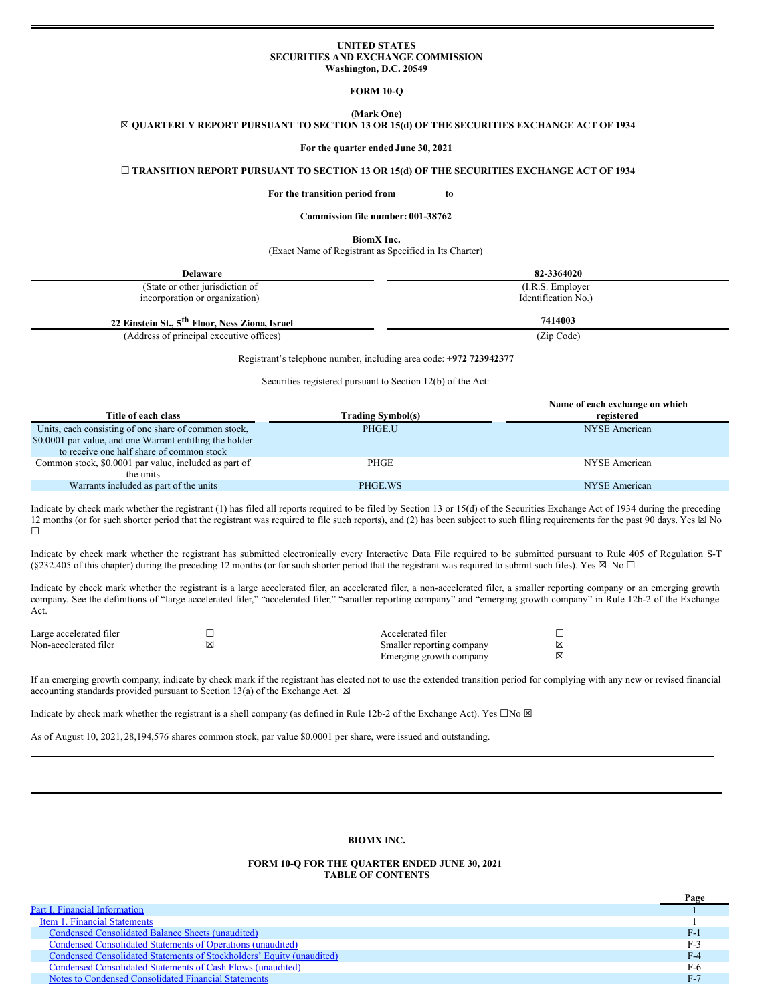#### **UNITED STATES SECURITIES AND EXCHANGE COMMISSION Washington, D.C. 20549**

**FORM 10-Q**

<span id="page-0-0"></span>**(Mark One)** ☒ **QUARTERLY REPORT PURSUANT TO SECTION 13 OR 15(d) OF THE SECURITIES EXCHANGE ACT OF 1934**

**For the quarter ended June 30, 2021**

#### ☐ **TRANSITION REPORT PURSUANT TO SECTION 13 OR 15(d) OF THE SECURITIES EXCHANGE ACT OF 1934**

**For the transition period from to**

#### **Commission file number: 001-38762**

**BiomX Inc.**

(Exact Name of Registrant as Specified in Its Charter)

| <b>Delaware</b>                                            | 82-3364020          |
|------------------------------------------------------------|---------------------|
| (State or other jurisdiction of                            | (I.R.S. Employer)   |
| incorporation or organization)                             | Identification No.) |
| 22 Einstein St., 5 <sup>th</sup> Floor, Ness Ziona, Israel | 7414003             |
| (Address of principal executive offices)                   | (Zip Code)          |

Registrant's telephone number, including area code: **+972 723942377**

Securities registered pursuant to Section 12(b) of the Act:

| Title of each class                                                                                                                                           | <b>Trading Symbol(s)</b> | Name of each exchange on which<br>registered |
|---------------------------------------------------------------------------------------------------------------------------------------------------------------|--------------------------|----------------------------------------------|
| Units, each consisting of one share of common stock,<br>\$0.0001 par value, and one Warrant entitling the holder<br>to receive one half share of common stock | PHGE.U                   | NYSE American                                |
| Common stock, \$0.0001 par value, included as part of<br>the units                                                                                            | PHGE                     | NYSE American                                |
| Warrants included as part of the units                                                                                                                        | PHGE.WS                  | NYSE American                                |

Indicate by check mark whether the registrant (1) has filed all reports required to be filed by Section 13 or 15(d) of the Securities Exchange Act of 1934 during the preceding 12 months (or for such shorter period that the registrant was required to file such reports), and (2) has been subject to such filing requirements for the past 90 days. Yes ☒ No ☐

Indicate by check mark whether the registrant has submitted electronically every Interactive Data File required to be submitted pursuant to Rule 405 of Regulation S-T (§232.405 of this chapter) during the preceding 12 months (or for such shorter period that the registrant was required to submit such files). Yes  $\boxtimes$  No  $\Box$ 

Indicate by check mark whether the registrant is a large accelerated filer, an accelerated filer, a non-accelerated filer, a smaller reporting company or an emerging growth company. See the definitions of "large accelerated filer," "accelerated filer," "smaller reporting company" and "emerging growth company" in Rule 12b-2 of the Exchange Act.

| Large accelerated filer | Accelerated filer         |   |
|-------------------------|---------------------------|---|
| Non-accelerated filer   | Smaller reporting company | ⊠ |
|                         | Emerging growth company   | ⊠ |

If an emerging growth company, indicate by check mark if the registrant has elected not to use the extended transition period for complying with any new or revised financial accounting standards provided pursuant to Section 13(a) of the Exchange Act.  $\boxtimes$ 

Indicate by check mark whether the registrant is a shell company (as defined in Rule 12b-2 of the Exchange Act). Yes □No ⊠

As of August 10, 2021, 28,194,576 shares common stock, par value \$0.0001 per share, were issued and outstanding.

# **BIOMX INC.**

#### **FORM 10-Q FOR THE QUARTER ENDED JUNE 30, 2021 TABLE OF CONTENTS**

|                                                                       | Page  |
|-----------------------------------------------------------------------|-------|
| Part I. Financial Information                                         |       |
| Item 1. Financial Statements                                          |       |
| Condensed Consolidated Balance Sheets (unaudited)                     | $F-$  |
| Condensed Consolidated Statements of Operations (unaudited)           | F-3   |
| Condensed Consolidated Statements of Stockholders' Equity (unaudited) | $F-4$ |
| Condensed Consolidated Statements of Cash Flows (unaudited)           | F-6   |
| Notes to Condensed Consolidated Financial Statements                  | $F-$  |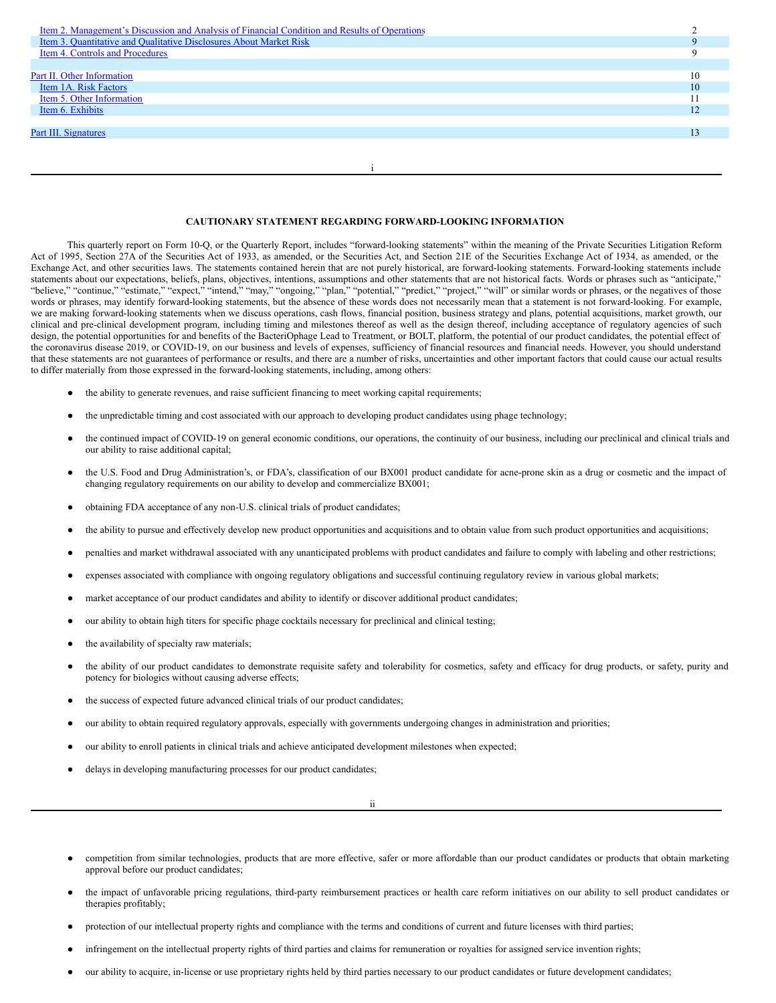| Item 2. Management's Discussion and Analysis of Financial Condition and Results of Operations |    |
|-----------------------------------------------------------------------------------------------|----|
| Item 3. Quantitative and Qualitative Disclosures About Market Risk                            |    |
| Item 4. Controls and Procedures                                                               |    |
|                                                                                               |    |
| Part II. Other Information                                                                    | 10 |
| Item 1A. Risk Factors                                                                         | 10 |
| Item 5. Other Information                                                                     |    |
| Item 6. Exhibits                                                                              |    |
|                                                                                               |    |
| Part III. Signatures                                                                          |    |
|                                                                                               |    |
|                                                                                               |    |
|                                                                                               |    |

# **CAUTIONARY STATEMENT REGARDING FORWARD-LOOKING INFORMATION**

This quarterly report on Form 10-Q, or the Quarterly Report, includes "forward-looking statements" within the meaning of the Private Securities Litigation Reform Act of 1995, Section 27A of the Securities Act of 1933, as amended, or the Securities Act, and Section 21E of the Securities Exchange Act of 1934, as amended, or the Exchange Act, and other securities laws. The statements contained herein that are not purely historical, are forward-looking statements. Forward-looking statements include statements about our expectations, beliefs, plans, objectives, intentions, assumptions and other statements that are not historical facts. Words or phrases such as "anticipate," "believe," "continue," "estimate," "expect," "intend," "may," "ongoing," "plan," "protential," "predict," "project," "will" or similar words or phrases, or the negatives of those words or phrases, may identify forward-looking statements, but the absence of these words does not necessarily mean that a statement is not forward-looking. For example, we are making forward-looking statements when we discuss operations, cash flows, financial position, business strategy and plans, potential acquisitions, market growth, our clinical and pre-clinical development program, including timing and milestones thereof as well as the design thereof, including acceptance of regulatory agencies of such design, the potential opportunities for and benefits of the BacteriOphage Lead to Treatment, or BOLT, platform, the potential of our product candidates, the potential effect of the coronavirus disease 2019, or COVID-19, on our business and levels of expenses, sufficiency of financial resources and financial needs. However, you should understand that these statements are not guarantees of performance or results, and there are a number of risks, uncertainties and other important factors that could cause our actual results to differ materially from those expressed in the forward-looking statements, including, among others:

- the ability to generate revenues, and raise sufficient financing to meet working capital requirements;
- the unpredictable timing and cost associated with our approach to developing product candidates using phage technology;
- the continued impact of COVID-19 on general economic conditions, our operations, the continuity of our business, including our preclinical and clinical trials and our ability to raise additional capital;
- the U.S. Food and Drug Administration's, or FDA's, classification of our BX001 product candidate for acne-prone skin as a drug or cosmetic and the impact of changing regulatory requirements on our ability to develop and commercialize BX001;
- obtaining FDA acceptance of any non-U.S. clinical trials of product candidates;
- the ability to pursue and effectively develop new product opportunities and acquisitions and to obtain value from such product opportunities and acquisitions;
- penalties and market withdrawal associated with any unanticipated problems with product candidates and failure to comply with labeling and other restrictions;
- expenses associated with compliance with ongoing regulatory obligations and successful continuing regulatory review in various global markets;
- market acceptance of our product candidates and ability to identify or discover additional product candidates;
- our ability to obtain high titers for specific phage cocktails necessary for preclinical and clinical testing;
- the availability of specialty raw materials;
- the ability of our product candidates to demonstrate requisite safety and tolerability for cosmetics, safety and efficacy for drug products, or safety, purity and potency for biologics without causing adverse effects;
- the success of expected future advanced clinical trials of our product candidates;
- our ability to obtain required regulatory approvals, especially with governments undergoing changes in administration and priorities;
- our ability to enroll patients in clinical trials and achieve anticipated development milestones when expected;
- delays in developing manufacturing processes for our product candidates;

ii

- competition from similar technologies, products that are more effective, safer or more affordable than our product candidates or products that obtain marketing approval before our product candidates;
- the impact of unfavorable pricing regulations, third-party reimbursement practices or health care reform initiatives on our ability to sell product candidates or therapies profitably;
- protection of our intellectual property rights and compliance with the terms and conditions of current and future licenses with third parties;
- infringement on the intellectual property rights of third parties and claims for remuneration or royalties for assigned service invention rights;
- our ability to acquire, in-license or use proprietary rights held by third parties necessary to our product candidates or future development candidates;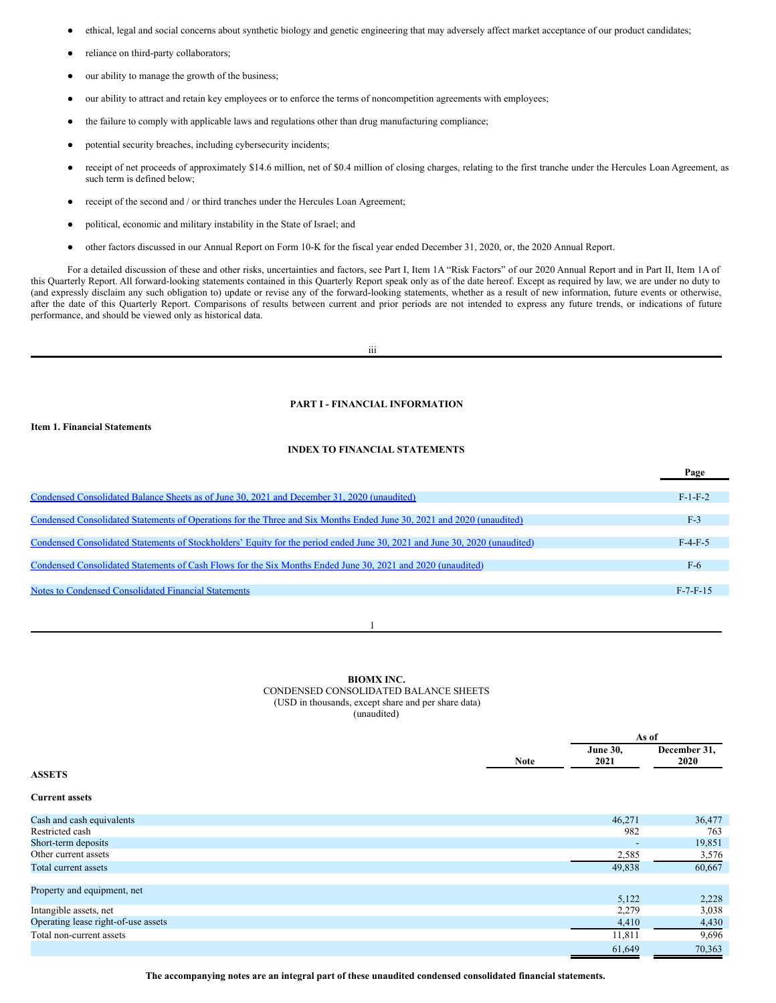- ethical, legal and social concerns about synthetic biology and genetic engineering that may adversely affect market acceptance of our product candidates;
- reliance on third-party collaborators;
- our ability to manage the growth of the business;
- our ability to attract and retain key employees or to enforce the terms of noncompetition agreements with employees;
- the failure to comply with applicable laws and regulations other than drug manufacturing compliance;
- potential security breaches, including cybersecurity incidents;
- receipt of net proceeds of approximately \$14.6 million, net of \$0.4 million of closing charges, relating to the first tranche under the Hercules Loan Agreement, as such term is defined below;
- receipt of the second and / or third tranches under the Hercules Loan Agreement;
- political, economic and military instability in the State of Israel; and
- other factors discussed in our Annual Report on Form 10-K for the fiscal year ended December 31, 2020, or, the 2020 Annual Report.

For a detailed discussion of these and other risks, uncertainties and factors, see Part I, Item 1A "Risk Factors" of our 2020 Annual Report and in Part II, Item 1A of this Quarterly Report. All forward-looking statements contained in this Quarterly Report speak only as of the date hereof. Except as required by law, we are under no duty to (and expressly disclaim any such obligation to) update or revise any of the forward-looking statements, whether as a result of new information, future events or otherwise, after the date of this Quarterly Report. Comparisons of results between current and prior periods are not intended to express any future trends, or indications of future performance, and should be viewed only as historical data.

# **PART I - FINANCIAL INFORMATION**

#### **Item 1. Financial Statements**

#### **INDEX TO FINANCIAL STATEMENTS**

|                                                                                                                            | Page       |
|----------------------------------------------------------------------------------------------------------------------------|------------|
|                                                                                                                            |            |
| Condensed Consolidated Balance Sheets as of June 30, 2021 and December 31, 2020 (unaudited)                                | $F-1-F-2$  |
|                                                                                                                            |            |
| Condensed Consolidated Statements of Operations for the Three and Six Months Ended June 30, 2021 and 2020 (unaudited)      | $F-3$      |
|                                                                                                                            |            |
| Condensed Consolidated Statements of Stockholders' Equity for the period ended June 30, 2021 and June 30, 2020 (unaudited) | $F-4-F-5$  |
|                                                                                                                            |            |
| Condensed Consolidated Statements of Cash Flows for the Six Months Ended June 30, 2021 and 2020 (unaudited)                | $F-6$      |
|                                                                                                                            |            |
| <b>Notes to Condensed Consolidated Financial Statements</b>                                                                | $F-7-F-15$ |
|                                                                                                                            |            |

#### **BIOMX INC.** CONDENSED CONSOLIDATED BALANCE SHEETS (USD in thousands, except share and per share data) (unaudited)

1

|                                     |             | As of                    |                      |
|-------------------------------------|-------------|--------------------------|----------------------|
|                                     | <b>Note</b> | <b>June 30,</b><br>2021  | December 31,<br>2020 |
| <b>ASSETS</b>                       |             |                          |                      |
| <b>Current assets</b>               |             |                          |                      |
| Cash and cash equivalents           |             | 46,271                   | 36,477               |
| Restricted cash                     |             | 982                      | 763                  |
| Short-term deposits                 |             | $\overline{\phantom{a}}$ | 19,851               |
| Other current assets                |             | 2,585                    | 3,576                |
| Total current assets                |             | 49,838                   | 60,667               |
| Property and equipment, net         |             |                          |                      |
|                                     |             | 5,122                    | 2,228                |
| Intangible assets, net              |             | 2,279                    | 3,038                |
| Operating lease right-of-use assets |             | 4,410                    | 4,430                |
| Total non-current assets            |             | 11,811                   | 9,696                |
|                                     |             | 61,649                   | 70,363               |

**The accompanying notes are an integral part of these unaudited condensed consolidated financial statements.**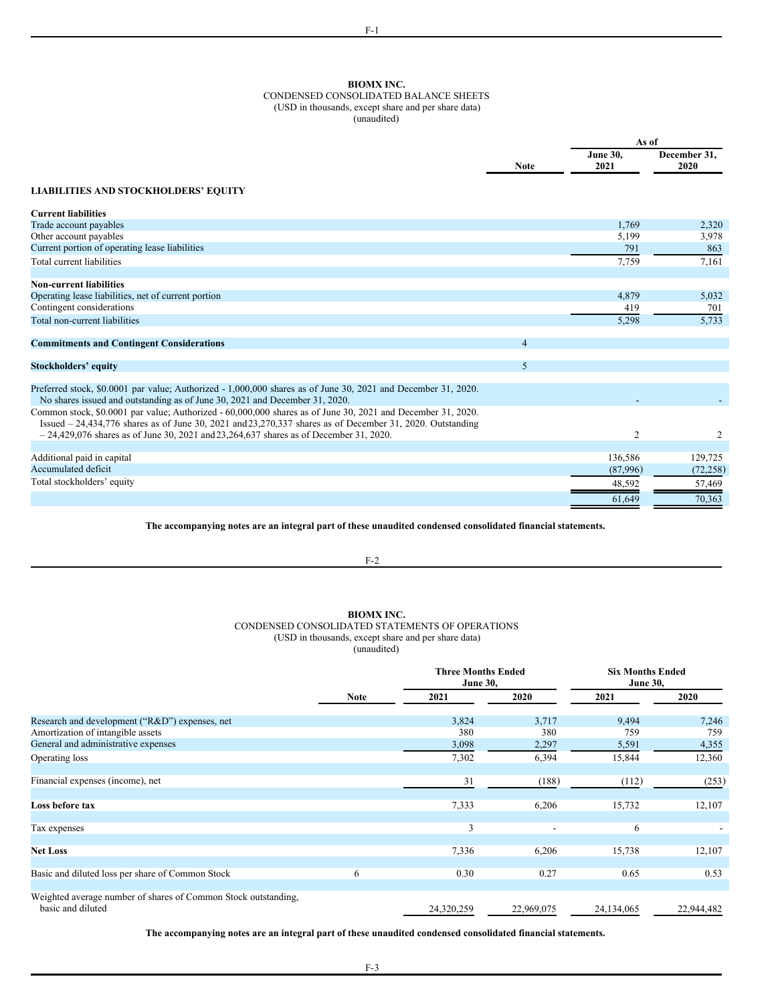# **BIOMX INC.**

# CONDENSED CONSOLIDATED BALANCE SHEETS (USD in thousands, except share and per share data) (unaudited)

|                                                                                                                                                                                                                                                                                                                        | <b>Note</b>    | As of                   |                      |
|------------------------------------------------------------------------------------------------------------------------------------------------------------------------------------------------------------------------------------------------------------------------------------------------------------------------|----------------|-------------------------|----------------------|
|                                                                                                                                                                                                                                                                                                                        |                | <b>June 30,</b><br>2021 | December 31,<br>2020 |
| <b>LIABILITIES AND STOCKHOLDERS' EQUITY</b>                                                                                                                                                                                                                                                                            |                |                         |                      |
| <b>Current liabilities</b>                                                                                                                                                                                                                                                                                             |                |                         |                      |
| Trade account payables                                                                                                                                                                                                                                                                                                 |                | 1,769                   | 2,320                |
| Other account payables                                                                                                                                                                                                                                                                                                 |                | 5,199                   | 3,978                |
| Current portion of operating lease liabilities                                                                                                                                                                                                                                                                         |                | 791                     | 863                  |
| Total current liabilities                                                                                                                                                                                                                                                                                              |                | 7,759                   | 7,161                |
| <b>Non-current liabilities</b>                                                                                                                                                                                                                                                                                         |                |                         |                      |
| Operating lease liabilities, net of current portion                                                                                                                                                                                                                                                                    |                | 4,879                   | 5,032                |
| Contingent considerations                                                                                                                                                                                                                                                                                              |                | 419                     | 701                  |
| Total non-current liabilities                                                                                                                                                                                                                                                                                          |                | 5,298                   | 5,733                |
| <b>Commitments and Contingent Considerations</b>                                                                                                                                                                                                                                                                       | $\overline{4}$ |                         |                      |
| Stockholders' equity                                                                                                                                                                                                                                                                                                   | 5              |                         |                      |
| Preferred stock, \$0.0001 par value; Authorized - 1,000,000 shares as of June 30, 2021 and December 31, 2020.<br>No shares issued and outstanding as of June 30, 2021 and December 31, 2020.                                                                                                                           |                |                         |                      |
| Common stock, \$0.0001 par value; Authorized - 60,000,000 shares as of June 30, 2021 and December 31, 2020.<br>Issued $-24,434,776$ shares as of June 30, 2021 and 23,270,337 shares as of December 31, 2020. Outstanding<br>$-24,429,076$ shares as of June 30, 2021 and 23, 264, 637 shares as of December 31, 2020. |                | $\overline{2}$          | 2                    |
|                                                                                                                                                                                                                                                                                                                        |                |                         |                      |
| Additional paid in capital                                                                                                                                                                                                                                                                                             |                | 136,586                 | 129,725              |
| Accumulated deficit                                                                                                                                                                                                                                                                                                    |                | (87,996)                | (72, 258)            |
| Total stockholders' equity                                                                                                                                                                                                                                                                                             |                | 48,592                  | 57,469               |
|                                                                                                                                                                                                                                                                                                                        |                | 61,649                  | 70,363               |

**The accompanying notes are an integral part of these unaudited condensed consolidated financial statements.**

F-2

**BIOMX INC.**

CONDENSED CONSOLIDATED STATEMENTS OF OPERATIONS

(USD in thousands, except share and per share data) (unaudited)

|                                                                                     | <b>Note</b> | <b>Three Months Ended</b><br><b>June 30,</b> |                          | <b>Six Months Ended</b><br><b>June 30,</b> |            |
|-------------------------------------------------------------------------------------|-------------|----------------------------------------------|--------------------------|--------------------------------------------|------------|
|                                                                                     |             | 2021                                         | 2020                     | 2021                                       | 2020       |
| Research and development ("R&D") expenses, net                                      |             | 3,824                                        | 3,717                    | 9,494                                      | 7,246      |
| Amortization of intangible assets                                                   |             | 380                                          | 380                      | 759                                        | 759        |
| General and administrative expenses                                                 |             | 3,098                                        | 2,297                    | 5,591                                      | 4,355      |
| <b>Operating loss</b>                                                               |             | 7,302                                        | 6,394                    | 15,844                                     | 12,360     |
|                                                                                     |             |                                              |                          |                                            |            |
| Financial expenses (income), net                                                    |             | 31                                           | (188)                    | (112)                                      | (253)      |
| Loss before tax                                                                     |             | 7,333                                        | 6,206                    | 15,732                                     | 12,107     |
| Tax expenses                                                                        |             | 3                                            | $\overline{\phantom{a}}$ | 6                                          |            |
| <b>Net Loss</b>                                                                     |             | 7,336                                        | 6,206                    | 15,738                                     | 12,107     |
| Basic and diluted loss per share of Common Stock                                    | 6           | 0.30                                         | 0.27                     | 0.65                                       | 0.53       |
| Weighted average number of shares of Common Stock outstanding,<br>basic and diluted |             | 24,320,259                                   | 22,969,075               | 24,134,065                                 | 22,944,482 |

**The accompanying notes are an integral part of these unaudited condensed consolidated financial statements.**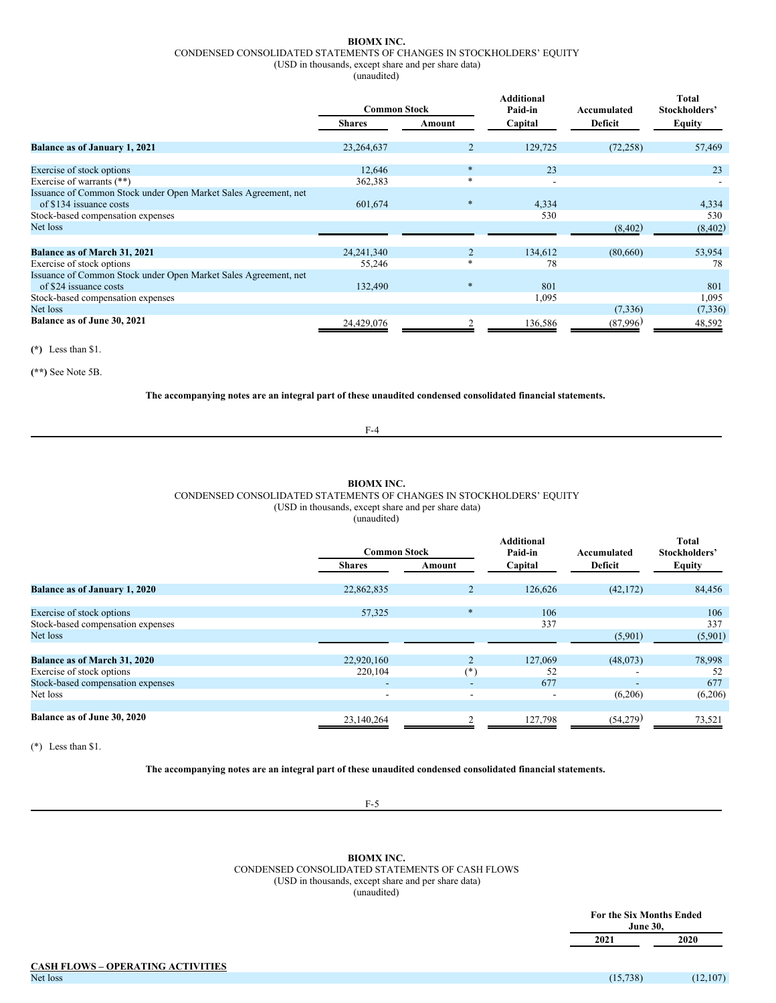# **BIOMX INC.**

# CONDENSED CONSOLIDATED STATEMENTS OF CHANGES IN STOCKHOLDERS' EQUITY (USD in thousands, except share and per share data)

(unaudited)

|                                                                 | <b>Common Stock</b> |                | <b>Additional</b><br>Paid-in | Accumulated | Total<br>Stockholders' |
|-----------------------------------------------------------------|---------------------|----------------|------------------------------|-------------|------------------------|
|                                                                 | <b>Shares</b>       | Amount         | Capital                      | Deficit     | <b>Equity</b>          |
| Balance as of January 1, 2021                                   | 23,264,637          |                | 129,725                      | (72, 258)   | 57,469                 |
| Exercise of stock options                                       | 12,646              | *              | 23                           |             | 23                     |
| Exercise of warrants $(**)$                                     | 362,383             | $\ast$         |                              |             |                        |
| Issuance of Common Stock under Open Market Sales Agreement, net |                     |                |                              |             |                        |
| of \$134 issuance costs                                         | 601,674             | $*$            | 4,334                        |             | 4,334                  |
| Stock-based compensation expenses                               |                     |                | 530                          |             | 530                    |
| Net loss                                                        |                     |                |                              | (8,402)     | (8, 402)               |
| Balance as of March 31, 2021                                    | 24, 241, 340        | $\overline{2}$ | 134,612                      | (80,660)    | 53,954                 |
| Exercise of stock options                                       | 55,246              | $\ast$         | 78                           |             | 78                     |
| Issuance of Common Stock under Open Market Sales Agreement, net |                     |                |                              |             |                        |
| of \$24 issuance costs                                          | 132,490             | $\ast$         | 801                          |             | 801                    |
| Stock-based compensation expenses                               |                     |                | 1,095                        |             | 1,095                  |
| Net loss                                                        |                     |                |                              | (7,336)     | (7, 336)               |
| Balance as of June 30, 2021                                     | 24,429,076          |                | 136,586                      | (87,996)    | 48,592                 |

**(\*)** Less than \$1.

**(\*\*)** See Note 5B.

# **The accompanying notes are an integral part of these unaudited condensed consolidated financial statements.**

F-4

#### **BIOMX INC.**

CONDENSED CONSOLIDATED STATEMENTS OF CHANGES IN STOCKHOLDERS' EQUITY

(USD in thousands, except share and per share data)

(unaudited)

|                                      |                          | <b>Common Stock</b>         |         | Accumulated              | <b>Total</b><br>Stockholders' |
|--------------------------------------|--------------------------|-----------------------------|---------|--------------------------|-------------------------------|
|                                      | <b>Shares</b>            | Amount                      | Capital | Deficit                  | <b>Equity</b>                 |
| <b>Balance as of January 1, 2020</b> | 22,862,835               | 2                           | 126,626 | (42, 172)                | 84,456                        |
| Exercise of stock options            | 57,325                   | $*$                         | 106     |                          | 106                           |
| Stock-based compensation expenses    |                          |                             | 337     |                          | 337                           |
| Net loss                             |                          |                             |         | (5,901)                  | (5,901)                       |
| Balance as of March 31, 2020         | 22,920,160               | $\mathcal{D}_{\mathcal{L}}$ | 127,069 | (48,073)                 | 78,998                        |
| Exercise of stock options            | 220,104                  | $(*)$                       | 52      |                          | 52                            |
| Stock-based compensation expenses    | $\overline{\phantom{a}}$ | $\overline{\phantom{0}}$    | 677     | $\overline{\phantom{a}}$ | 677                           |
| Net loss                             | $\overline{\phantom{a}}$ | $\overline{\phantom{a}}$    | ٠       | (6,206)                  | (6,206)                       |
| Balance as of June 30, 2020          | 23.140.264               |                             | 127,798 | (54,279)                 | 73,521                        |

(\*) Less than \$1.

#### **The accompanying notes are an integral part of these unaudited condensed consolidated financial statements.**

F-5

**BIOMX INC.** CONDENSED CONSOLIDATED STATEMENTS OF CASH FLOWS (USD in thousands, except share and per share data) (unaudited)

> **For the Six Months Ended June 30, 2021 2020**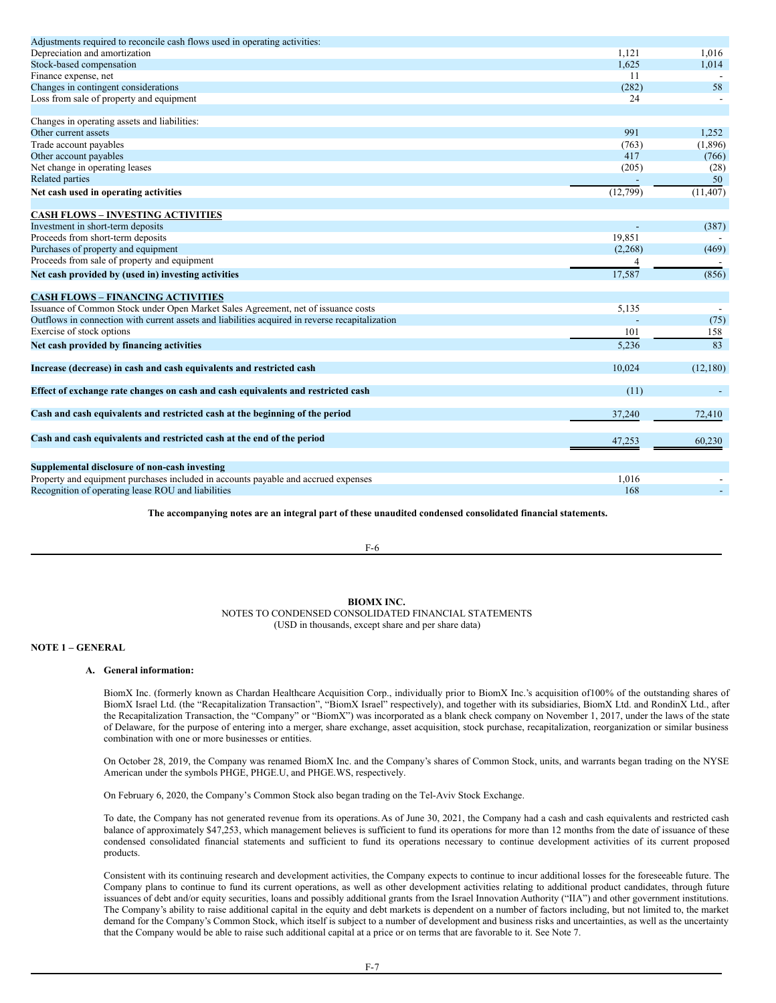| Adjustments required to reconcile cash flows used in operating activities:                      |                |           |
|-------------------------------------------------------------------------------------------------|----------------|-----------|
| Depreciation and amortization                                                                   | 1,121          | 1,016     |
| Stock-based compensation                                                                        | 1.625          | 1,014     |
| Finance expense, net                                                                            | 11             |           |
| Changes in contingent considerations                                                            | (282)          | 58        |
| Loss from sale of property and equipment                                                        | 24             |           |
| Changes in operating assets and liabilities:                                                    |                |           |
| Other current assets                                                                            | 991            | 1,252     |
| Trade account payables                                                                          | (763)          | (1,896)   |
| Other account payables                                                                          | 417            | (766)     |
| Net change in operating leases                                                                  | (205)          | (28)      |
| <b>Related parties</b>                                                                          |                | 50        |
| Net cash used in operating activities                                                           | (12,799)       | (11, 407) |
| <b>CASH FLOWS - INVESTING ACTIVITIES</b>                                                        |                |           |
| Investment in short-term deposits                                                               |                | (387)     |
| Proceeds from short-term deposits                                                               | 19.851         |           |
| Purchases of property and equipment                                                             | (2,268)        | (469)     |
| Proceeds from sale of property and equipment                                                    | $\overline{4}$ |           |
| Net cash provided by (used in) investing activities                                             | 17,587         | (856)     |
| <b>CASH FLOWS - FINANCING ACTIVITIES</b>                                                        |                |           |
| Issuance of Common Stock under Open Market Sales Agreement, net of issuance costs               | 5,135          |           |
| Outflows in connection with current assets and liabilities acquired in reverse recapitalization |                | (75)      |
| Exercise of stock options                                                                       | 101            | 158       |
| Net cash provided by financing activities                                                       | 5,236          | 83        |
| Increase (decrease) in cash and cash equivalents and restricted cash                            | 10.024         | (12,180)  |
| Effect of exchange rate changes on cash and cash equivalents and restricted cash                | (11)           |           |
| Cash and cash equivalents and restricted cash at the beginning of the period                    | 37,240         | 72,410    |
| Cash and cash equivalents and restricted cash at the end of the period                          | 47,253         | 60,230    |
| Supplemental disclosure of non-cash investing                                                   |                |           |
| Property and equipment purchases included in accounts payable and accrued expenses              | 1,016          |           |
| Recognition of operating lease ROU and liabilities                                              | 168            |           |
|                                                                                                 |                |           |

**The accompanying notes are an integral part of these unaudited condensed consolidated financial statements.**

F-6

# **BIOMX INC.**

NOTES TO CONDENSED CONSOLIDATED FINANCIAL STATEMENTS (USD in thousands, except share and per share data)

# **NOTE 1 – GENERAL**

# **A. General information:**

BiomX Inc. (formerly known as Chardan Healthcare Acquisition Corp., individually prior to BiomX Inc.'s acquisition of100% of the outstanding shares of BiomX Israel Ltd. (the "Recapitalization Transaction", "BiomX Israel" respectively), and together with its subsidiaries, BiomX Ltd. and RondinX Ltd., after the Recapitalization Transaction, the "Company" or "BiomX") was incorporated as a blank check company on November 1, 2017, under the laws of the state of Delaware, for the purpose of entering into a merger, share exchange, asset acquisition, stock purchase, recapitalization, reorganization or similar business combination with one or more businesses or entities.

On October 28, 2019, the Company was renamed BiomX Inc. and the Company's shares of Common Stock, units, and warrants began trading on the NYSE American under the symbols PHGE, PHGE.U, and PHGE.WS, respectively.

On February 6, 2020, the Company's Common Stock also began trading on the Tel-Aviv Stock Exchange.

To date, the Company has not generated revenue from its operations.As of June 30, 2021, the Company had a cash and cash equivalents and restricted cash balance of approximately \$47,253, which management believes is sufficient to fund its operations for more than 12 months from the date of issuance of these condensed consolidated financial statements and sufficient to fund its operations necessary to continue development activities of its current proposed products.

Consistent with its continuing research and development activities, the Company expects to continue to incur additional losses for the foreseeable future. The Company plans to continue to fund its current operations, as well as other development activities relating to additional product candidates, through future issuances of debt and/or equity securities, loans and possibly additional grants from the Israel Innovation Authority ("IIA") and other government institutions. The Company's ability to raise additional capital in the equity and debt markets is dependent on a number of factors including, but not limited to, the market demand for the Company's Common Stock, which itself is subject to a number of development and business risks and uncertainties, as well as the uncertainty that the Company would be able to raise such additional capital at a price or on terms that are favorable to it. See Note 7.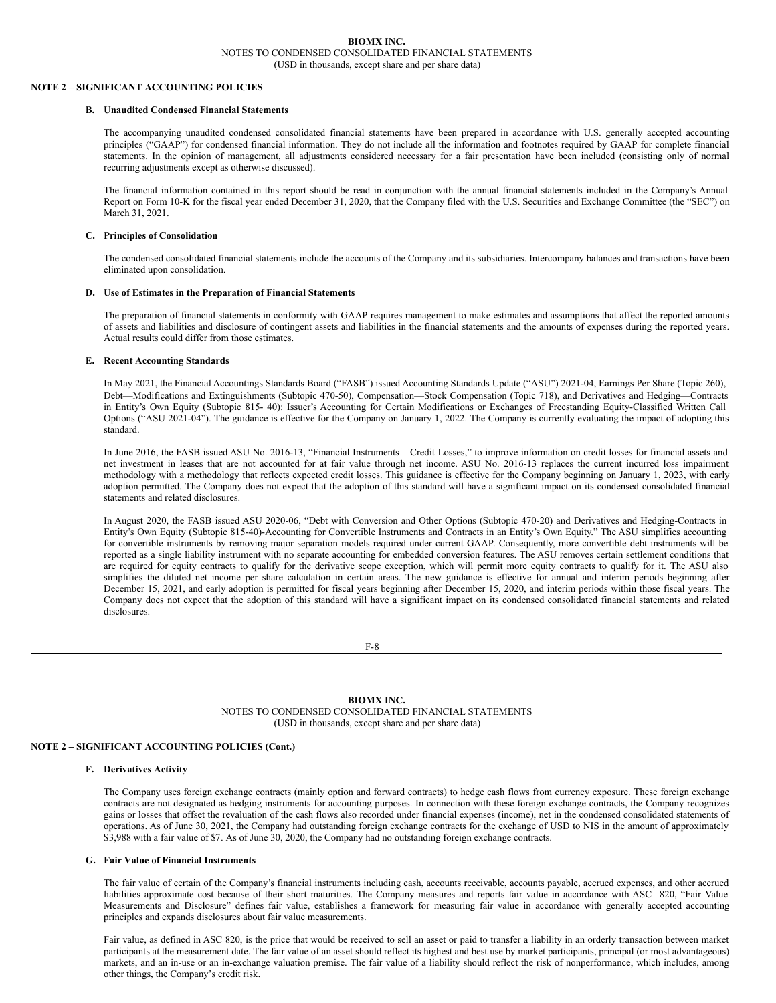#### **BIOMX INC.** NOTES TO CONDENSED CONSOLIDATED FINANCIAL STATEMENTS (USD in thousands, except share and per share data)

# **NOTE 2 – SIGNIFICANT ACCOUNTING POLICIES**

# **B. Unaudited Condensed Financial Statements**

The accompanying unaudited condensed consolidated financial statements have been prepared in accordance with U.S. generally accepted accounting principles ("GAAP") for condensed financial information. They do not include all the information and footnotes required by GAAP for complete financial statements. In the opinion of management, all adjustments considered necessary for a fair presentation have been included (consisting only of normal recurring adjustments except as otherwise discussed).

The financial information contained in this report should be read in conjunction with the annual financial statements included in the Company's Annual Report on Form 10-K for the fiscal year ended December 31, 2020, that the Company filed with the U.S. Securities and Exchange Committee (the "SEC") on March 31, 2021.

#### **C. Principles of Consolidation**

The condensed consolidated financial statements include the accounts of the Company and its subsidiaries. Intercompany balances and transactions have been eliminated upon consolidation.

#### **D. Use of Estimates in the Preparation of Financial Statements**

The preparation of financial statements in conformity with GAAP requires management to make estimates and assumptions that affect the reported amounts of assets and liabilities and disclosure of contingent assets and liabilities in the financial statements and the amounts of expenses during the reported years. Actual results could differ from those estimates.

# **E. Recent Accounting Standards**

In May 2021, the Financial Accountings Standards Board ("FASB") issued Accounting Standards Update ("ASU") 2021-04, Earnings Per Share (Topic 260), Debt—Modifications and Extinguishments (Subtopic 470-50), Compensation—Stock Compensation (Topic 718), and Derivatives and Hedging—Contracts in Entity's Own Equity (Subtopic 815- 40): Issuer's Accounting for Certain Modifications or Exchanges of Freestanding Equity-Classified Written Call Options ("ASU 2021-04"). The guidance is effective for the Company on January 1, 2022. The Company is currently evaluating the impact of adopting this standard.

In June 2016, the FASB issued ASU No. 2016-13, "Financial Instruments – Credit Losses," to improve information on credit losses for financial assets and net investment in leases that are not accounted for at fair value through net income. ASU No. 2016-13 replaces the current incurred loss impairment methodology with a methodology that reflects expected credit losses. This guidance is effective for the Company beginning on January 1, 2023, with early adoption permitted. The Company does not expect that the adoption of this standard will have a significant impact on its condensed consolidated financial statements and related disclosures.

In August 2020, the FASB issued ASU 2020-06, "Debt with Conversion and Other Options (Subtopic 470-20) and Derivatives and Hedging-Contracts in Entity's Own Equity (Subtopic 815-40)-Accounting for Convertible Instruments and Contracts in an Entity's Own Equity." The ASU simplifies accounting for convertible instruments by removing major separation models required under current GAAP. Consequently, more convertible debt instruments will be reported as a single liability instrument with no separate accounting for embedded conversion features. The ASU removes certain settlement conditions that are required for equity contracts to qualify for the derivative scope exception, which will permit more equity contracts to qualify for it. The ASU also simplifies the diluted net income per share calculation in certain areas. The new guidance is effective for annual and interim periods beginning after December 15, 2021, and early adoption is permitted for fiscal years beginning after December 15, 2020, and interim periods within those fiscal years. The Company does not expect that the adoption of this standard will have a significant impact on its condensed consolidated financial statements and related disclosures.

F-8

**BIOMX INC.** NOTES TO CONDENSED CONSOLIDATED FINANCIAL STATEMENTS (USD in thousands, except share and per share data)

# **NOTE 2 – SIGNIFICANT ACCOUNTING POLICIES (Cont.)**

# **F. Derivatives Activity**

The Company uses foreign exchange contracts (mainly option and forward contracts) to hedge cash flows from currency exposure. These foreign exchange contracts are not designated as hedging instruments for accounting purposes. In connection with these foreign exchange contracts, the Company recognizes gains or losses that offset the revaluation of the cash flows also recorded under financial expenses (income), net in the condensed consolidated statements of operations. As of June 30, 2021, the Company had outstanding foreign exchange contracts for the exchange of USD to NIS in the amount of approximately \$3,988 with a fair value of \$7. As of June 30, 2020, the Company had no outstanding foreign exchange contracts.

# **G. Fair Value of Financial Instruments**

The fair value of certain of the Company's financial instruments including cash, accounts receivable, accounts payable, accrued expenses, and other accrued liabilities approximate cost because of their short maturities. The Company measures and reports fair value in accordance with ASC 820, "Fair Value Measurements and Disclosure" defines fair value, establishes a framework for measuring fair value in accordance with generally accepted accounting principles and expands disclosures about fair value measurements.

Fair value, as defined in ASC 820, is the price that would be received to sell an asset or paid to transfer a liability in an orderly transaction between market participants at the measurement date. The fair value of an asset should reflect its highest and best use by market participants, principal (or most advantageous) markets, and an in-use or an in-exchange valuation premise. The fair value of a liability should reflect the risk of nonperformance, which includes, among other things, the Company's credit risk.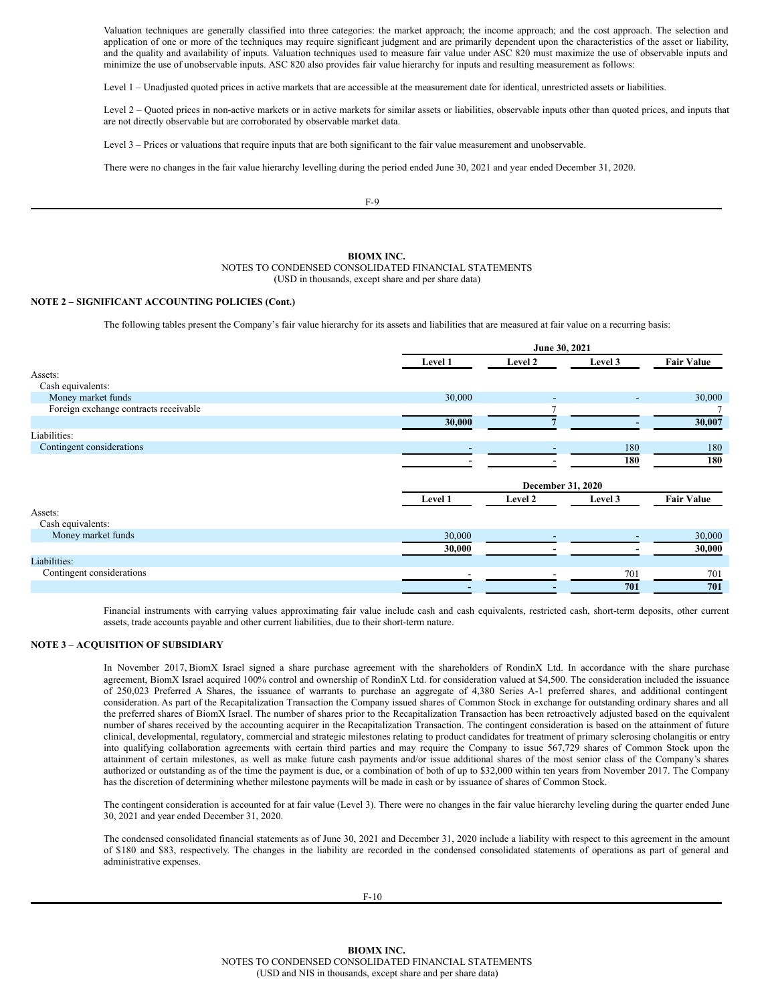Valuation techniques are generally classified into three categories: the market approach; the income approach; and the cost approach. The selection and application of one or more of the techniques may require significant judgment and are primarily dependent upon the characteristics of the asset or liability, and the quality and availability of inputs. Valuation techniques used to measure fair value under ASC 820 must maximize the use of observable inputs and minimize the use of unobservable inputs. ASC 820 also provides fair value hierarchy for inputs and resulting measurement as follows:

Level 1 – Unadjusted quoted prices in active markets that are accessible at the measurement date for identical, unrestricted assets or liabilities.

Level 2 – Quoted prices in non-active markets or in active markets for similar assets or liabilities, observable inputs other than quoted prices, and inputs that are not directly observable but are corroborated by observable market data.

Level 3 – Prices or valuations that require inputs that are both significant to the fair value measurement and unobservable.

There were no changes in the fair value hierarchy levelling during the period ended June 30, 2021 and year ended December 31, 2020.

#### F-9

#### **BIOMX INC.**

# NOTES TO CONDENSED CONSOLIDATED FINANCIAL STATEMENTS

(USD in thousands, except share and per share data)

# **NOTE 2 – SIGNIFICANT ACCOUNTING POLICIES (Cont.)**

The following tables present the Company's fair value hierarchy for its assets and liabilities that are measured at fair value on a recurring basis:

|                                       |         | June 30, 2021            |                          |                   |
|---------------------------------------|---------|--------------------------|--------------------------|-------------------|
|                                       | Level 1 | Level 2                  | Level 3                  | <b>Fair Value</b> |
| Assets:                               |         |                          |                          |                   |
| Cash equivalents:                     |         |                          |                          |                   |
| Money market funds                    | 30,000  | $\overline{\phantom{a}}$ | $\overline{\phantom{a}}$ | 30,000            |
| Foreign exchange contracts receivable |         |                          |                          |                   |
|                                       | 30,000  |                          |                          | 30,007            |
| Liabilities:                          |         |                          |                          |                   |
| Contingent considerations             |         |                          | 180                      | 180               |
|                                       |         |                          | 180                      | 180               |
|                                       |         | December 31, 2020        |                          |                   |
|                                       | Level 1 | Level 2                  | Level 3                  | <b>Fair Value</b> |
| Assets:                               |         |                          |                          |                   |
| Cash equivalents:                     |         |                          |                          |                   |
| Money market funds                    | 30,000  |                          |                          | 30,000            |
|                                       | 30,000  |                          |                          | 30,000            |
| Liabilities:                          |         |                          |                          |                   |
| Contingent considerations             |         | $\overline{\phantom{a}}$ | 701                      | 701               |
|                                       |         |                          | 701                      | 701               |
|                                       |         |                          |                          |                   |

Financial instruments with carrying values approximating fair value include cash and cash equivalents, restricted cash, short-term deposits, other current assets, trade accounts payable and other current liabilities, due to their short-term nature.

# **NOTE 3** – **ACQUISITION OF SUBSIDIARY**

In November 2017, BiomX Israel signed a share purchase agreement with the shareholders of RondinX Ltd. In accordance with the share purchase agreement, BiomX Israel acquired 100% control and ownership of RondinX Ltd. for consideration valued at \$4,500. The consideration included the issuance of 250,023 Preferred A Shares, the issuance of warrants to purchase an aggregate of 4,380 Series A-1 preferred shares, and additional contingent consideration. As part of the Recapitalization Transaction the Company issued shares of Common Stock in exchange for outstanding ordinary shares and all the preferred shares of BiomX Israel. The number of shares prior to the Recapitalization Transaction has been retroactively adjusted based on the equivalent number of shares received by the accounting acquirer in the Recapitalization Transaction. The contingent consideration is based on the attainment of future clinical, developmental, regulatory, commercial and strategic milestones relating to product candidates for treatment of primary sclerosing cholangitis or entry into qualifying collaboration agreements with certain third parties and may require the Company to issue 567,729 shares of Common Stock upon the attainment of certain milestones, as well as make future cash payments and/or issue additional shares of the most senior class of the Company's shares authorized or outstanding as of the time the payment is due, or a combination of both of up to \$32,000 within ten years from November 2017. The Company has the discretion of determining whether milestone payments will be made in cash or by issuance of shares of Common Stock.

The contingent consideration is accounted for at fair value (Level 3). There were no changes in the fair value hierarchy leveling during the quarter ended June 30, 2021 and year ended December 31, 2020.

The condensed consolidated financial statements as of June 30, 2021 and December 31, 2020 include a liability with respect to this agreement in the amount of \$180 and \$83, respectively. The changes in the liability are recorded in the condensed consolidated statements of operations as part of general and administrative expenses.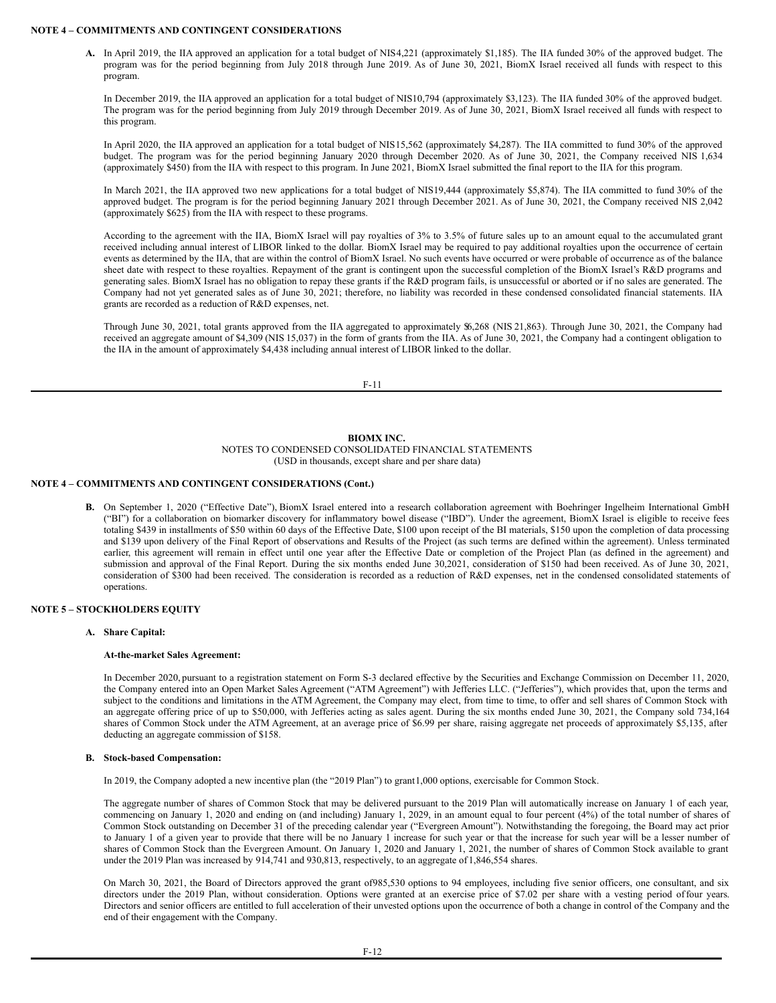#### **NOTE 4 – COMMITMENTS AND CONTINGENT CONSIDERATIONS**

**A.** In April 2019, the IIA approved an application for a total budget of NIS4,221 (approximately \$1,185). The IIA funded 30% of the approved budget. The program was for the period beginning from July 2018 through June 2019. As of June 30, 2021, BiomX Israel received all funds with respect to this program.

In December 2019, the IIA approved an application for a total budget of NIS10,794 (approximately \$3,123). The IIA funded 30% of the approved budget. The program was for the period beginning from July 2019 through December 2019. As of June 30, 2021, BiomX Israel received all funds with respect to this program.

In April 2020, the IIA approved an application for a total budget of NIS15,562 (approximately \$4,287). The IIA committed to fund 30% of the approved budget. The program was for the period beginning January 2020 through December 2020. As of June 30, 2021, the Company received NIS 1,634 (approximately \$450) from the IIA with respect to this program. In June 2021, BiomX Israel submitted the final report to the IIA for this program.

In March 2021, the IIA approved two new applications for a total budget of NIS19,444 (approximately \$5,874). The IIA committed to fund 30% of the approved budget. The program is for the period beginning January 2021 through December 2021. As of June 30, 2021, the Company received NIS 2,042 (approximately \$625) from the IIA with respect to these programs.

According to the agreement with the IIA, BiomX Israel will pay royalties of 3% to 3.5% of future sales up to an amount equal to the accumulated grant received including annual interest of LIBOR linked to the dollar. BiomX Israel may be required to pay additional royalties upon the occurrence of certain events as determined by the IIA, that are within the control of BiomX Israel. No such events have occurred or were probable of occurrence as of the balance sheet date with respect to these royalties. Repayment of the grant is contingent upon the successful completion of the BiomX Israel's R&D programs and generating sales. BiomX Israel has no obligation to repay these grants if the R&D program fails, is unsuccessful or aborted or if no sales are generated. The Company had not yet generated sales as of June 30, 2021; therefore, no liability was recorded in these condensed consolidated financial statements. IIA grants are recorded as a reduction of R&D expenses, net.

Through June 30, 2021, total grants approved from the IIA aggregated to approximately \$6,268 (NIS 21,863). Through June 30, 2021, the Company had received an aggregate amount of \$4,309 (NIS 15,037) in the form of grants from the IIA. As of June 30, 2021, the Company had a contingent obligation to the IIA in the amount of approximately \$4,438 including annual interest of LIBOR linked to the dollar.

F-11

# **BIOMX INC.**

NOTES TO CONDENSED CONSOLIDATED FINANCIAL STATEMENTS (USD in thousands, except share and per share data)

#### **NOTE 4 – COMMITMENTS AND CONTINGENT CONSIDERATIONS (Cont.)**

**B.** On September 1, 2020 ("Effective Date"), BiomX Israel entered into a research collaboration agreement with Boehringer Ingelheim International GmbH ("BI") for a collaboration on biomarker discovery for inflammatory bowel disease ("IBD"). Under the agreement, BiomX Israel is eligible to receive fees totaling \$439 in installments of \$50 within 60 days of the Effective Date, \$100 upon receipt of the BI materials, \$150 upon the completion of data processing and \$139 upon delivery of the Final Report of observations and Results of the Project (as such terms are defined within the agreement). Unless terminated earlier, this agreement will remain in effect until one year after the Effective Date or completion of the Project Plan (as defined in the agreement) and submission and approval of the Final Report. During the six months ended June 30,2021, consideration of \$150 had been received. As of June 30, 2021, consideration of \$300 had been received. The consideration is recorded as a reduction of R&D expenses, net in the condensed consolidated statements of operations.

# **NOTE 5 – STOCKHOLDERS EQUITY**

# **A. Share Capital:**

#### **At-the-market Sales Agreement:**

In December 2020, pursuant to a registration statement on Form S-3 declared effective by the Securities and Exchange Commission on December 11, 2020, the Company entered into an Open Market Sales Agreement ("ATM Agreement") with Jefferies LLC. ("Jefferies"), which provides that, upon the terms and subject to the conditions and limitations in the ATM Agreement, the Company may elect, from time to time, to offer and sell shares of Common Stock with an aggregate offering price of up to \$50,000, with Jefferies acting as sales agent. During the six months ended June 30, 2021, the Company sold 734,164 shares of Common Stock under the ATM Agreement, at an average price of \$6.99 per share, raising aggregate net proceeds of approximately \$5,135, after deducting an aggregate commission of \$158.

#### **B. Stock-based Compensation:**

In 2019, the Company adopted a new incentive plan (the "2019 Plan") to grant1,000 options, exercisable for Common Stock.

The aggregate number of shares of Common Stock that may be delivered pursuant to the 2019 Plan will automatically increase on January 1 of each year, commencing on January 1, 2020 and ending on (and including) January 1, 2029, in an amount equal to four percent (4%) of the total number of shares of Common Stock outstanding on December 31 of the preceding calendar year ("Evergreen Amount"). Notwithstanding the foregoing, the Board may act prior to January 1 of a given year to provide that there will be no January 1 increase for such year or that the increase for such year will be a lesser number of shares of Common Stock than the Evergreen Amount. On January 1, 2020 and January 1, 2021, the number of shares of Common Stock available to grant under the 2019 Plan was increased by 914,741 and 930,813, respectively, to an aggregate of 1,846,554 shares.

On March 30, 2021, the Board of Directors approved the grant of985,530 options to 94 employees, including five senior officers, one consultant, and six directors under the 2019 Plan, without consideration. Options were granted at an exercise price of \$7.02 per share with a vesting period offour years. Directors and senior officers are entitled to full acceleration of their unvested options upon the occurrence of both a change in control of the Company and the end of their engagement with the Company.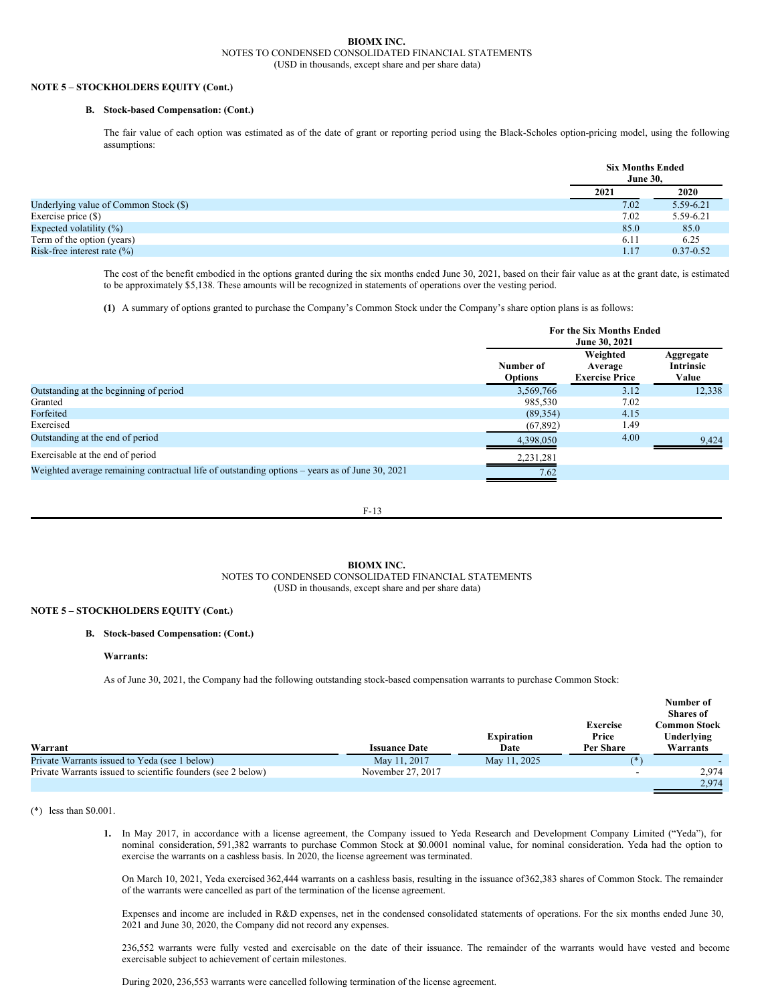#### **BIOMX INC.** NOTES TO CONDENSED CONSOLIDATED FINANCIAL STATEMENTS (USD in thousands, except share and per share data)

# **NOTE 5 – STOCKHOLDERS EQUITY (Cont.)**

# **B. Stock-based Compensation: (Cont.)**

The fair value of each option was estimated as of the date of grant or reporting period using the Black-Scholes option-pricing model, using the following assumptions:

|                                       |      | <b>Six Months Ended</b><br><b>June 30.</b> |  |
|---------------------------------------|------|--------------------------------------------|--|
|                                       | 2021 | 2020                                       |  |
| Underlying value of Common Stock (\$) | 7.02 | 5.59-6.21                                  |  |
| Exercise price $(\$)$                 | 7.02 | 5.59-6.21                                  |  |
| Expected volatility $(\%)$            | 85.0 | 85.0                                       |  |
| Term of the option (years)            | 6.11 | 6.25                                       |  |
| Risk-free interest rate $(\%)$        | 1.17 | $0.37 - 0.52$                              |  |

The cost of the benefit embodied in the options granted during the six months ended June 30, 2021, based on their fair value as at the grant date, is estimated to be approximately \$5,138. These amounts will be recognized in statements of operations over the vesting period.

**(1)** A summary of options granted to purchase the Company's Common Stock under the Company's share option plans is as follows:

|                                                                                                |                             | For the Six Months Ended<br>June 30, 2021    |                                 |  |
|------------------------------------------------------------------------------------------------|-----------------------------|----------------------------------------------|---------------------------------|--|
|                                                                                                | Number of<br><b>Options</b> | Weighted<br>Average<br><b>Exercise Price</b> | Aggregate<br>Intrinsic<br>Value |  |
| Outstanding at the beginning of period                                                         | 3,569,766                   | 3.12                                         | 12,338                          |  |
| Granted                                                                                        | 985,530                     | 7.02                                         |                                 |  |
| Forfeited                                                                                      | (89,354)                    | 4.15                                         |                                 |  |
| Exercised                                                                                      | (67, 892)                   | 1.49                                         |                                 |  |
| Outstanding at the end of period                                                               | 4,398,050                   | 4.00                                         | 9,424                           |  |
| Exercisable at the end of period                                                               | 2,231,281                   |                                              |                                 |  |
| Weighted average remaining contractual life of outstanding options – years as of June 30, 2021 | 7.62                        |                                              |                                 |  |

F-13

## **BIOMX INC.** NOTES TO CONDENSED CONSOLIDATED FINANCIAL STATEMENTS (USD in thousands, except share and per share data)

# **NOTE 5 – STOCKHOLDERS EQUITY (Cont.)**

# **B. Stock-based Compensation: (Cont.)**

#### **Warrants:**

As of June 30, 2021, the Company had the following outstanding stock-based compensation warrants to purchase Common Stock:

|                                                              |                      |                   |           | Number of        |
|--------------------------------------------------------------|----------------------|-------------------|-----------|------------------|
|                                                              |                      |                   |           | <b>Shares</b> of |
|                                                              |                      |                   | Exercise  | Common Stock     |
|                                                              |                      | <b>Expiration</b> | Price     | Underlying       |
| Warrant                                                      | <b>Issuance Date</b> | Date              | Per Share | Warrants         |
| Private Warrants issued to Yeda (see 1 below)                | May 11, 2017         | May 11, 2025      |           |                  |
| Private Warrants issued to scientific founders (see 2 below) | November 27, 2017    |                   |           | 2.974            |
|                                                              |                      |                   |           | 2.974            |

(\*) less than \$0.001.

**1.** In May 2017, in accordance with a license agreement, the Company issued to Yeda Research and Development Company Limited ("Yeda"), for nominal consideration, 591,382 warrants to purchase Common Stock at \$0.0001 nominal value, for nominal consideration. Yeda had the option to exercise the warrants on a cashless basis. In 2020, the license agreement was terminated.

On March 10, 2021, Yeda exercised 362,444 warrants on a cashless basis, resulting in the issuance of362,383 shares of Common Stock. The remainder of the warrants were cancelled as part of the termination of the license agreement.

Expenses and income are included in R&D expenses, net in the condensed consolidated statements of operations. For the six months ended June 30, 2021 and June 30, 2020, the Company did not record any expenses.

236,552 warrants were fully vested and exercisable on the date of their issuance. The remainder of the warrants would have vested and become exercisable subject to achievement of certain milestones.

During 2020, 236,553 warrants were cancelled following termination of the license agreement.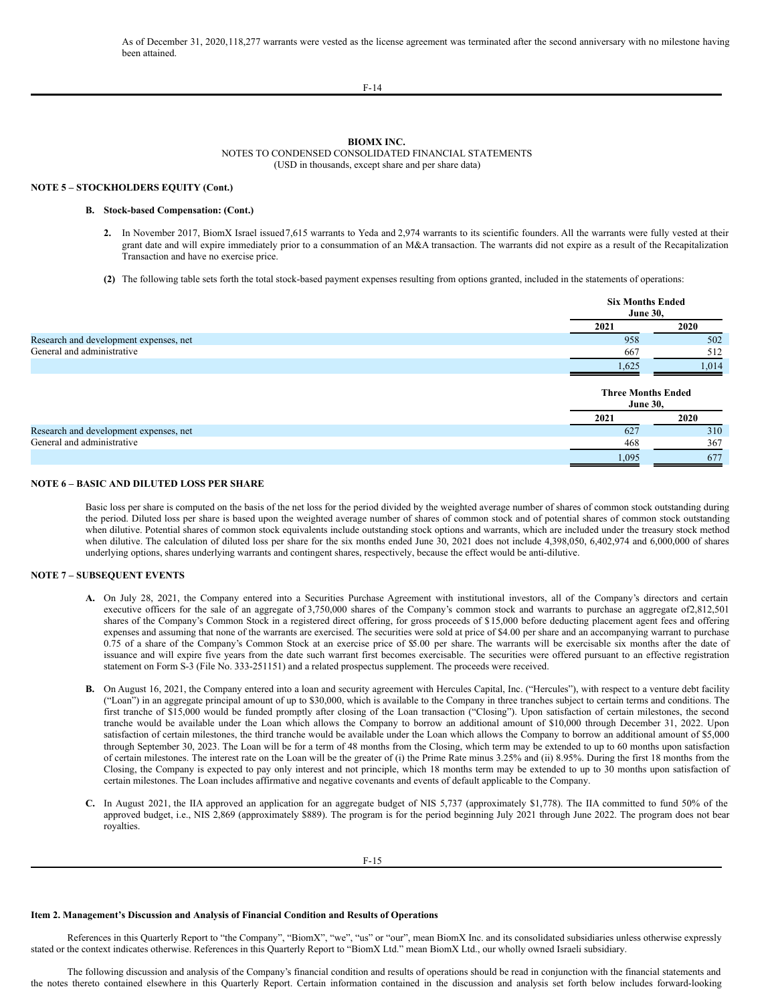As of December 31, 2020,118,277 warrants were vested as the license agreement was terminated after the second anniversary with no milestone having been attained.

# **BIOMX INC.**

NOTES TO CONDENSED CONSOLIDATED FINANCIAL STATEMENTS

(USD in thousands, except share and per share data)

# **NOTE 5 – STOCKHOLDERS EQUITY (Cont.)**

# **B. Stock-based Compensation: (Cont.)**

- 2. In November 2017, BiomX Israel issued7,615 warrants to Yeda and 2,974 warrants to its scientific founders. All the warrants were fully vested at their grant date and will expire immediately prior to a consummation of an M&A transaction. The warrants did not expire as a result of the Recapitalization Transaction and have no exercise price.
- **(2)** The following table sets forth the total stock-based payment expenses resulting from options granted, included in the statements of operations:

|                                        |                                              | <b>Six Months Ended</b><br><b>June 30,</b> |  |
|----------------------------------------|----------------------------------------------|--------------------------------------------|--|
|                                        | 2021                                         | 2020                                       |  |
| Research and development expenses, net | 958                                          | 502                                        |  |
| General and administrative             | 667                                          | 512                                        |  |
|                                        | 1,625                                        | 1,014                                      |  |
|                                        | <b>Three Months Ended</b><br><b>June 30,</b> |                                            |  |
|                                        | 2021                                         | 2020                                       |  |
| Research and development expenses, net | 627                                          | 310                                        |  |
| General and administrative             | 468                                          | 367                                        |  |
|                                        | 1,095                                        | 677                                        |  |

## **NOTE 6 – BASIC AND DILUTED LOSS PER SHARE**

Basic loss per share is computed on the basis of the net loss for the period divided by the weighted average number of shares of common stock outstanding during the period. Diluted loss per share is based upon the weighted average number of shares of common stock and of potential shares of common stock outstanding when dilutive. Potential shares of common stock equivalents include outstanding stock options and warrants, which are included under the treasury stock method when dilutive. The calculation of diluted loss per share for the six months ended June 30, 2021 does not include 4,398,050, 6,402,974 and 6,000,000 of shares underlying options, shares underlying warrants and contingent shares, respectively, because the effect would be anti-dilutive.

# **NOTE 7 – SUBSEQUENT EVENTS**

- **A.** On July 28, 2021, the Company entered into a Securities Purchase Agreement with institutional investors, all of the Company's directors and certain executive officers for the sale of an aggregate of 3,750,000 shares of the Company's common stock and warrants to purchase an aggregate of2,812,501 shares of the Company's Common Stock in a registered direct offering, for gross proceeds of \$15,000 before deducting placement agent fees and offering expenses and assuming that none of the warrants are exercised. The securities were sold at price of \$4.00 per share and an accompanying warrant to purchase 0.75 of a share of the Company's Common Stock at an exercise price of \$5.00 per share. The warrants will be exercisable six months after the date of issuance and will expire five years from the date such warrant first becomes exercisable. The securities were offered pursuant to an effective registration statement on Form S-3 (File No. 333-251151) and a related prospectus supplement. The proceeds were received.
- **B.** On August 16, 2021, the Company entered into a loan and security agreement with Hercules Capital, Inc. ("Hercules"), with respect to a venture debt facility ("Loan") in an aggregate principal amount of up to \$30,000, which is available to the Company in three tranches subject to certain terms and conditions. The first tranche of \$15,000 would be funded promptly after closing of the Loan transaction ("Closing"). Upon satisfaction of certain milestones, the second tranche would be available under the Loan which allows the Company to borrow an additional amount of \$10,000 through December 31, 2022. Upon satisfaction of certain milestones, the third tranche would be available under the Loan which allows the Company to borrow an additional amount of \$5,000 through September 30, 2023. The Loan will be for a term of 48 months from the Closing, which term may be extended to up to 60 months upon satisfaction of certain milestones. The interest rate on the Loan will be the greater of (i) the Prime Rate minus 3.25% and (ii) 8.95%. During the first 18 months from the Closing, the Company is expected to pay only interest and not principle, which 18 months term may be extended to up to 30 months upon satisfaction of certain milestones. The Loan includes affirmative and negative covenants and events of default applicable to the Company.
- **C.** In August 2021, the IIA approved an application for an aggregate budget of NIS 5,737 (approximately \$1,778). The IIA committed to fund 50% of the approved budget, i.e., NIS 2,869 (approximately \$889). The program is for the period beginning July 2021 through June 2022. The program does not bear royalties.

#### **Item 2. Management's Discussion and Analysis of Financial Condition and Results of Operations**

References in this Quarterly Report to "the Company", "BiomX", "we", "us" or "our", mean BiomX Inc. and its consolidated subsidiaries unless otherwise expressly stated or the context indicates otherwise. References in this Quarterly Report to "BiomX Ltd." mean BiomX Ltd., our wholly owned Israeli subsidiary.

The following discussion and analysis of the Company's financial condition and results of operations should be read in conjunction with the financial statements and the notes thereto contained elsewhere in this Quarterly Report. Certain information contained in the discussion and analysis set forth below includes forward-looking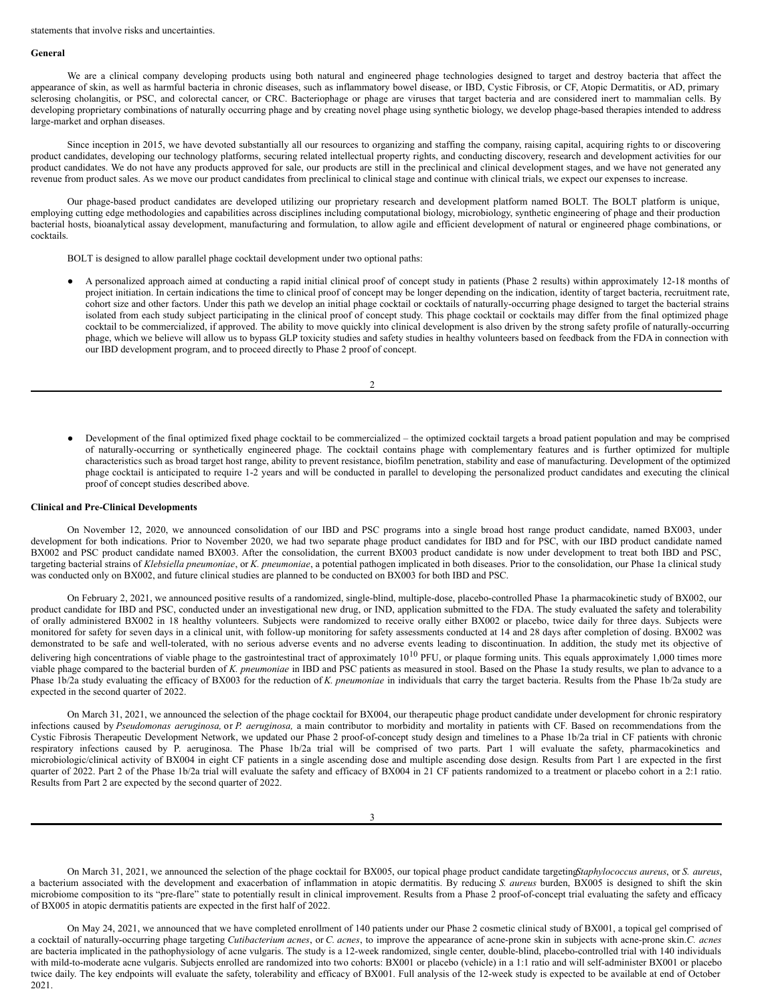#### **General**

We are a clinical company developing products using both natural and engineered phage technologies designed to target and destroy bacteria that affect the appearance of skin, as well as harmful bacteria in chronic diseases, such as inflammatory bowel disease, or IBD, Cystic Fibrosis, or CF, Atopic Dermatitis, or AD, primary sclerosing cholangitis, or PSC, and colorectal cancer, or CRC. Bacteriophage or phage are viruses that target bacteria and are considered inert to mammalian cells. By developing proprietary combinations of naturally occurring phage and by creating novel phage using synthetic biology, we develop phage-based therapies intended to address large-market and orphan diseases.

Since inception in 2015, we have devoted substantially all our resources to organizing and staffing the company, raising capital, acquiring rights to or discovering product candidates, developing our technology platforms, securing related intellectual property rights, and conducting discovery, research and development activities for our product candidates. We do not have any products approved for sale, our products are still in the preclinical and clinical development stages, and we have not generated any revenue from product sales. As we move our product candidates from preclinical to clinical stage and continue with clinical trials, we expect our expenses to increase.

Our phage-based product candidates are developed utilizing our proprietary research and development platform named BOLT. The BOLT platform is unique, employing cutting edge methodologies and capabilities across disciplines including computational biology, microbiology, synthetic engineering of phage and their production bacterial hosts, bioanalytical assay development, manufacturing and formulation, to allow agile and efficient development of natural or engineered phage combinations, or cocktails.

BOLT is designed to allow parallel phage cocktail development under two optional paths:

A personalized approach aimed at conducting a rapid initial clinical proof of concept study in patients (Phase 2 results) within approximately 12-18 months of project initiation. In certain indications the time to clinical proof of concept may be longer depending on the indication, identity of target bacteria, recruitment rate, cohort size and other factors. Under this path we develop an initial phage cocktail or cocktails of naturally-occurring phage designed to target the bacterial strains isolated from each study subject participating in the clinical proof of concept study. This phage cocktail or cocktails may differ from the final optimized phage cocktail to be commercialized, if approved. The ability to move quickly into clinical development is also driven by the strong safety profile of naturally-occurring phage, which we believe will allow us to bypass GLP toxicity studies and safety studies in healthy volunteers based on feedback from the FDA in connection with our IBD development program, and to proceed directly to Phase 2 proof of concept.

| ł |  |
|---|--|
|   |  |
|   |  |

Development of the final optimized fixed phage cocktail to be commercialized – the optimized cocktail targets a broad patient population and may be comprised of naturally-occurring or synthetically engineered phage. The cocktail contains phage with complementary features and is further optimized for multiple characteristics such as broad target host range, ability to prevent resistance, biofilm penetration, stability and ease of manufacturing. Development of the optimized phage cocktail is anticipated to require 1-2 years and will be conducted in parallel to developing the personalized product candidates and executing the clinical proof of concept studies described above.

#### **Clinical and Pre-Clinical Developments**

On November 12, 2020, we announced consolidation of our IBD and PSC programs into a single broad host range product candidate, named BX003, under development for both indications. Prior to November 2020, we had two separate phage product candidates for IBD and for PSC, with our IBD product candidate named BX002 and PSC product candidate named BX003. After the consolidation, the current BX003 product candidate is now under development to treat both IBD and PSC, targeting bacterial strains of *Klebsiella pneumoniae*, or *K. pneumoniae*, a potential pathogen implicated in both diseases. Prior to the consolidation, our Phase 1a clinical study was conducted only on BX002, and future clinical studies are planned to be conducted on BX003 for both IBD and PSC.

On February 2, 2021, we announced positive results of a randomized, single-blind, multiple-dose, placebo-controlled Phase 1a pharmacokinetic study of BX002, our product candidate for IBD and PSC, conducted under an investigational new drug, or IND, application submitted to the FDA. The study evaluated the safety and tolerability of orally administered BX002 in 18 healthy volunteers. Subjects were randomized to receive orally either BX002 or placebo, twice daily for three days. Subjects were monitored for safety for seven days in a clinical unit, with follow-up monitoring for safety assessments conducted at 14 and 28 days after completion of dosing. BX002 was demonstrated to be safe and well-tolerated, with no serious adverse events and no adverse events leading to discontinuation. In addition, the study met its objective of demonstrated to be safe and well-tolerated, with no s delivering high concentrations of viable phage to the gastrointestinal tract of approximately  $10^{10}$  PFU, or plaque forming units. This equals approximately  $1,000$  times more viable phage compared to the bacterial burden of *K. pneumoniae* in IBD and PSC patients as measured in stool. Based on the Phase 1a study results, we plan to advance to a Phase 1b/2a study evaluating the efficacy of BX003 for the reduction of *K. pneumoniae* in individuals that carry the target bacteria. Results from the Phase 1b/2a study are expected in the second quarter of 2022.

On March 31, 2021, we announced the selection of the phage cocktail for BX004, our therapeutic phage product candidate under development for chronic respiratory infections caused by *Pseudomonas aeruginosa,* or *P. aeruginosa,* a main contributor to morbidity and mortality in patients with CF. Based on recommendations from the Cystic Fibrosis Therapeutic Development Network, we updated our Phase 2 proof-of-concept study design and timelines to a Phase 1b/2a trial in CF patients with chronic respiratory infections caused by P. aeruginosa. The Phase 1b/2a trial will be comprised of two parts. Part 1 will evaluate the safety, pharmacokinetics and microbiologic/clinical activity of BX004 in eight CF patients in a single ascending dose and multiple ascending dose design. Results from Part 1 are expected in the first quarter of 2022. Part 2 of the Phase 1b/2a trial will evaluate the safety and efficacy of BX004 in 21 CF patients randomized to a treatment or placebo cohort in a 2:1 ratio. Results from Part 2 are expected by the second quarter of 2022.

On March 31, 2021, we announced the selection of the phage cocktail for BX005, our topical phage product candidate targeting*Staphylococcus aureus*, or *S. aureus*, a bacterium associated with the development and exacerbation of inflammation in atopic dermatitis. By reducing *S. aureus* burden, BX005 is designed to shift the skin microbiome composition to its "pre-flare" state to potentially result in clinical improvement. Results from a Phase 2 proof-of-concept trial evaluating the safety and efficacy of BX005 in atopic dermatitis patients are expected in the first half of 2022.

On May 24, 2021, we announced that we have completed enrollment of 140 patients under our Phase 2 cosmetic clinical study of BX001, a topical gel comprised of a cocktail of naturally-occurring phage targeting *Cutibacterium acnes*, or *C. acnes*, to improve the appearance of acne-prone skin in subjects with acne-prone skin.*C. acnes* are bacteria implicated in the pathophysiology of acne vulgaris. The study is a 12-week randomized, single center, double-blind, placebo-controlled trial with 140 individuals with mild-to-moderate acne vulgaris. Subjects enrolled are randomized into two cohorts: BX001 or placebo (vehicle) in a 1:1 ratio and will self-administer BX001 or placebo twice daily. The key endpoints will evaluate the safety, tolerability and efficacy of BX001. Full analysis of the 12-week study is expected to be available at end of October 2021.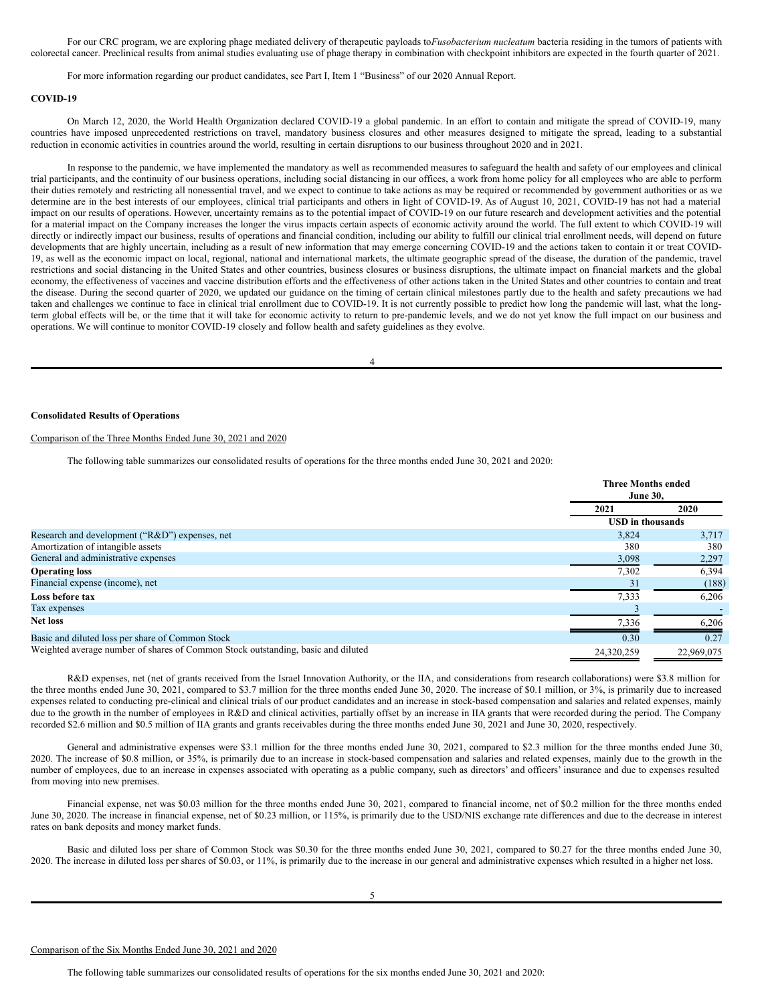For our CRC program, we are exploring phage mediated delivery of therapeutic payloads to*Fusobacterium nucleatum* bacteria residing in the tumors of patients with colorectal cancer. Preclinical results from animal studies evaluating use of phage therapy in combination with checkpoint inhibitors are expected in the fourth quarter of 2021.

For more information regarding our product candidates, see Part I, Item 1 "Business" of our 2020 Annual Report.

#### **COVID-19**

On March 12, 2020, the World Health Organization declared COVID-19 a global pandemic. In an effort to contain and mitigate the spread of COVID-19, many countries have imposed unprecedented restrictions on travel, mandatory business closures and other measures designed to mitigate the spread, leading to a substantial reduction in economic activities in countries around the world, resulting in certain disruptions to our business throughout 2020 and in 2021.

In response to the pandemic, we have implemented the mandatory as well as recommended measures to safeguard the health and safety of our employees and clinical trial participants, and the continuity of our business operations, including social distancing in our offices, a work from home policy for all employees who are able to perform their duties remotely and restricting all nonessential travel, and we expect to continue to take actions as may be required or recommended by government authorities or as we determine are in the best interests of our employees, clinical trial participants and others in light of COVID-19. As of August 10, 2021, COVID-19 has not had a material impact on our results of operations. However, uncertainty remains as to the potential impact of COVID-19 on our future research and development activities and the potential for a material impact on the Company increases the longer the virus impacts certain aspects of economic activity around the world. The full extent to which COVID-19 will directly or indirectly impact our business, results of operations and financial condition, including our ability to fulfill our clinical trial enrollment needs, will depend on future developments that are highly uncertain, including as a result of new information that may emerge concerning COVID-19 and the actions taken to contain it or treat COVID-19, as well as the economic impact on local, regional, national and international markets, the ultimate geographic spread of the disease, the duration of the pandemic, travel restrictions and social distancing in the United States and other countries, business closures or business disruptions, the ultimate impact on financial markets and the global economy, the effectiveness of vaccines and vaccine distribution efforts and the effectiveness of other actions taken in the United States and other countries to contain and treat the disease. During the second quarter of 2020, we updated our guidance on the timing of certain clinical milestones partly due to the health and safety precautions we had taken and challenges we continue to face in clinical trial enrollment due to COVID-19. It is not currently possible to predict how long the pandemic will last, what the longterm global effects will be, or the time that it will take for economic activity to return to pre-pandemic levels, and we do not yet know the full impact on our business and operations. We will continue to monitor COVID-19 closely and follow health and safety guidelines as they evolve.

4

#### **Consolidated Results of Operations**

Comparison of the Three Months Ended June 30, 2021 and 2020

The following table summarizes our consolidated results of operations for the three months ended June 30, 2021 and 2020:

|                                                                                  |            | <b>Three Months ended</b><br><b>June 30.</b> |  |
|----------------------------------------------------------------------------------|------------|----------------------------------------------|--|
|                                                                                  | 2021       | 2020                                         |  |
|                                                                                  |            | <b>USD</b> in thousands                      |  |
| Research and development ("R&D") expenses, net                                   | 3.824      | 3,717                                        |  |
| Amortization of intangible assets                                                | 380        | 380                                          |  |
| General and administrative expenses                                              | 3,098      | 2,297                                        |  |
| <b>Operating loss</b>                                                            | 7,302      | 6,394                                        |  |
| Financial expense (income), net                                                  | 31         | (188)                                        |  |
| Loss before tax                                                                  | 7,333      | 6,206                                        |  |
| Tax expenses                                                                     |            |                                              |  |
| <b>Net loss</b>                                                                  | 7,336      | 6,206                                        |  |
| Basic and diluted loss per share of Common Stock                                 | 0.30       | 0.27                                         |  |
| Weighted average number of shares of Common Stock outstanding, basic and diluted | 24,320,259 | 22,969,075                                   |  |

R&D expenses, net (net of grants received from the Israel Innovation Authority, or the IIA, and considerations from research collaborations) were \$3.8 million for the three months ended June 30, 2021, compared to \$3.7 million for the three months ended June 30, 2020. The increase of \$0.1 million, or 3%, is primarily due to increased expenses related to conducting pre-clinical and clinical trials of our product candidates and an increase in stock-based compensation and salaries and related expenses, mainly due to the growth in the number of employees in R&D and clinical activities, partially offset by an increase in IIA grants that were recorded during the period. The Company recorded \$2.6 million and \$0.5 million of IIA grants and grants receivables during the three months ended June 30, 2021 and June 30, 2020, respectively.

General and administrative expenses were \$3.1 million for the three months ended June 30, 2021, compared to \$2.3 million for the three months ended June 30, 2020. The increase of \$0.8 million, or 35%, is primarily due to an increase in stock-based compensation and salaries and related expenses, mainly due to the growth in the number of employees, due to an increase in expenses associated with operating as a public company, such as directors' and officers' insurance and due to expenses resulted from moving into new premises.

Financial expense, net was \$0.03 million for the three months ended June 30, 2021, compared to financial income, net of \$0.2 million for the three months ended June 30, 2020. The increase in financial expense, net of \$0.23 million, or 115%, is primarily due to the USD/NIS exchange rate differences and due to the decrease in interest rates on bank deposits and money market funds.

Basic and diluted loss per share of Common Stock was \$0.30 for the three months ended June 30, 2021, compared to \$0.27 for the three months ended June 30, 2020. The increase in diluted loss per shares of \$0.03, or 11%, is primarily due to the increase in our general and administrative expenses which resulted in a higher net loss.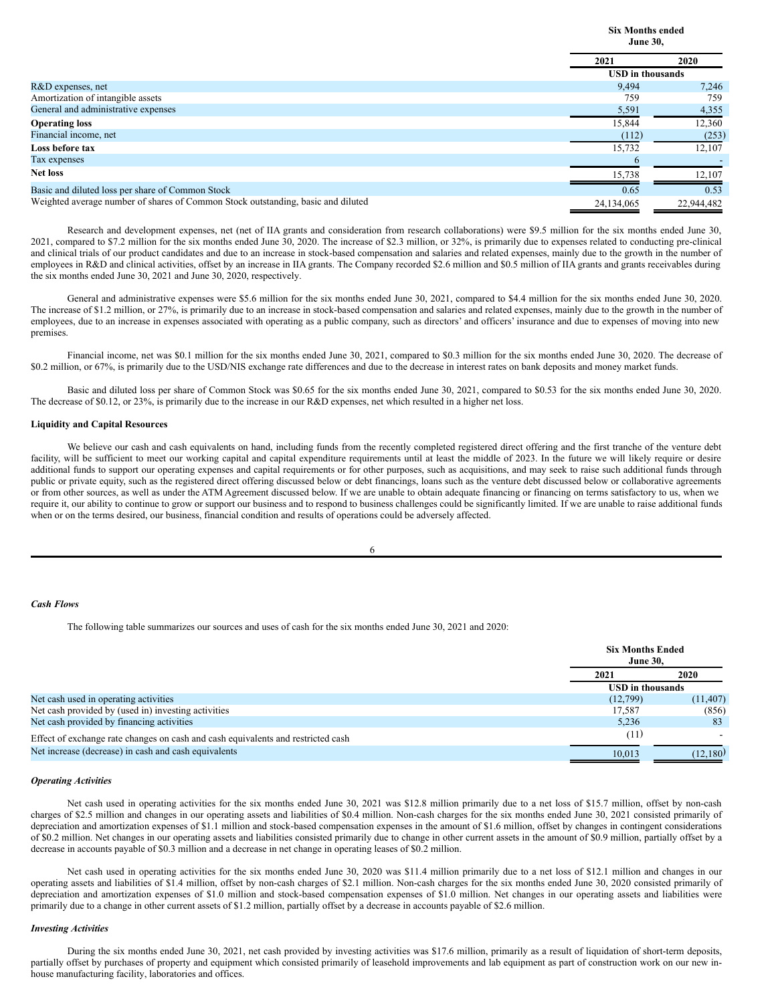|                                                                                  | <b>Six Months ended</b><br><b>June 30,</b> |            |
|----------------------------------------------------------------------------------|--------------------------------------------|------------|
|                                                                                  | 2021                                       | 2020       |
|                                                                                  | <b>USD</b> in thousands                    |            |
| R&D expenses, net                                                                | 9.494                                      | 7,246      |
| Amortization of intangible assets                                                | 759                                        | 759        |
| General and administrative expenses                                              | 5,591                                      | 4,355      |
| <b>Operating loss</b>                                                            | 15,844                                     | 12,360     |
| Financial income, net                                                            | (112)                                      | (253)      |
| Loss before tax                                                                  | 15,732                                     | 12,107     |
| Tax expenses                                                                     |                                            |            |
| <b>Net loss</b>                                                                  | 15,738                                     | 12,107     |
| Basic and diluted loss per share of Common Stock                                 | 0.65                                       | 0.53       |
| Weighted average number of shares of Common Stock outstanding, basic and diluted | 24,134,065                                 | 22,944,482 |

Research and development expenses, net (net of IIA grants and consideration from research collaborations) were \$9.5 million for the six months ended June 30, 2021, compared to \$7.2 million for the six months ended June 30, 2020. The increase of \$2.3 million, or 32%, is primarily due to expenses related to conducting pre-clinical and clinical trials of our product candidates and due to an increase in stock-based compensation and salaries and related expenses, mainly due to the growth in the number of employees in R&D and clinical activities, offset by an increase in IIA grants. The Company recorded \$2.6 million and \$0.5 million of IIA grants and grants receivables during the six months ended June 30, 2021 and June 30, 2020, respectively.

General and administrative expenses were \$5.6 million for the six months ended June 30, 2021, compared to \$4.4 million for the six months ended June 30, 2020. The increase of \$1.2 million, or 27%, is primarily due to an increase in stock-based compensation and salaries and related expenses, mainly due to the growth in the number of employees, due to an increase in expenses associated with operating as a public company, such as directors' and officers' insurance and due to expenses of moving into new premises.

Financial income, net was \$0.1 million for the six months ended June 30, 2021, compared to \$0.3 million for the six months ended June 30, 2020. The decrease of \$0.2 million, or 67%, is primarily due to the USD/NIS exchange rate differences and due to the decrease in interest rates on bank deposits and money market funds.

Basic and diluted loss per share of Common Stock was \$0.65 for the six months ended June 30, 2021, compared to \$0.53 for the six months ended June 30, 2020. The decrease of \$0.12, or 23%, is primarily due to the increase in our R&D expenses, net which resulted in a higher net loss.

# **Liquidity and Capital Resources**

We believe our cash and cash equivalents on hand, including funds from the recently completed registered direct offering and the first tranche of the venture debt facility, will be sufficient to meet our working capital and capital expenditure requirements until at least the middle of 2023. In the future we will likely require or desire additional funds to support our operating expenses and capital requirements or for other purposes, such as acquisitions, and may seek to raise such additional funds through public or private equity, such as the registered direct offering discussed below or debt financings, loans such as the venture debt discussed below or collaborative agreements or from other sources, as well as under the ATM Agreement discussed below. If we are unable to obtain adequate financing or financing on terms satisfactory to us, when we require it, our ability to continue to grow or support our business and to respond to business challenges could be significantly limited. If we are unable to raise additional funds when or on the terms desired, our business, financial condition and results of operations could be adversely affected.

6

#### *Cash Flows*

The following table summarizes our sources and uses of cash for the six months ended June 30, 2021 and 2020:

|                                                                                  |                         | <b>Six Months Ended</b><br><b>June 30,</b> |  |
|----------------------------------------------------------------------------------|-------------------------|--------------------------------------------|--|
|                                                                                  | 2021                    | 2020                                       |  |
|                                                                                  | <b>USD</b> in thousands |                                            |  |
| Net cash used in operating activities                                            | (12,799)                | (11, 407)                                  |  |
| Net cash provided by (used in) investing activities                              | 17.587                  | (856)                                      |  |
| Net cash provided by financing activities                                        | 5.236                   | 83                                         |  |
| Effect of exchange rate changes on cash and cash equivalents and restricted cash | (11)                    |                                            |  |
| Net increase (decrease) in cash and cash equivalents                             | 10.013                  | (12.180)                                   |  |

#### *Operating Activities*

Net cash used in operating activities for the six months ended June 30, 2021 was \$12.8 million primarily due to a net loss of \$15.7 million, offset by non-cash charges of \$2.5 million and changes in our operating assets and liabilities of \$0.4 million. Non-cash charges for the six months ended June 30, 2021 consisted primarily of depreciation and amortization expenses of \$1.1 million and stock-based compensation expenses in the amount of \$1.6 million, offset by changes in contingent considerations of \$0.2 million. Net changes in our operating assets and liabilities consisted primarily due to change in other current assets in the amount of \$0.9 million, partially offset by a decrease in accounts payable of \$0.3 million and a decrease in net change in operating leases of \$0.2 million.

Net cash used in operating activities for the six months ended June 30, 2020 was \$11.4 million primarily due to a net loss of \$12.1 million and changes in our operating assets and liabilities of \$1.4 million, offset by non-cash charges of \$2.1 million. Non-cash charges for the six months ended June 30, 2020 consisted primarily of depreciation and amortization expenses of \$1.0 million and stock-based compensation expenses of \$1.0 million. Net changes in our operating assets and liabilities were primarily due to a change in other current assets of \$1.2 million, partially offset by a decrease in accounts payable of \$2.6 million.

#### *Investing Activities*

During the six months ended June 30, 2021, net cash provided by investing activities was \$17.6 million, primarily as a result of liquidation of short-term deposits, partially offset by purchases of property and equipment which consisted primarily of leasehold improvements and lab equipment as part of construction work on our new inhouse manufacturing facility, laboratories and offices.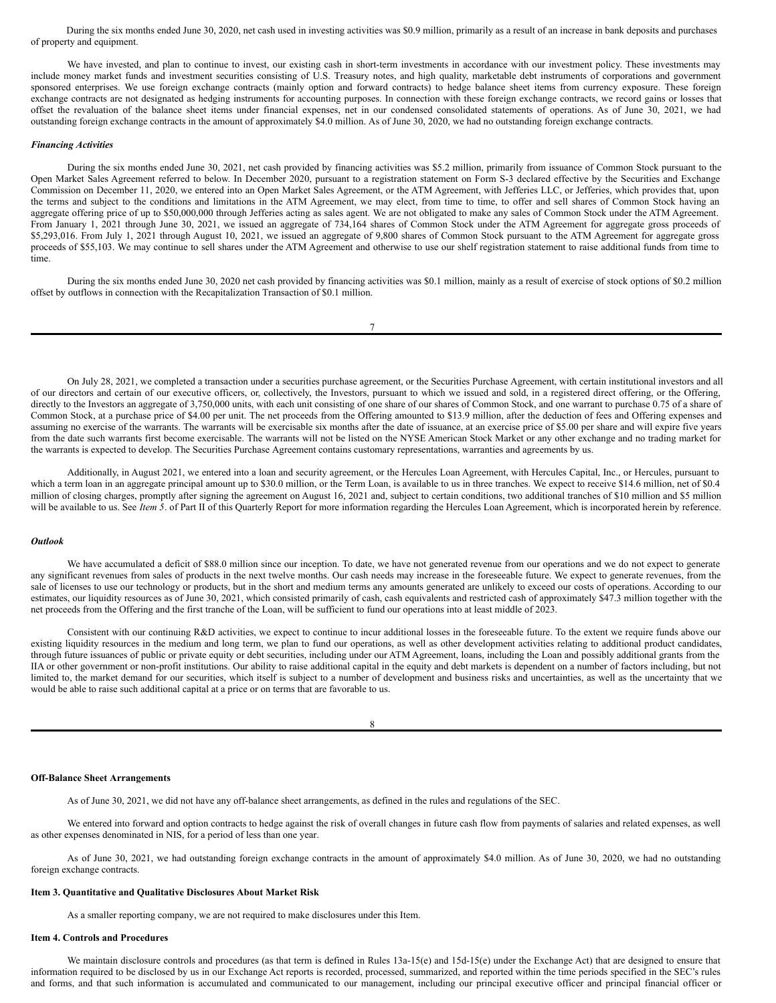During the six months ended June 30, 2020, net cash used in investing activities was \$0.9 million, primarily as a result of an increase in bank deposits and purchases of property and equipment.

We have invested, and plan to continue to invest, our existing cash in short-term investments in accordance with our investment policy. These investments may include money market funds and investment securities consisting of U.S. Treasury notes, and high quality, marketable debt instruments of corporations and government sponsored enterprises. We use foreign exchange contracts (mainly option and forward contracts) to hedge balance sheet items from currency exposure. These foreign exchange contracts are not designated as hedging instruments for accounting purposes. In connection with these foreign exchange contracts, we record gains or losses that offset the revaluation of the balance sheet items under financial expenses, net in our condensed consolidated statements of operations. As of June 30, 2021, we had outstanding foreign exchange contracts in the amount of approximately \$4.0 million. As of June 30, 2020, we had no outstanding foreign exchange contracts.

#### *Financing Activities*

During the six months ended June 30, 2021, net cash provided by financing activities was \$5.2 million, primarily from issuance of Common Stock pursuant to the Open Market Sales Agreement referred to below. In December 2020, pursuant to a registration statement on Form S-3 declared effective by the Securities and Exchange Commission on December 11, 2020, we entered into an Open Market Sales Agreement, or the ATM Agreement, with Jefferies LLC, or Jefferies, which provides that, upon the terms and subject to the conditions and limitations in the ATM Agreement, we may elect, from time to time, to offer and sell shares of Common Stock having an aggregate offering price of up to \$50,000,000 through Jefferies acting as sales agent. We are not obligated to make any sales of Common Stock under the ATM Agreement. From January 1, 2021 through June 30, 2021, we issued an aggregate of 734,164 shares of Common Stock under the ATM Agreement for aggregate gross proceeds of \$5,293,016. From July 1, 2021 through August 10, 2021, we issued an aggregate of 9,800 shares of Common Stock pursuant to the ATM Agreement for aggregate gross proceeds of \$55,103. We may continue to sell shares under the ATM Agreement and otherwise to use our shelf registration statement to raise additional funds from time to time.

During the six months ended June 30, 2020 net cash provided by financing activities was \$0.1 million, mainly as a result of exercise of stock options of \$0.2 million offset by outflows in connection with the Recapitalization Transaction of \$0.1 million.

7

On July 28, 2021, we completed a transaction under a securities purchase agreement, or the Securities Purchase Agreement, with certain institutional investors and all of our directors and certain of our executive officers, or, collectively, the Investors, pursuant to which we issued and sold, in a registered direct offering, or the Offering, directly to the Investors an aggregate of 3,750,000 units, with each unit consisting of one share of our shares of Common Stock, and one warrant to purchase 0.75 of a share of Common Stock, at a purchase price of \$4.00 per unit. The net proceeds from the Offering amounted to \$13.9 million, after the deduction of fees and Offering expenses and assuming no exercise of the warrants. The warrants will be exercisable six months after the date of issuance, at an exercise price of \$5.00 per share and will expire five years from the date such warrants first become exercisable. The warrants will not be listed on the NYSE American Stock Market or any other exchange and no trading market for the warrants is expected to develop. The Securities Purchase Agreement contains customary representations, warranties and agreements by us.

Additionally, in August 2021, we entered into a loan and security agreement, or the Hercules Loan Agreement, with Hercules Capital, Inc., or Hercules, pursuant to which a term loan in an aggregate principal amount up to \$30.0 million, or the Term Loan, is available to us in three tranches. We expect to receive \$14.6 million, net of \$0.4 million of closing charges, promptly after signing the agreement on August 16, 2021 and, subject to certain conditions, two additional tranches of \$10 million and \$5 million will be available to us. See *Item* 5. of Part II of this Quarterly Report for more information regarding the Hercules Loan Agreement, which is incorporated herein by reference.

# *Outlook*

We have accumulated a deficit of \$88.0 million since our inception. To date, we have not generated revenue from our operations and we do not expect to generate any significant revenues from sales of products in the next twelve months. Our cash needs may increase in the foreseeable future. We expect to generate revenues, from the sale of licenses to use our technology or products, but in the short and medium terms any amounts generated are unlikely to exceed our costs of operations. According to our estimates, our liquidity resources as of June 30, 2021, which consisted primarily of cash, cash equivalents and restricted cash of approximately \$47.3 million together with the net proceeds from the Offering and the first tranche of the Loan, will be sufficient to fund our operations into at least middle of 2023.

Consistent with our continuing R&D activities, we expect to continue to incur additional losses in the foreseeable future. To the extent we require funds above our existing liquidity resources in the medium and long term, we plan to fund our operations, as well as other development activities relating to additional product candidates, through future issuances of public or private equity or debt securities, including under our ATM Agreement, loans, including the Loan and possibly additional grants from the IIA or other government or non-profit institutions. Our ability to raise additional capital in the equity and debt markets is dependent on a number of factors including, but not limited to, the market demand for our securities, which itself is subject to a number of development and business risks and uncertainties, as well as the uncertainty that we would be able to raise such additional capital at a price or on terms that are favorable to us.

8

#### **Off-Balance Sheet Arrangements**

As of June 30, 2021, we did not have any off-balance sheet arrangements, as defined in the rules and regulations of the SEC.

We entered into forward and option contracts to hedge against the risk of overall changes in future cash flow from payments of salaries and related expenses, as well as other expenses denominated in NIS, for a period of less than one year.

As of June 30, 2021, we had outstanding foreign exchange contracts in the amount of approximately \$4.0 million. As of June 30, 2020, we had no outstanding foreign exchange contracts.

# **Item 3. Quantitative and Qualitative Disclosures About Market Risk**

As a smaller reporting company, we are not required to make disclosures under this Item.

# **Item 4. Controls and Procedures**

We maintain disclosure controls and procedures (as that term is defined in Rules 13a-15(e) and 15d-15(e) under the Exchange Act) that are designed to ensure that information required to be disclosed by us in our Exchange Act reports is recorded, processed, summarized, and reported within the time periods specified in the SEC's rules and forms, and that such information is accumulated and communicated to our management, including our principal executive officer and principal financial officer or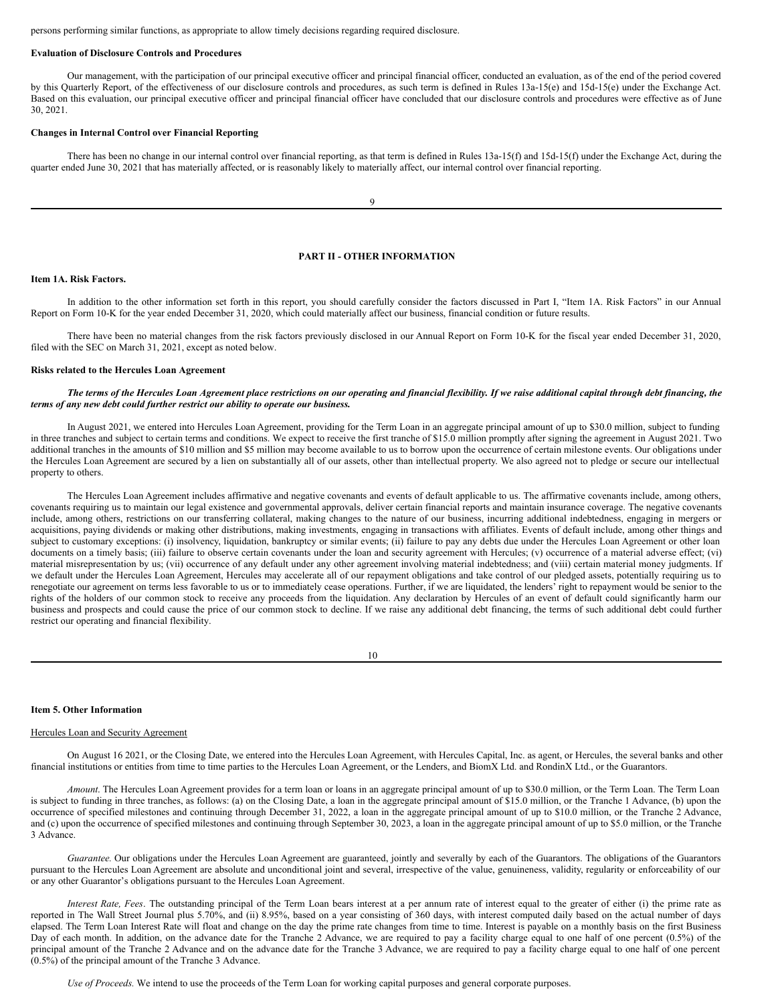persons performing similar functions, as appropriate to allow timely decisions regarding required disclosure.

#### **Evaluation of Disclosure Controls and Procedures**

Our management, with the participation of our principal executive officer and principal financial officer, conducted an evaluation, as of the end of the period covered by this Quarterly Report, of the effectiveness of our disclosure controls and procedures, as such term is defined in Rules 13a-15(e) and 15d-15(e) under the Exchange Act. Based on this evaluation, our principal executive officer and principal financial officer have concluded that our disclosure controls and procedures were effective as of June 30, 2021.

# **Changes in Internal Control over Financial Reporting**

There has been no change in our internal control over financial reporting, as that term is defined in Rules 13a-15(f) and 15d-15(f) under the Exchange Act, during the quarter ended June 30, 2021 that has materially affected, or is reasonably likely to materially affect, our internal control over financial reporting.

#### **PART II - OTHER INFORMATION**

#### **Item 1A. Risk Factors.**

In addition to the other information set forth in this report, you should carefully consider the factors discussed in Part I, "Item 1A. Risk Factors" in our Annual Report on Form 10-K for the year ended December 31, 2020, which could materially affect our business, financial condition or future results.

There have been no material changes from the risk factors previously disclosed in our Annual Report on Form 10-K for the fiscal year ended December 31, 2020, filed with the SEC on March 31, 2021, except as noted below.

#### **Risks related to the Hercules Loan Agreement**

The terms of the Hercules Loan Agreement place restrictions on our operating and financial flexibility. If we raise additional capital through debt financing, the *terms of any new debt could further restrict our ability to operate our business.*

In August 2021, we entered into Hercules Loan Agreement, providing for the Term Loan in an aggregate principal amount of up to \$30.0 million, subject to funding in three tranches and subject to certain terms and conditions. We expect to receive the first tranche of \$15.0 million promptly after signing the agreement in August 2021. Two additional tranches in the amounts of \$10 million and \$5 million may become available to us to borrow upon the occurrence of certain milestone events. Our obligations under the Hercules Loan Agreement are secured by a lien on substantially all of our assets, other than intellectual property. We also agreed not to pledge or secure our intellectual property to others.

The Hercules Loan Agreement includes affirmative and negative covenants and events of default applicable to us. The affirmative covenants include, among others, covenants requiring us to maintain our legal existence and governmental approvals, deliver certain financial reports and maintain insurance coverage. The negative covenants include, among others, restrictions on our transferring collateral, making changes to the nature of our business, incurring additional indebtedness, engaging in mergers or acquisitions, paying dividends or making other distributions, making investments, engaging in transactions with affiliates. Events of default include, among other things and subject to customary exceptions: (i) insolvency, liquidation, bankruptcy or similar events; (ii) failure to pay any debts due under the Hercules Loan Agreement or other loan documents on a timely basis; (iii) failure to observe certain covenants under the loan and security agreement with Hercules; (v) occurrence of a material adverse effect; (vi) material misrepresentation by us; (vii) occurrence of any default under any other agreement involving material indebtedness; and (viii) certain material money judgments. If we default under the Hercules Loan Agreement, Hercules may accelerate all of our repayment obligations and take control of our pledged assets, potentially requiring us to renegotiate our agreement on terms less favorable to us or to immediately cease operations. Further, if we are liquidated, the lenders' right to repayment would be senior to the rights of the holders of our common stock to receive any proceeds from the liquidation. Any declaration by Hercules of an event of default could significantly harm our business and prospects and could cause the price of our common stock to decline. If we raise any additional debt financing, the terms of such additional debt could further restrict our operating and financial flexibility.

| I             |  |
|---------------|--|
| ۰.<br>۰.<br>× |  |

#### **Item 5. Other Information**

#### Hercules Loan and Security Agreement

On August 16 2021, or the Closing Date, we entered into the Hercules Loan Agreement, with Hercules Capital, Inc. as agent, or Hercules, the several banks and other financial institutions or entities from time to time parties to the Hercules Loan Agreement, or the Lenders, and BiomX Ltd. and RondinX Ltd., or the Guarantors.

*Amount*. The Hercules Loan Agreement provides for a term loan or loans in an aggregate principal amount of up to \$30.0 million, or the Term Loan. The Term Loan is subject to funding in three tranches, as follows: (a) on the Closing Date, a loan in the aggregate principal amount of \$15.0 million, or the Tranche 1 Advance, (b) upon the occurrence of specified milestones and continuing through December 31, 2022, a loan in the aggregate principal amount of up to \$10.0 million, or the Tranche 2 Advance, and (c) upon the occurrence of specified milestones and continuing through September 30, 2023, a loan in the aggregate principal amount of up to \$5.0 million, or the Tranche 3 Advance.

*Guarantee.* Our obligations under the Hercules Loan Agreement are guaranteed, jointly and severally by each of the Guarantors. The obligations of the Guarantors pursuant to the Hercules Loan Agreement are absolute and unconditional joint and several, irrespective of the value, genuineness, validity, regularity or enforceability of our or any other Guarantor's obligations pursuant to the Hercules Loan Agreement.

*Interest Rate, Fees*. The outstanding principal of the Term Loan bears interest at a per annum rate of interest equal to the greater of either (i) the prime rate as reported in The Wall Street Journal plus 5.70%, and (ii) 8.95%, based on a year consisting of 360 days, with interest computed daily based on the actual number of days elapsed. The Term Loan Interest Rate will float and change on the day the prime rate changes from time to time. Interest is payable on a monthly basis on the first Business Day of each month. In addition, on the advance date for the Tranche 2 Advance, we are required to pay a facility charge equal to one half of one percent (0.5%) of the principal amount of the Tranche 2 Advance and on the advance date for the Tranche 3 Advance, we are required to pay a facility charge equal to one half of one percent (0.5%) of the principal amount of the Tranche 3 Advance.

*Use of Proceeds.* We intend to use the proceeds of the Term Loan for working capital purposes and general corporate purposes.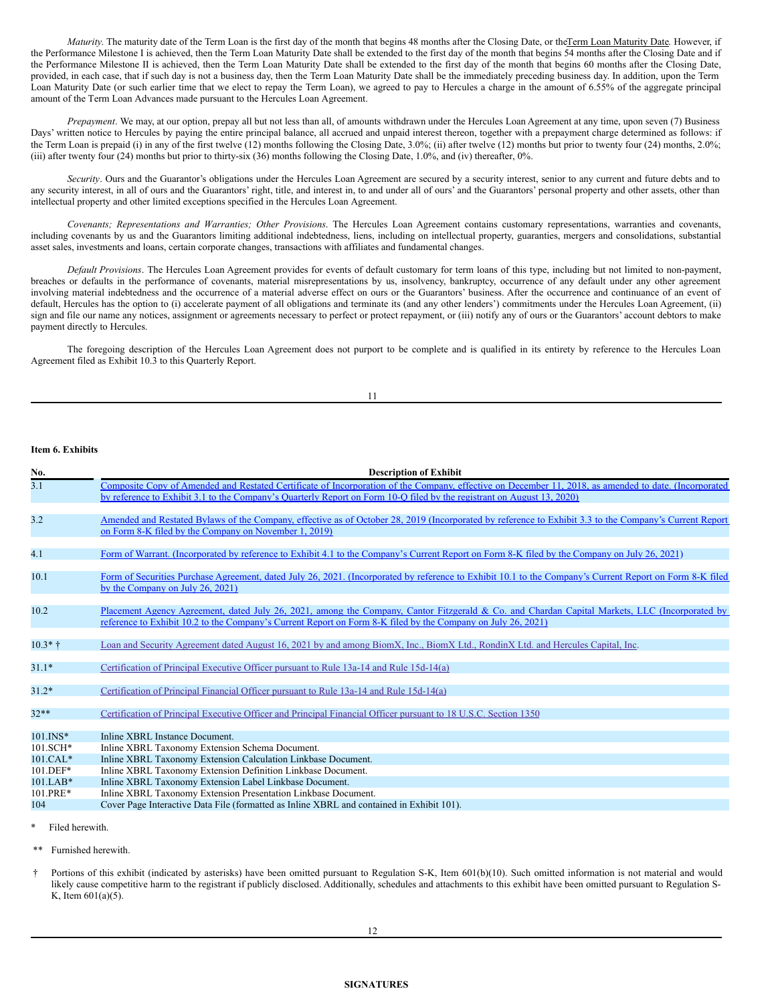*Maturity*. The maturity date of the Term Loan is the first day of the month that begins 48 months after the Closing Date, or theTerm Loan Maturity Date. However, if the Performance Milestone I is achieved, then the Term Loan Maturity Date shall be extended to the first day of the month that begins 54 months after the Closing Date and if the Performance Milestone II is achieved, then the Term Loan Maturity Date shall be extended to the first day of the month that begins 60 months after the Closing Date, provided, in each case, that if such day is not a business day, then the Term Loan Maturity Date shall be the immediately preceding business day. In addition, upon the Term Loan Maturity Date (or such earlier time that we elect to repay the Term Loan), we agreed to pay to Hercules a charge in the amount of 6.55% of the aggregate principal amount of the Term Loan Advances made pursuant to the Hercules Loan Agreement.

*Prepayment*. We may, at our option, prepay all but not less than all, of amounts withdrawn under the Hercules Loan Agreement at any time, upon seven (7) Business Days' written notice to Hercules by paying the entire principal balance, all accrued and unpaid interest thereon, together with a prepayment charge determined as follows: if the Term Loan is prepaid (i) in any of the first twelve (12) months following the Closing Date, 3.0%; (ii) after twelve (12) months but prior to twenty four (24) months, 2.0%; (iii) after twenty four (24) months but prior to thirty-six (36) months following the Closing Date, 1.0%, and (iv) thereafter, 0%.

*Security*. Ours and the Guarantor's obligations under the Hercules Loan Agreement are secured by a security interest, senior to any current and future debts and to any security interest, in all of ours and the Guarantors' right, title, and interest in, to and under all of ours' and the Guarantors' personal property and other assets, other than intellectual property and other limited exceptions specified in the Hercules Loan Agreement.

*Covenants; Representations and Warranties; Other Provisions*. The Hercules Loan Agreement contains customary representations, warranties and covenants, including covenants by us and the Guarantors limiting additional indebtedness, liens, including on intellectual property, guaranties, mergers and consolidations, substantial asset sales, investments and loans, certain corporate changes, transactions with affiliates and fundamental changes.

*Default Provisions*. The Hercules Loan Agreement provides for events of default customary for term loans of this type, including but not limited to non-payment, breaches or defaults in the performance of covenants, material misrepresentations by us, insolvency, bankruptcy, occurrence of any default under any other agreement involving material indebtedness and the occurrence of a material adverse effect on ours or the Guarantors' business. After the occurrence and continuance of an event of default, Hercules has the option to (i) accelerate payment of all obligations and terminate its (and any other lenders') commitments under the Hercules Loan Agreement, (ii) sign and file our name any notices, assignment or agreements necessary to perfect or protect repayment, or (iii) notify any of ours or the Guarantors' account debtors to make payment directly to Hercules.

The foregoing description of the Hercules Loan Agreement does not purport to be complete and is qualified in its entirety by reference to the Hercules Loan Agreement filed as Exhibit 10.3 to this Quarterly Report.

# **Item 6. Exhibits**

| No.        | <b>Description of Exhibit</b>                                                                                                                                                                                                                                 |
|------------|---------------------------------------------------------------------------------------------------------------------------------------------------------------------------------------------------------------------------------------------------------------|
| 3.1        | Composite Copy of Amended and Restated Certificate of Incorporation of the Company, effective on December 11, 2018, as amended to date. (Incorporated                                                                                                         |
|            | by reference to Exhibit 3.1 to the Company's Quarterly Report on Form 10-Q filed by the registrant on August 13, 2020)                                                                                                                                        |
| 3.2        | Amended and Restated Bylaws of the Company, effective as of October 28, 2019 (Incorporated by reference to Exhibit 3.3 to the Company's Current Report<br>on Form 8-K filed by the Company on November 1, 2019)                                               |
| 4.1        | Form of Warrant. (Incorporated by reference to Exhibit 4.1 to the Company's Current Report on Form 8-K filed by the Company on July 26, 2021)                                                                                                                 |
| 10.1       | Form of Securities Purchase Agreement, dated July 26, 2021. (Incorporated by reference to Exhibit 10.1 to the Company's Current Report on Form 8-K filed<br>by the Company on July 26, 2021)                                                                  |
| 10.2       | Placement Agency Agreement, dated July 26, 2021, among the Company, Cantor Fitzgerald & Co. and Chardan Capital Markets, LLC (Incorporated by<br>reference to Exhibit 10.2 to the Company's Current Report on Form 8-K filed by the Company on July 26, 2021) |
| $10.3*$ †  | Loan and Security Agreement dated August 16, 2021 by and among BiomX, Inc., BiomX Ltd., RondinX Ltd. and Hercules Capital, Inc.                                                                                                                               |
| $31.1*$    | Certification of Principal Executive Officer pursuant to Rule 13a-14 and Rule 15d-14(a)                                                                                                                                                                       |
| $31.2*$    | Certification of Principal Financial Officer pursuant to Rule 13a-14 and Rule 15d-14(a)                                                                                                                                                                       |
| $32**$     | Certification of Principal Executive Officer and Principal Financial Officer pursuant to 18 U.S.C. Section 1350                                                                                                                                               |
| 101.INS*   | Inline XBRL Instance Document.                                                                                                                                                                                                                                |
| 101.SCH*   | Inline XBRL Taxonomy Extension Schema Document.                                                                                                                                                                                                               |
| $101.CAL*$ | Inline XBRL Taxonomy Extension Calculation Linkbase Document.                                                                                                                                                                                                 |
| 101.DEF*   | Inline XBRL Taxonomy Extension Definition Linkbase Document.                                                                                                                                                                                                  |
| $101.LAB*$ | Inline XBRL Taxonomy Extension Label Linkbase Document.                                                                                                                                                                                                       |
| 101.PRE*   | Inline XBRL Taxonomy Extension Presentation Linkbase Document.                                                                                                                                                                                                |
| 104        | Cover Page Interactive Data File (formatted as Inline XBRL and contained in Exhibit 101).                                                                                                                                                                     |

Filed herewith.

Furnished herewith.

† Portions of this exhibit (indicated by asterisks) have been omitted pursuant to Regulation S-K, Item 601(b)(10). Such omitted information is not material and would likely cause competitive harm to the registrant if publicly disclosed. Additionally, schedules and attachments to this exhibit have been omitted pursuant to Regulation S-K, Item  $601(a)(5)$ .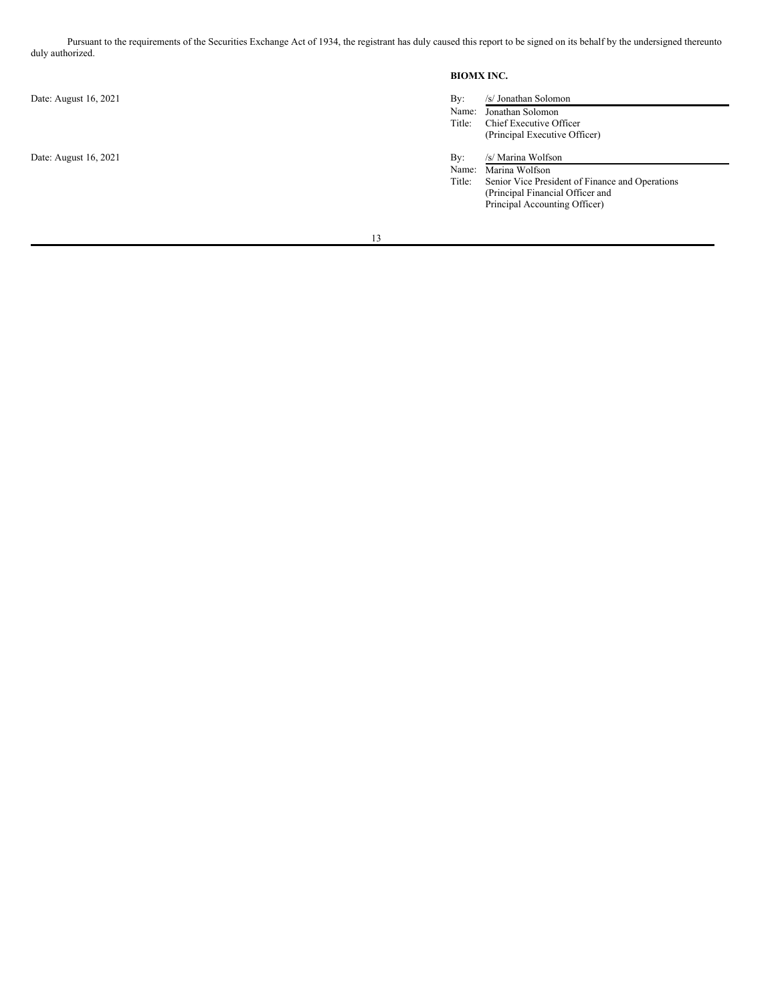Pursuant to the requirements of the Securities Exchange Act of 1934, the registrant has duly caused this report to be signed on its behalf by the undersigned thereunto duly authorized.

**BIOMX INC.**

| By:                | /s/ Jonathan Solomon                            |
|--------------------|-------------------------------------------------|
|                    | Name: Jonathan Solomon                          |
| Title <sup>.</sup> | Chief Executive Officer                         |
|                    | (Principal Executive Officer)                   |
| By:                | /s/ Marina Wolfson                              |
|                    | Name: Marina Wolfson                            |
| Title:             | Senior Vice President of Finance and Operations |
|                    | (Principal Financial Officer and                |

Principal Accounting Officer)

13

Date: August 16, 2021

Date: August 16, 2021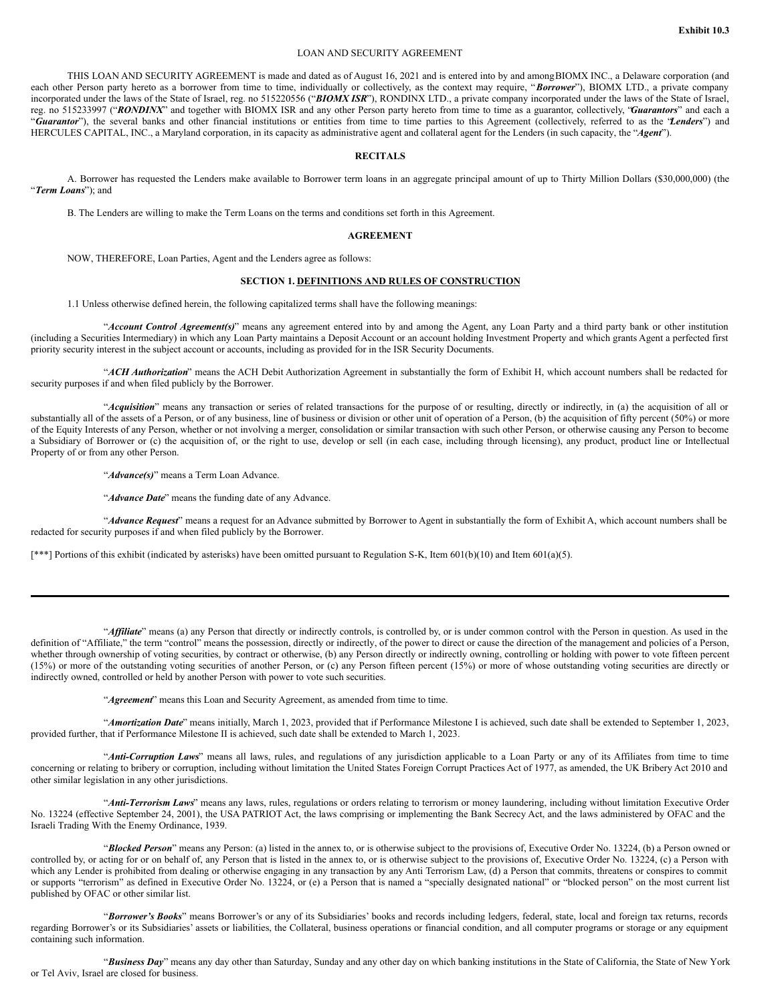#### LOAN AND SECURITY AGREEMENT

THIS LOAN AND SECURITY AGREEMENT is made and dated as of August 16, 2021 and is entered into by and amongBIOMX INC., a Delaware corporation (and each other Person party hereto as a borrower from time to time, individually or collectively, as the context may require, "Borrower"), BIOMX LTD., a private company incorporated under the laws of the State of Israel, reg. no 515220556 ("*BIOMX ISR*"), RONDINX LTD., a private company incorporated under the laws of the State of Israel, reg. no 515233997 ("*RONDINX*" and together with BIOMX ISR and any other Person party hereto from time to time as a guarantor, collectively, "*Guarantors*" and each a "*Guarantor*"), the several banks and other financial institutions or entities from time to time parties to this Agreement (collectively, referred to as the "*Lenders*") and HERCULES CAPITAL, INC., a Maryland corporation, in its capacity as administrative agent and collateral agent for the Lenders (in such capacity, the "*Agent*").

#### **RECITALS**

A. Borrower has requested the Lenders make available to Borrower term loans in an aggregate principal amount of up to Thirty Million Dollars (\$30,000,000) (the "*Term Loans*"); and

B. The Lenders are willing to make the Term Loans on the terms and conditions set forth in this Agreement.

#### **AGREEMENT**

NOW, THEREFORE, Loan Parties, Agent and the Lenders agree as follows:

#### **SECTION 1. DEFINITIONS AND RULES OF CONSTRUCTION**

1.1 Unless otherwise defined herein, the following capitalized terms shall have the following meanings:

"*Account Control Agreement(s)*" means any agreement entered into by and among the Agent, any Loan Party and a third party bank or other institution (including a Securities Intermediary) in which any Loan Party maintains a Deposit Account or an account holding Investment Property and which grants Agent a perfected first priority security interest in the subject account or accounts, including as provided for in the ISR Security Documents.

"*ACH Authorization*" means the ACH Debit Authorization Agreement in substantially the form of Exhibit H, which account numbers shall be redacted for security purposes if and when filed publicly by the Borrower.

"Acquisition" means any transaction or series of related transactions for the purpose of or resulting, directly or indirectly, in (a) the acquisition of all or substantially all of the assets of a Person, or of any business, line of business or division or other unit of operation of a Person, (b) the acquisition of fifty percent (50%) or more of the Equity Interests of any Person, whether or not involving a merger, consolidation or similar transaction with such other Person, or otherwise causing any Person to become a Subsidiary of Borrower or (c) the acquisition of, or the right to use, develop or sell (in each case, including through licensing), any product, product line or Intellectual Property of or from any other Person.

"*Advance(s)*" means a Term Loan Advance.

"*Advance Date*" means the funding date of any Advance.

"*Advance Request*" means a request for an Advance submitted by Borrower to Agent in substantially the form of Exhibit A, which account numbers shall be redacted for security purposes if and when filed publicly by the Borrower.

[\*\*\*] Portions of this exhibit (indicated by asterisks) have been omitted pursuant to Regulation S-K, Item 601(b)(10) and Item 601(a)(5).

"*Affiliate*" means (a) any Person that directly or indirectly controls, is controlled by, or is under common control with the Person in question. As used in the definition of "Affiliate," the term "control" means the possession, directly or indirectly, of the power to direct or cause the direction of the management and policies of a Person, whether through ownership of voting securities, by contract or otherwise, (b) any Person directly or indirectly owning, controlling or holding with power to vote fifteen percent (15%) or more of the outstanding voting securities of another Person, or (c) any Person fifteen percent (15%) or more of whose outstanding voting securities are directly or indirectly owned, controlled or held by another Person with power to vote such securities.

"*Agreement*" means this Loan and Security Agreement, as amended from time to time.

"*Amortization Date*" means initially, March 1, 2023, provided that if Performance Milestone I is achieved, such date shall be extended to September 1, 2023, provided further, that if Performance Milestone II is achieved, such date shall be extended to March 1, 2023.

"*Anti-Corruption Laws*" means all laws, rules, and regulations of any jurisdiction applicable to a Loan Party or any of its Affiliates from time to time concerning or relating to bribery or corruption, including without limitation the United States Foreign Corrupt Practices Act of 1977, as amended, the UK Bribery Act 2010 and other similar legislation in any other jurisdictions.

"*Anti-Terrorism Laws*" means any laws, rules, regulations or orders relating to terrorism or money laundering, including without limitation Executive Order No. 13224 (effective September 24, 2001), the USA PATRIOT Act, the laws comprising or implementing the Bank Secrecy Act, and the laws administered by OFAC and the Israeli Trading With the Enemy Ordinance, 1939.

"*Blocked Person*" means any Person: (a) listed in the annex to, or is otherwise subject to the provisions of, Executive Order No. 13224, (b) a Person owned or controlled by, or acting for or on behalf of, any Person that is listed in the annex to, or is otherwise subject to the provisions of, Executive Order No. 13224, (c) a Person with which any Lender is prohibited from dealing or otherwise engaging in any transaction by any Anti Terrorism Law, (d) a Person that commits, threatens or conspires to commit or supports "terrorism" as defined in Executive Order No. 13224, or (e) a Person that is named a "specially designated national" or "blocked person" on the most current list published by OFAC or other similar list.

"*Borrower's Books*" means Borrower's or any of its Subsidiaries' books and records including ledgers, federal, state, local and foreign tax returns, records regarding Borrower's or its Subsidiaries' assets or liabilities, the Collateral, business operations or financial condition, and all computer programs or storage or any equipment containing such information.

"*Business Day*" means any day other than Saturday, Sunday and any other day on which banking institutions in the State of California, the State of New York or Tel Aviv, Israel are closed for business.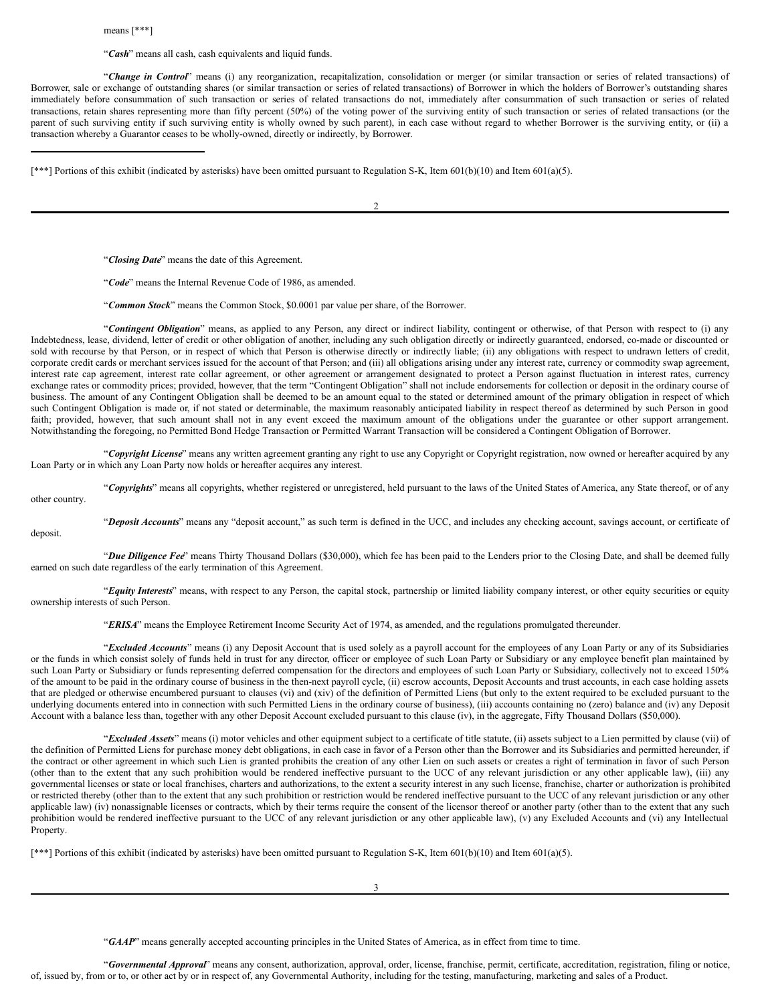means [\*\*\*]

"*Cash*" means all cash, cash equivalents and liquid funds.

"*Change in Control*" means (i) any reorganization, recapitalization, consolidation or merger (or similar transaction or series of related transactions) of Borrower, sale or exchange of outstanding shares (or similar transaction or series of related transactions) of Borrower in which the holders of Borrower's outstanding shares immediately before consummation of such transaction or series of related transactions do not, immediately after consummation of such transaction or series of related transactions, retain shares representing more than fifty percent (50%) of the voting power of the surviving entity of such transaction or series of related transactions (or the parent of such surviving entity if such surviving entity is wholly owned by such parent), in each case without regard to whether Borrower is the surviving entity, or (ii) a transaction whereby a Guarantor ceases to be wholly-owned, directly or indirectly, by Borrower.

[\*\*\*] Portions of this exhibit (indicated by asterisks) have been omitted pursuant to Regulation S-K, Item 601(b)(10) and Item 601(a)(5).

 $\mathfrak{Z}$ 

"*Closing Date*" means the date of this Agreement.

"*Code*" means the Internal Revenue Code of 1986, as amended.

"*Common Stock*" means the Common Stock, \$0.0001 par value per share, of the Borrower.

"Contingent Obligation" means, as applied to any Person, any direct or indirect liability, contingent or otherwise, of that Person with respect to (i) any Indebtedness, lease, dividend, letter of credit or other obligation of another, including any such obligation directly or indirectly guaranteed, endorsed, co-made or discounted or sold with recourse by that Person, or in respect of which that Person is otherwise directly or indirectly liable; (ii) any obligations with respect to undrawn letters of credit, corporate credit cards or merchant services issued for the account of that Person; and (iii) all obligations arising under any interest rate, currency or commodity swap agreement, interest rate cap agreement, interest rate collar agreement, or other agreement or arrangement designated to protect a Person against fluctuation in interest rates, currency exchange rates or commodity prices; provided, however, that the term "Contingent Obligation" shall not include endorsements for collection or deposit in the ordinary course of business. The amount of any Contingent Obligation shall be deemed to be an amount equal to the stated or determined amount of the primary obligation in respect of which such Contingent Obligation is made or, if not stated or determinable, the maximum reasonably anticipated liability in respect thereof as determined by such Person in good faith; provided, however, that such amount shall not in any event exceed the maximum amount of the obligations under the guarantee or other support arrangement. Notwithstanding the foregoing, no Permitted Bond Hedge Transaction or Permitted Warrant Transaction will be considered a Contingent Obligation of Borrower.

"*Copyright License*" means any written agreement granting any right to use any Copyright or Copyright registration, now owned or hereafter acquired by any Loan Party or in which any Loan Party now holds or hereafter acquires any interest.

"*Copyrights*" means all copyrights, whether registered or unregistered, held pursuant to the laws of the United States of America, any State thereof, or of any other country.

"*Deposit Accounts*" means any "deposit account," as such term is defined in the UCC, and includes any checking account, savings account, or certificate of

deposit.

"*Due Diligence Fee*" means Thirty Thousand Dollars (\$30,000), which fee has been paid to the Lenders prior to the Closing Date, and shall be deemed fully earned on such date regardless of the early termination of this Agreement.

"*Equity Interests*" means, with respect to any Person, the capital stock, partnership or limited liability company interest, or other equity securities or equity ownership interests of such Person.

"*ERISA*" means the Employee Retirement Income Security Act of 1974, as amended, and the regulations promulgated thereunder.

"*Excluded Accounts*" means (i) any Deposit Account that is used solely as a payroll account for the employees of any Loan Party or any of its Subsidiaries or the funds in which consist solely of funds held in trust for any director, officer or employee of such Loan Party or Subsidiary or any employee benefit plan maintained by such Loan Party or Subsidiary or funds representing deferred compensation for the directors and employees of such Loan Party or Subsidiary, collectively not to exceed 150% of the amount to be paid in the ordinary course of business in the then-next payroll cycle, (ii) escrow accounts, Deposit Accounts and trust accounts, in each case holding assets that are pledged or otherwise encumbered pursuant to clauses (vi) and (xiv) of the definition of Permitted Liens (but only to the extent required to be excluded pursuant to the underlying documents entered into in connection with such Permitted Liens in the ordinary course of business), (iii) accounts containing no (zero) balance and (iv) any Deposit Account with a balance less than, together with any other Deposit Account excluded pursuant to this clause (iv), in the aggregate, Fifty Thousand Dollars (\$50,000).

"*Excluded Assets*" means (i) motor vehicles and other equipment subject to a certificate of title statute, (ii) assets subject to a Lien permitted by clause (vii) of the definition of Permitted Liens for purchase money debt obligations, in each case in favor of a Person other than the Borrower and its Subsidiaries and permitted hereunder, if the contract or other agreement in which such Lien is granted prohibits the creation of any other Lien on such assets or creates a right of termination in favor of such Person (other than to the extent that any such prohibition would be rendered ineffective pursuant to the UCC of any relevant jurisdiction or any other applicable law), (iii) any governmental licenses or state or local franchises, charters and authorizations, to the extent a security interest in any such license, franchise, charter or authorization is prohibited or restricted thereby (other than to the extent that any such prohibition or restriction would be rendered ineffective pursuant to the UCC of any relevant jurisdiction or any other applicable law) (iv) nonassignable licenses or contracts, which by their terms require the consent of the licensor thereof or another party (other than to the extent that any such prohibition would be rendered ineffective pursuant to the UCC of any relevant jurisdiction or any other applicable law), (v) any Excluded Accounts and (vi) any Intellectual Property.

[\*\*\*] Portions of this exhibit (indicated by asterisks) have been omitted pursuant to Regulation S-K, Item 601(b)(10) and Item 601(a)(5).

3

"*GAAP*" means generally accepted accounting principles in the United States of America, as in effect from time to time.

"*Governmental Approval*" means any consent, authorization, approval, order, license, franchise, permit, certificate, accreditation, registration, filing or notice, of, issued by, from or to, or other act by or in respect of, any Governmental Authority, including for the testing, manufacturing, marketing and sales of a Product.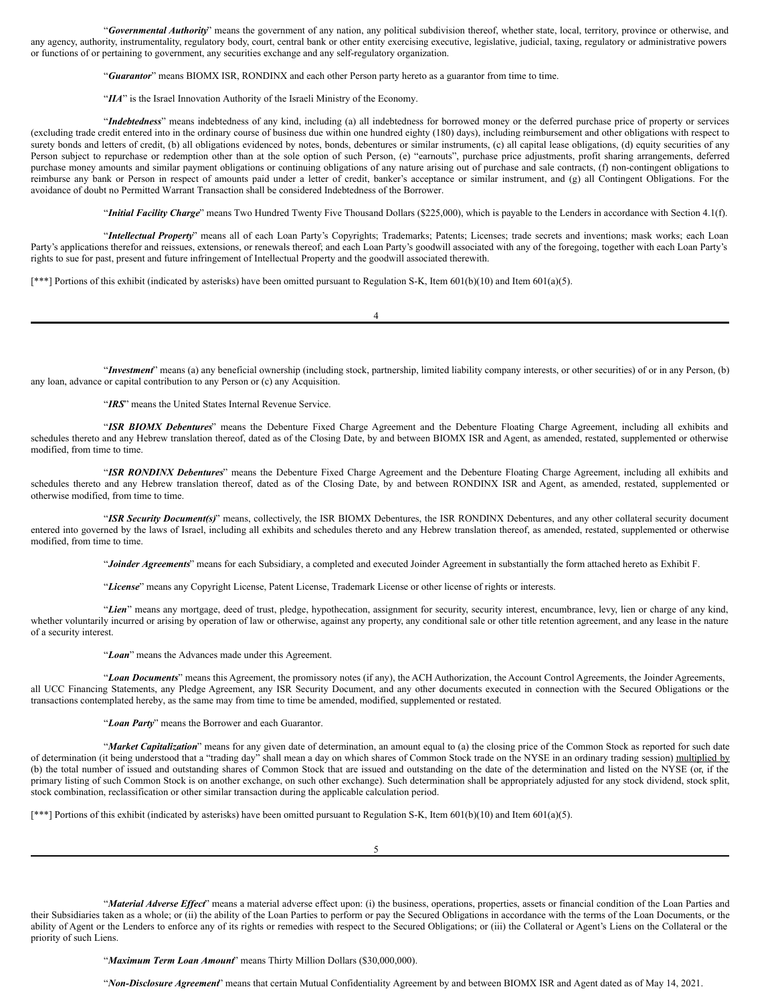"*Governmental Authority*" means the government of any nation, any political subdivision thereof, whether state, local, territory, province or otherwise, and any agency, authority, instrumentality, regulatory body, court, central bank or other entity exercising executive, legislative, judicial, taxing, regulatory or administrative powers or functions of or pertaining to government, any securities exchange and any self-regulatory organization.

"*Guarantor*" means BIOMX ISR, RONDINX and each other Person party hereto as a guarantor from time to time.

"IIA" is the Israel Innovation Authority of the Israeli Ministry of the Economy.

"*Indebtedness*" means indebtedness of any kind, including (a) all indebtedness for borrowed money or the deferred purchase price of property or services (excluding trade credit entered into in the ordinary course of business due within one hundred eighty (180) days), including reimbursement and other obligations with respect to surety bonds and letters of credit, (b) all obligations evidenced by notes, bonds, debentures or similar instruments, (c) all capital lease obligations, (d) equity securities of any Person subject to repurchase or redemption other than at the sole option of such Person, (e) "earnouts", purchase price adjustments, profit sharing arrangements, deferred purchase money amounts and similar payment obligations or continuing obligations of any nature arising out of purchase and sale contracts, (f) non-contingent obligations to reimburse any bank or Person in respect of amounts paid under a letter of credit, banker's acceptance or similar instrument, and (g) all Contingent Obligations. For the avoidance of doubt no Permitted Warrant Transaction shall be considered Indebtedness of the Borrower.

"*Initial Facility Charge*" means Two Hundred Twenty Five Thousand Dollars (\$225,000), which is payable to the Lenders in accordance with Section 4.1(f).

"*Intellectual Property*" means all of each Loan Party's Copyrights; Trademarks; Patents; Licenses; trade secrets and inventions; mask works; each Loan Party's applications therefor and reissues, extensions, or renewals thereof; and each Loan Party's goodwill associated with any of the foregoing, together with each Loan Party's rights to sue for past, present and future infringement of Intellectual Property and the goodwill associated therewith.

[\*\*\*] Portions of this exhibit (indicated by asterisks) have been omitted pursuant to Regulation S-K, Item 601(b)(10) and Item 601(a)(5).

"*Investment*" means (a) any beneficial ownership (including stock, partnership, limited liability company interests, or other securities) of or in any Person, (b) any loan, advance or capital contribution to any Person or (c) any Acquisition.

4

"*IRS*" means the United States Internal Revenue Service.

"*ISR BIOMX Debentures*" means the Debenture Fixed Charge Agreement and the Debenture Floating Charge Agreement, including all exhibits and schedules thereto and any Hebrew translation thereof, dated as of the Closing Date, by and between BIOMX ISR and Agent, as amended, restated, supplemented or otherwise modified, from time to time.

"*ISR RONDINX Debentures*" means the Debenture Fixed Charge Agreement and the Debenture Floating Charge Agreement, including all exhibits and schedules thereto and any Hebrew translation thereof, dated as of the Closing Date, by and between RONDINX ISR and Agent, as amended, restated, supplemented or otherwise modified, from time to time.

"*ISR Security Document(s)*" means, collectively, the ISR BIOMX Debentures, the ISR RONDINX Debentures, and any other collateral security document entered into governed by the laws of Israel, including all exhibits and schedules thereto and any Hebrew translation thereof, as amended, restated, supplemented or otherwise modified, from time to time.

"*Joinder Agreements*" means for each Subsidiary, a completed and executed Joinder Agreement in substantially the form attached hereto as Exhibit F.

"*License*" means any Copyright License, Patent License, Trademark License or other license of rights or interests.

"*Lien*" means any mortgage, deed of trust, pledge, hypothecation, assignment for security, security interest, encumbrance, levy, lien or charge of any kind, whether voluntarily incurred or arising by operation of law or otherwise, against any property, any conditional sale or other title retention agreement, and any lease in the nature of a security interest.

"*Loan*" means the Advances made under this Agreement.

"*Loan Documents*" means this Agreement, the promissory notes (if any), the ACH Authorization, the Account Control Agreements, the Joinder Agreements, all UCC Financing Statements, any Pledge Agreement, any ISR Security Document, and any other documents executed in connection with the Secured Obligations or the transactions contemplated hereby, as the same may from time to time be amended, modified, supplemented or restated.

"*Loan Party*" means the Borrower and each Guarantor.

"Market Capitalization" means for any given date of determination, an amount equal to (a) the closing price of the Common Stock as reported for such date of determination (it being understood that a "trading day" shall mean a day on which shares of Common Stock trade on the NYSE in an ordinary trading session) multiplied by (b) the total number of issued and outstanding shares of Common Stock that are issued and outstanding on the date of the determination and listed on the NYSE (or, if the primary listing of such Common Stock is on another exchange, on such other exchange). Such determination shall be appropriately adjusted for any stock dividend, stock split, stock combination, reclassification or other similar transaction during the applicable calculation period.

[\*\*\*] Portions of this exhibit (indicated by asterisks) have been omitted pursuant to Regulation S-K, Item 601(b)(10) and Item 601(a)(5).

5

"Material Adverse Effect" means a material adverse effect upon: (i) the business, operations, properties, assets or financial condition of the Loan Parties and their Subsidiaries taken as a whole; or (ii) the ability of the Loan Parties to perform or pay the Secured Obligations in accordance with the terms of the Loan Documents, or the ability of Agent or the Lenders to enforce any of its rights or remedies with respect to the Secured Obligations; or (iii) the Collateral or Agent's Liens on the Collateral or the priority of such Liens.

"*Maximum Term Loan Amount*" means Thirty Million Dollars (\$30,000,000).

"*Non-Disclosure Agreement*" means that certain Mutual Confidentiality Agreement by and between BIOMX ISR and Agent dated as of May 14, 2021.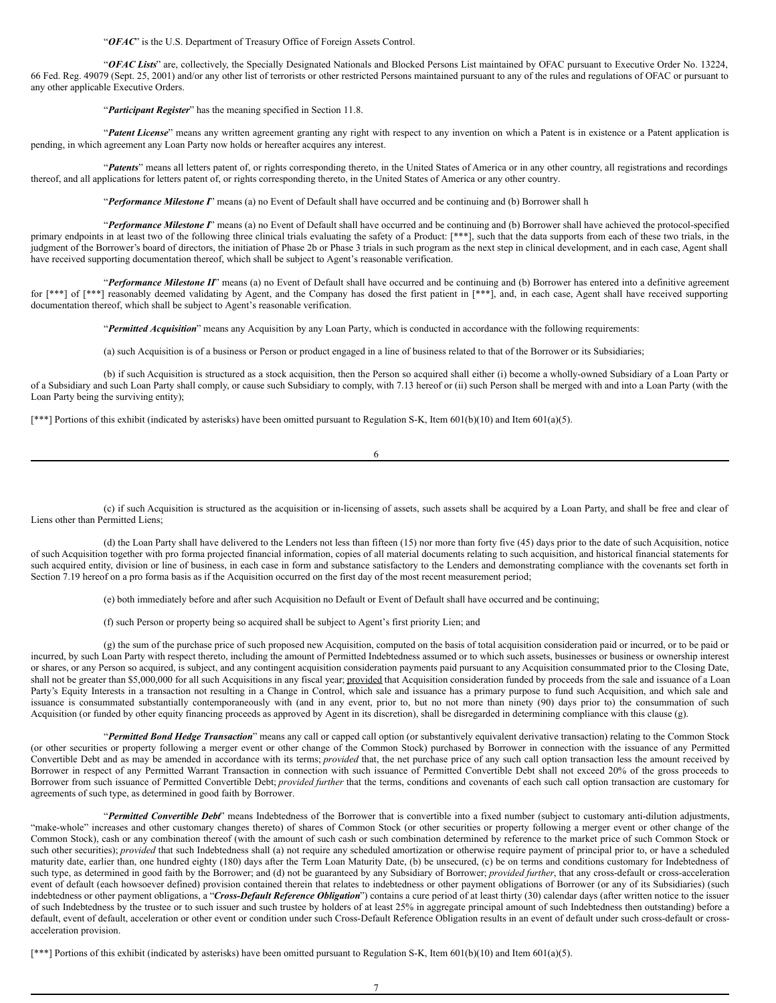"OFAC" is the U.S. Department of Treasury Office of Foreign Assets Control.

"*OFAC Lists*" are, collectively, the Specially Designated Nationals and Blocked Persons List maintained by OFAC pursuant to Executive Order No. 13224, 66 Fed. Reg. 49079 (Sept. 25, 2001) and/or any other list of terrorists or other restricted Persons maintained pursuant to any of the rules and regulations of OFAC or pursuant to any other applicable Executive Orders.

"*Participant Register*" has the meaning specified in Section 11.8.

"*Patent License*" means any written agreement granting any right with respect to any invention on which a Patent is in existence or a Patent application is pending, in which agreement any Loan Party now holds or hereafter acquires any interest.

"*Patents*" means all letters patent of, or rights corresponding thereto, in the United States of America or in any other country, all registrations and recordings thereof, and all applications for letters patent of, or rights corresponding thereto, in the United States of America or any other country.

"*Performance Milestone I*" means (a) no Event of Default shall have occurred and be continuing and (b) Borrower shall h

"*Performance Milestone I*" means (a) no Event of Default shall have occurred and be continuing and (b) Borrower shall have achieved the protocol-specified primary endpoints in at least two of the following three clinical trials evaluating the safety of a Product: [\*\*\*], such that the data supports from each of these two trials, in the judgment of the Borrower's board of directors, the initiation of Phase 2b or Phase 3 trials in such program as the next step in clinical development, and in each case, Agent shall have received supporting documentation thereof, which shall be subject to Agent's reasonable verification.

"*Performance Milestone II*" means (a) no Event of Default shall have occurred and be continuing and (b) Borrower has entered into a definitive agreement for [\*\*\*] of [\*\*\*] reasonably deemed validating by Agent, and the Company has dosed the first patient in [\*\*\*], and, in each case, Agent shall have received supporting documentation thereof, which shall be subject to Agent's reasonable verification.

"*Permitted Acquisition*" means any Acquisition by any Loan Party, which is conducted in accordance with the following requirements:

(a) such Acquisition is of a business or Person or product engaged in a line of business related to that of the Borrower or its Subsidiaries;

(b) if such Acquisition is structured as a stock acquisition, then the Person so acquired shall either (i) become a wholly-owned Subsidiary of a Loan Party or of a Subsidiary and such Loan Party shall comply, or cause such Subsidiary to comply, with 7.13 hereof or (ii) such Person shall be merged with and into a Loan Party (with the Loan Party being the surviving entity);

[\*\*\*] Portions of this exhibit (indicated by asterisks) have been omitted pursuant to Regulation S-K, Item 601(b)(10) and Item 601(a)(5).

| I<br>٦<br>۰, |  |
|--------------|--|

(c) if such Acquisition is structured as the acquisition or in-licensing of assets, such assets shall be acquired by a Loan Party, and shall be free and clear of Liens other than Permitted Liens;

(d) the Loan Party shall have delivered to the Lenders not less than fifteen (15) nor more than forty five (45) days prior to the date of such Acquisition, notice of such Acquisition together with pro forma projected financial information, copies of all material documents relating to such acquisition, and historical financial statements for such acquired entity, division or line of business, in each case in form and substance satisfactory to the Lenders and demonstrating compliance with the covenants set forth in Section 7.19 hereof on a pro forma basis as if the Acquisition occurred on the first day of the most recent measurement period;

(e) both immediately before and after such Acquisition no Default or Event of Default shall have occurred and be continuing;

(f) such Person or property being so acquired shall be subject to Agent's first priority Lien; and

(g) the sum of the purchase price of such proposed new Acquisition, computed on the basis of total acquisition consideration paid or incurred, or to be paid or incurred, by such Loan Party with respect thereto, including the amount of Permitted Indebtedness assumed or to which such assets, businesses or business or ownership interest or shares, or any Person so acquired, is subject, and any contingent acquisition consideration payments paid pursuant to any Acquisition consummated prior to the Closing Date, shall not be greater than \$5,000,000 for all such Acquisitions in any fiscal year; provided that Acquisition consideration funded by proceeds from the sale and issuance of a Loan Party's Equity Interests in a transaction not resulting in a Change in Control, which sale and issuance has a primary purpose to fund such Acquisition, and which sale and issuance is consummated substantially contemporaneously with (and in any event, prior to, but no not more than ninety (90) days prior to) the consummation of such Acquisition (or funded by other equity financing proceeds as approved by Agent in its discretion), shall be disregarded in determining compliance with this clause (g).

"*Permitted Bond Hedge Transaction*" means any call or capped call option (or substantively equivalent derivative transaction) relating to the Common Stock (or other securities or property following a merger event or other change of the Common Stock) purchased by Borrower in connection with the issuance of any Permitted Convertible Debt and as may be amended in accordance with its terms; *provided* that, the net purchase price of any such call option transaction less the amount received by Borrower in respect of any Permitted Warrant Transaction in connection with such issuance of Permitted Convertible Debt shall not exceed 20% of the gross proceeds to Borrower from such issuance of Permitted Convertible Debt; *provided further* that the terms, conditions and covenants of each such call option transaction are customary for agreements of such type, as determined in good faith by Borrower.

"*Permitted Convertible Debt*" means Indebtedness of the Borrower that is convertible into a fixed number (subject to customary anti-dilution adjustments, "make-whole" increases and other customary changes thereto) of shares of Common Stock (or other securities or property following a merger event or other change of the Common Stock), cash or any combination thereof (with the amount of such cash or such combination determined by reference to the market price of such Common Stock or such other securities); *provided* that such Indebtedness shall (a) not require any scheduled amortization or otherwise require payment of principal prior to, or have a scheduled maturity date, earlier than, one hundred eighty (180) days after the Term Loan Maturity Date, (b) be unsecured, (c) be on terms and conditions customary for Indebtedness of such type, as determined in good faith by the Borrower; and (d) not be guaranteed by any Subsidiary of Borrower; *provided further*, that any cross-default or cross-acceleration event of default (each howsoever defined) provision contained therein that relates to indebtedness or other payment obligations of Borrower (or any of its Subsidiaries) (such indebtedness or other payment obligations, a "*Cross-Default Reference Obligation*") contains a cure period of at least thirty (30) calendar days (after written notice to the issuer of such Indebtedness by the trustee or to such issuer and such trustee by holders of at least 25% in aggregate principal amount of such Indebtedness then outstanding) before a default, event of default, acceleration or other event or condition under such Cross-Default Reference Obligation results in an event of default under such cross-default or crossacceleration provision.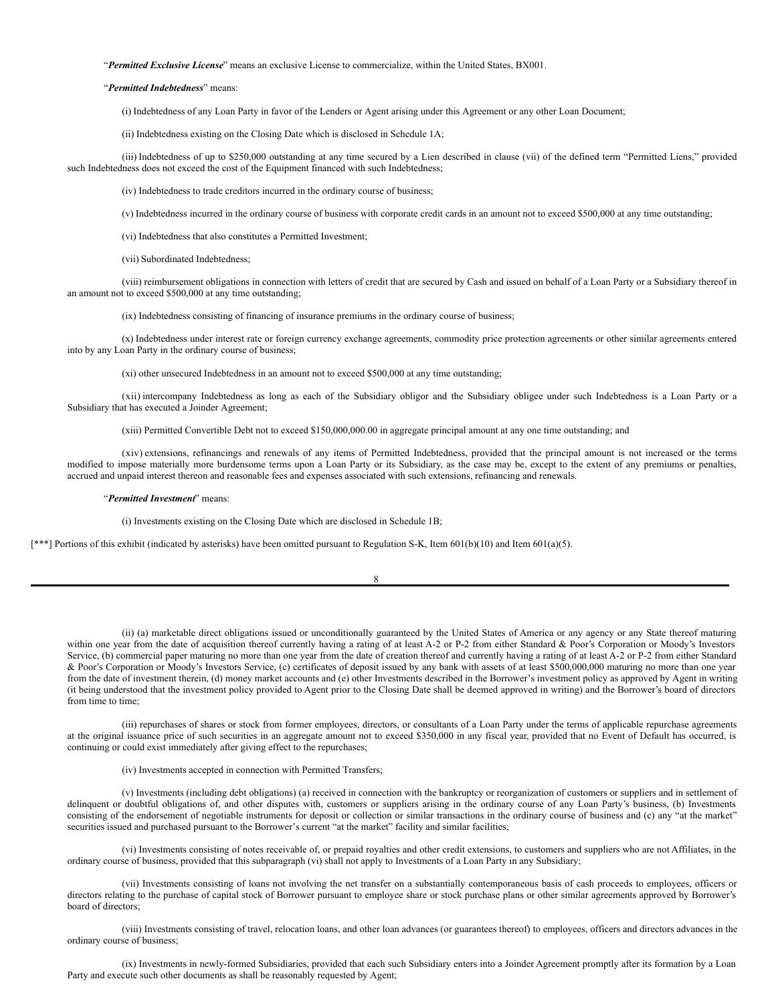"*Permitted Exclusive License*" means an exclusive License to commercialize, within the United States, BX001.

"*Permitted Indebtedness*" means:

(i) Indebtedness of any Loan Party in favor of the Lenders or Agent arising under this Agreement or any other Loan Document;

(ii) Indebtedness existing on the Closing Date which is disclosed in Schedule 1A;

(iii) Indebtedness of up to \$250,000 outstanding at any time secured by a Lien described in clause (vii) of the defined term "Permitted Liens," provided such Indebtedness does not exceed the cost of the Equipment financed with such Indebtedness;

(iv) Indebtedness to trade creditors incurred in the ordinary course of business;

(v) Indebtedness incurred in the ordinary course of business with corporate credit cards in an amount not to exceed \$500,000 at any time outstanding;

(vi) Indebtedness that also constitutes a Permitted Investment;

(vii) Subordinated Indebtedness;

(viii) reimbursement obligations in connection with letters of credit that are secured by Cash and issued on behalf of a Loan Party or a Subsidiary thereof in an amount not to exceed \$500,000 at any time outstanding;

(ix) Indebtedness consisting of financing of insurance premiums in the ordinary course of business;

(x) Indebtedness under interest rate or foreign currency exchange agreements, commodity price protection agreements or other similar agreements entered into by any Loan Party in the ordinary course of business;

(xi) other unsecured Indebtedness in an amount not to exceed \$500,000 at any time outstanding;

(xii) intercompany Indebtedness as long as each of the Subsidiary obligor and the Subsidiary obligee under such Indebtedness is a Loan Party or a Subsidiary that has executed a Joinder Agreement;

(xiii) Permitted Convertible Debt not to exceed \$150,000,000.00 in aggregate principal amount at any one time outstanding; and

(xiv) extensions, refinancings and renewals of any items of Permitted Indebtedness, provided that the principal amount is not increased or the terms modified to impose materially more burdensome terms upon a Loan Party or its Subsidiary, as the case may be, except to the extent of any premiums or penalties, accrued and unpaid interest thereon and reasonable fees and expenses associated with such extensions, refinancing and renewals.

#### "*Permitted Investment*" means:

(i) Investments existing on the Closing Date which are disclosed in Schedule 1B;

[\*\*\*] Portions of this exhibit (indicated by asterisks) have been omitted pursuant to Regulation S-K, Item 601(b)(10) and Item 601(a)(5).

8

(ii) (a) marketable direct obligations issued or unconditionally guaranteed by the United States of America or any agency or any State thereof maturing within one year from the date of acquisition thereof currently having a rating of at least A-2 or P-2 from either Standard & Poor's Corporation or Moody's Investors Service, (b) commercial paper maturing no more than one year from the date of creation thereof and currently having a rating of at least A-2 or P-2 from either Standard & Poor's Corporation or Moody's Investors Service, (c) certificates of deposit issued by any bank with assets of at least \$500,000,000 maturing no more than one year from the date of investment therein, (d) money market accounts and (e) other Investments described in the Borrower's investment policy as approved by Agent in writing (it being understood that the investment policy provided to Agent prior to the Closing Date shall be deemed approved in writing) and the Borrower's board of directors from time to time;

(iii) repurchases of shares or stock from former employees, directors, or consultants of a Loan Party under the terms of applicable repurchase agreements at the original issuance price of such securities in an aggregate amount not to exceed \$350,000 in any fiscal year, provided that no Event of Default has occurred, is continuing or could exist immediately after giving effect to the repurchases;

(iv) Investments accepted in connection with Permitted Transfers;

(v) Investments (including debt obligations) (a) received in connection with the bankruptcy or reorganization of customers or suppliers and in settlement of delinquent or doubtful obligations of, and other disputes with, customers or suppliers arising in the ordinary course of any Loan Party's business, (b) Investments consisting of the endorsement of negotiable instruments for deposit or collection or similar transactions in the ordinary course of business and (c) any "at the market" securities issued and purchased pursuant to the Borrower's current "at the market" facility and similar facilities;

(vi) Investments consisting of notes receivable of, or prepaid royalties and other credit extensions, to customers and suppliers who are not Affiliates, in the ordinary course of business, provided that this subparagraph (vi) shall not apply to Investments of a Loan Party in any Subsidiary;

(vii) Investments consisting of loans not involving the net transfer on a substantially contemporaneous basis of cash proceeds to employees, officers or directors relating to the purchase of capital stock of Borrower pursuant to employee share or stock purchase plans or other similar agreements approved by Borrower's board of directors;

(viii) Investments consisting of travel, relocation loans, and other loan advances (or guarantees thereof) to employees, officers and directors advances in the ordinary course of business;

(ix) Investments in newly-formed Subsidiaries, provided that each such Subsidiary enters into a Joinder Agreement promptly after its formation by a Loan Party and execute such other documents as shall be reasonably requested by Agent;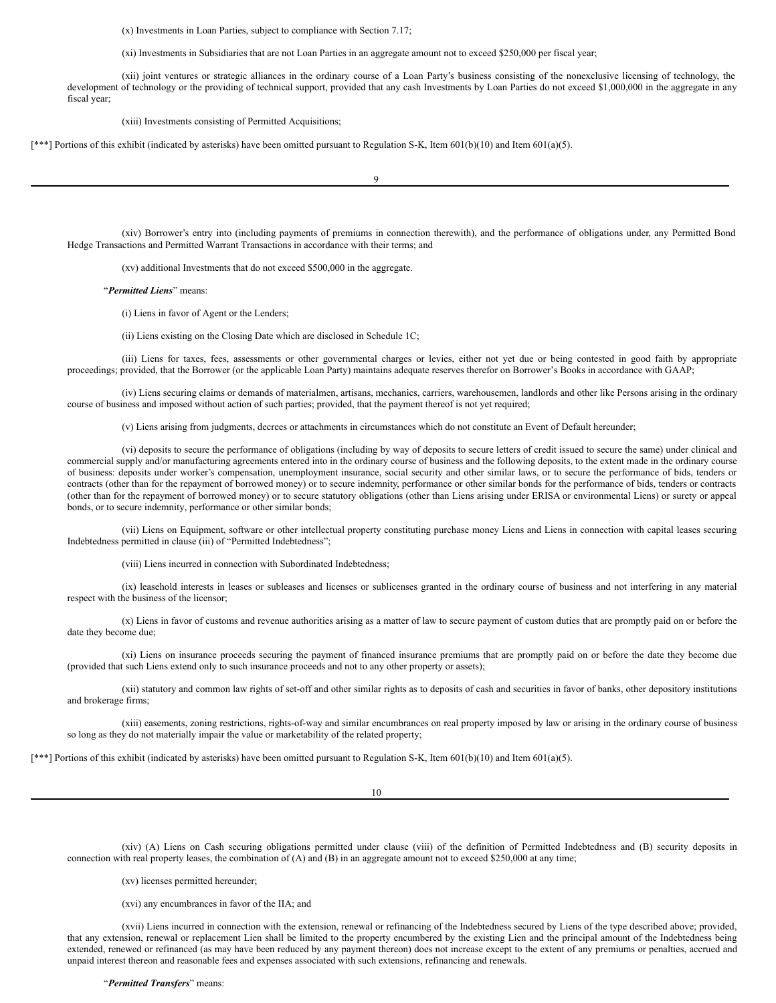(x) Investments in Loan Parties, subject to compliance with Section 7.17;

(xi) Investments in Subsidiaries that are not Loan Parties in an aggregate amount not to exceed \$250,000 per fiscal year;

(xii) joint ventures or strategic alliances in the ordinary course of a Loan Party's business consisting of the nonexclusive licensing of technology, the development of technology or the providing of technical support, provided that any cash Investments by Loan Parties do not exceed \$1,000,000 in the aggregate in any fiscal year;

(xiii) Investments consisting of Permitted Acquisitions;

[\*\*\*] Portions of this exhibit (indicated by asterisks) have been omitted pursuant to Regulation S-K, Item 601(b)(10) and Item 601(a)(5).

 $\alpha$ 

(xiv) Borrower's entry into (including payments of premiums in connection therewith), and the performance of obligations under, any Permitted Bond Hedge Transactions and Permitted Warrant Transactions in accordance with their terms; and

(xv) additional Investments that do not exceed \$500,000 in the aggregate.

"*Permitted Liens*" means:

(i) Liens in favor of Agent or the Lenders;

(ii) Liens existing on the Closing Date which are disclosed in Schedule 1C;

(iii) Liens for taxes, fees, assessments or other governmental charges or levies, either not yet due or being contested in good faith by appropriate proceedings; provided, that the Borrower (or the applicable Loan Party) maintains adequate reserves therefor on Borrower's Books in accordance with GAAP;

(iv) Liens securing claims or demands of materialmen, artisans, mechanics, carriers, warehousemen, landlords and other like Persons arising in the ordinary course of business and imposed without action of such parties; provided, that the payment thereof is not yet required;

(v) Liens arising from judgments, decrees or attachments in circumstances which do not constitute an Event of Default hereunder;

(vi) deposits to secure the performance of obligations (including by way of deposits to secure letters of credit issued to secure the same) under clinical and commercial supply and/or manufacturing agreements entered into in the ordinary course of business and the following deposits, to the extent made in the ordinary course of business: deposits under worker's compensation, unemployment insurance, social security and other similar laws, or to secure the performance of bids, tenders or contracts (other than for the repayment of borrowed money) or to secure indemnity, performance or other similar bonds for the performance of bids, tenders or contracts (other than for the repayment of borrowed money) or to secure statutory obligations (other than Liens arising under ERISA or environmental Liens) or surety or appeal bonds, or to secure indemnity, performance or other similar bonds;

(vii) Liens on Equipment, software or other intellectual property constituting purchase money Liens and Liens in connection with capital leases securing Indebtedness permitted in clause (iii) of "Permitted Indebtedness";

(viii) Liens incurred in connection with Subordinated Indebtedness;

(ix) leasehold interests in leases or subleases and licenses or sublicenses granted in the ordinary course of business and not interfering in any material respect with the business of the licensor;

(x) Liens in favor of customs and revenue authorities arising as a matter of law to secure payment of custom duties that are promptly paid on or before the date they become due;

(xi) Liens on insurance proceeds securing the payment of financed insurance premiums that are promptly paid on or before the date they become due (provided that such Liens extend only to such insurance proceeds and not to any other property or assets);

(xii) statutory and common law rights of set-off and other similar rights as to deposits of cash and securities in favor of banks, other depository institutions and brokerage firms;

(xiii) easements, zoning restrictions, rights-of-way and similar encumbrances on real property imposed by law or arising in the ordinary course of business so long as they do not materially impair the value or marketability of the related property;

[\*\*\*] Portions of this exhibit (indicated by asterisks) have been omitted pursuant to Regulation S-K, Item 601(b)(10) and Item 601(a)(5).

10

(xiv) (A) Liens on Cash securing obligations permitted under clause (viii) of the definition of Permitted Indebtedness and (B) security deposits in connection with real property leases, the combination of (A) and (B) in an aggregate amount not to exceed \$250,000 at any time;

(xv) licenses permitted hereunder;

(xvi) any encumbrances in favor of the IIA; and

(xvii) Liens incurred in connection with the extension, renewal or refinancing of the Indebtedness secured by Liens of the type described above; provided, that any extension, renewal or replacement Lien shall be limited to the property encumbered by the existing Lien and the principal amount of the Indebtedness being extended, renewed or refinanced (as may have been reduced by any payment thereon) does not increase except to the extent of any premiums or penalties, accrued and unpaid interest thereon and reasonable fees and expenses associated with such extensions, refinancing and renewals.

"*Permitted Transfers*" means: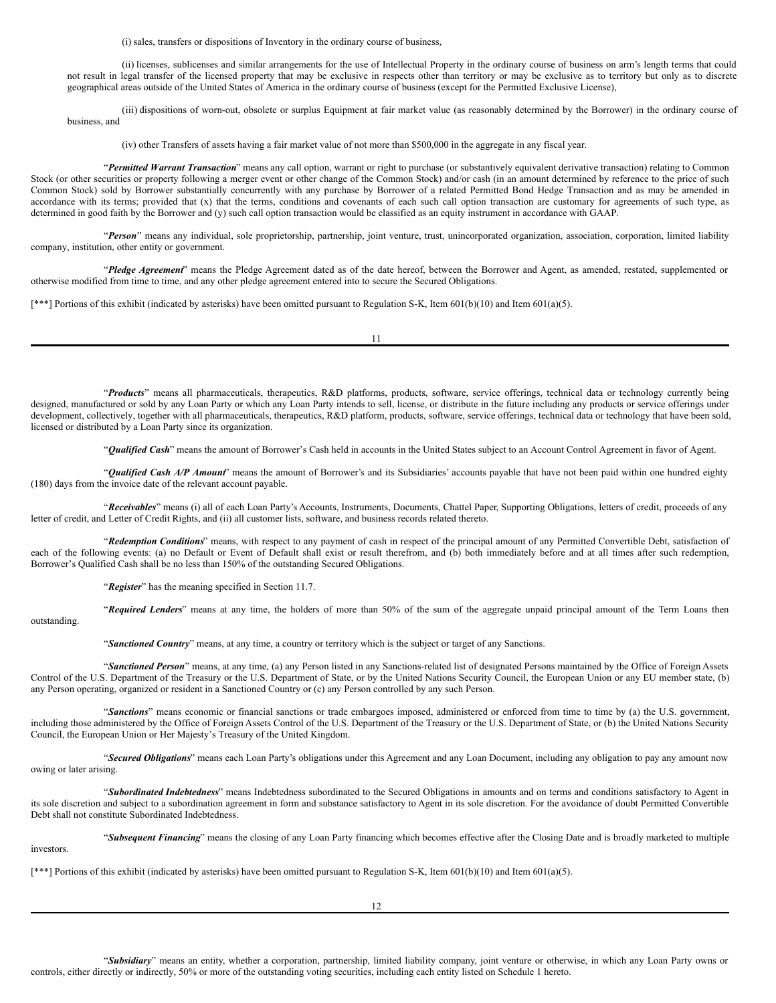(i) sales, transfers or dispositions of Inventory in the ordinary course of business,

(ii) licenses, sublicenses and similar arrangements for the use of Intellectual Property in the ordinary course of business on arm's length terms that could not result in legal transfer of the licensed property that may be exclusive in respects other than territory or may be exclusive as to territory but only as to discrete geographical areas outside of the United States of America in the ordinary course of business (except for the Permitted Exclusive License),

(iii) dispositions of worn-out, obsolete or surplus Equipment at fair market value (as reasonably determined by the Borrower) in the ordinary course of business, and

(iv) other Transfers of assets having a fair market value of not more than \$500,000 in the aggregate in any fiscal year.

"*Permitted Warrant Transaction*" means any call option, warrant or right to purchase (or substantively equivalent derivative transaction) relating to Common Stock (or other securities or property following a merger event or other change of the Common Stock) and/or cash (in an amount determined by reference to the price of such Common Stock) sold by Borrower substantially concurrently with any purchase by Borrower of a related Permitted Bond Hedge Transaction and as may be amended in accordance with its terms; provided that (x) that the terms, conditions and covenants of each such call option transaction are customary for agreements of such type, as determined in good faith by the Borrower and (y) such call option transaction would be classified as an equity instrument in accordance with GAAP.

"*Person*" means any individual, sole proprietorship, partnership, joint venture, trust, unincorporated organization, association, corporation, limited liability company, institution, other entity or government.

"*Pledge Agreement*" means the Pledge Agreement dated as of the date hereof, between the Borrower and Agent, as amended, restated, supplemented or otherwise modified from time to time, and any other pledge agreement entered into to secure the Secured Obligations.

[\*\*\*] Portions of this exhibit (indicated by asterisks) have been omitted pursuant to Regulation S-K, Item 601(b)(10) and Item 601(a)(5).

11

"*Products*" means all pharmaceuticals, therapeutics, R&D platforms, products, software, service offerings, technical data or technology currently being designed, manufactured or sold by any Loan Party or which any Loan Party intends to sell, license, or distribute in the future including any products or service offerings under development, collectively, together with all pharmaceuticals, therapeutics, R&D platform, products, software, service offerings, technical data or technology that have been sold, licensed or distributed by a Loan Party since its organization.

"*Qualified Cash*" means the amount of Borrower's Cash held in accounts in the United States subject to an Account Control Agreement in favor of Agent.

"*Qualified Cash A/P Amount*" means the amount of Borrower's and its Subsidiaries' accounts payable that have not been paid within one hundred eighty (180) days from the invoice date of the relevant account payable.

"*Receivables*" means (i) all of each Loan Party's Accounts, Instruments, Documents, Chattel Paper, Supporting Obligations, letters of credit, proceeds of any letter of credit, and Letter of Credit Rights, and (ii) all customer lists, software, and business records related thereto.

"*Redemption Conditions*" means, with respect to any payment of cash in respect of the principal amount of any Permitted Convertible Debt, satisfaction of each of the following events: (a) no Default or Event of Default shall exist or result therefrom, and (b) both immediately before and at all times after such redemption, Borrower's Qualified Cash shall be no less than 150% of the outstanding Secured Obligations.

"*Register*" has the meaning specified in Section 11.7.

"*Required Lenders*" means at any time, the holders of more than 50% of the sum of the aggregate unpaid principal amount of the Term Loans then

"*Sanctioned Country*" means, at any time, a country or territory which is the subject or target of any Sanctions.

"*Sanctioned Person*" means, at any time, (a) any Person listed in any Sanctions-related list of designated Persons maintained by the Office of Foreign Assets Control of the U.S. Department of the Treasury or the U.S. Department of State, or by the United Nations Security Council, the European Union or any EU member state, (b) any Person operating, organized or resident in a Sanctioned Country or (c) any Person controlled by any such Person.

"*Sanctions*" means economic or financial sanctions or trade embargoes imposed, administered or enforced from time to time by (a) the U.S. government, including those administered by the Office of Foreign Assets Control of the U.S. Department of the Treasury or the U.S. Department of State, or (b) the United Nations Security Council, the European Union or Her Majesty's Treasury of the United Kingdom.

"*Secured Obligations*" means each Loan Party's obligations under this Agreement and any Loan Document, including any obligation to pay any amount now owing or later arising.

"*Subordinated Indebtedness*" means Indebtedness subordinated to the Secured Obligations in amounts and on terms and conditions satisfactory to Agent in its sole discretion and subject to a subordination agreement in form and substance satisfactory to Agent in its sole discretion. For the avoidance of doubt Permitted Convertible Debt shall not constitute Subordinated Indebtedness.

"*Subsequent Financing*" means the closing of any Loan Party financing which becomes effective after the Closing Date and is broadly marketed to multiple

investors.

outstanding.

[\*\*\*] Portions of this exhibit (indicated by asterisks) have been omitted pursuant to Regulation S-K, Item 601(b)(10) and Item 601(a)(5).

"*Subsidiary*" means an entity, whether a corporation, partnership, limited liability company, joint venture or otherwise, in which any Loan Party owns or controls, either directly or indirectly, 50% or more of the outstanding voting securities, including each entity listed on Schedule 1 hereto.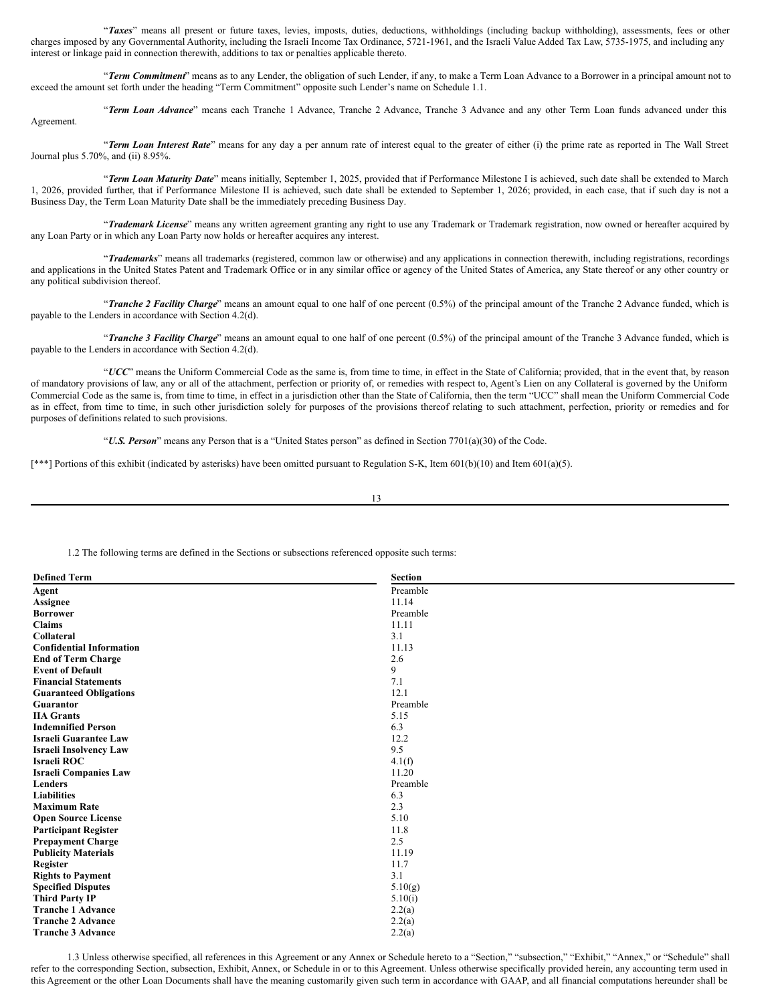"*Taxes*" means all present or future taxes, levies, imposts, duties, deductions, withholdings (including backup withholding), assessments, fees or other charges imposed by any Governmental Authority, including the Israeli Income Tax Ordinance, 5721-1961, and the Israeli Value Added Tax Law, 5735-1975, and including any interest or linkage paid in connection therewith, additions to tax or penalties applicable thereto.

"*Term Commitment*" means as to any Lender, the obligation of such Lender, if any, to make a Term Loan Advance to a Borrower in a principal amount not to exceed the amount set forth under the heading "Term Commitment" opposite such Lender's name on Schedule 1.1.

"*Term Loan Advance*" means each Tranche 1 Advance, Tranche 2 Advance, Tranche 3 Advance and any other Term Loan funds advanced under this Agreement.

"*Term Loan Interest Rate*" means for any day a per annum rate of interest equal to the greater of either (i) the prime rate as reported in The Wall Street Journal plus 5.70%, and (ii) 8.95%.

"*Term Loan Maturity Date*" means initially, September 1, 2025, provided that if Performance Milestone I is achieved, such date shall be extended to March 1, 2026, provided further, that if Performance Milestone II is achieved, such date shall be extended to September 1, 2026; provided, in each case, that if such day is not a Business Day, the Term Loan Maturity Date shall be the immediately preceding Business Day.

"*Trademark License*" means any written agreement granting any right to use any Trademark or Trademark registration, now owned or hereafter acquired by any Loan Party or in which any Loan Party now holds or hereafter acquires any interest.

"*Trademarks*" means all trademarks (registered, common law or otherwise) and any applications in connection therewith, including registrations, recordings and applications in the United States Patent and Trademark Office or in any similar office or agency of the United States of America, any State thereof or any other country or any political subdivision thereof.

"*Tranche 2 Facility Charge*" means an amount equal to one half of one percent (0.5%) of the principal amount of the Tranche 2 Advance funded, which is payable to the Lenders in accordance with Section 4.2(d).

"*Tranche 3 Facility Charge*" means an amount equal to one half of one percent (0.5%) of the principal amount of the Tranche 3 Advance funded, which is payable to the Lenders in accordance with Section 4.2(d).

"*UCC*" means the Uniform Commercial Code as the same is, from time to time, in effect in the State of California; provided, that in the event that, by reason of mandatory provisions of law, any or all of the attachment, perfection or priority of, or remedies with respect to, Agent's Lien on any Collateral is governed by the Uniform Commercial Code as the same is, from time to time, in effect in a jurisdiction other than the State of California, then the term "UCC" shall mean the Uniform Commercial Code as in effect, from time to time, in such other jurisdiction solely for purposes of the provisions thereof relating to such attachment, perfection, priority or remedies and for purposes of definitions related to such provisions.

"*U.S. Person*" means any Person that is a "United States person" as defined in Section 7701(a)(30) of the Code.

[\*\*\*] Portions of this exhibit (indicated by asterisks) have been omitted pursuant to Regulation S-K, Item 601(b)(10) and Item 601(a)(5).

#### 13

1.2 The following terms are defined in the Sections or subsections referenced opposite such terms:

| <b>Defined Term</b>             | <b>Section</b> |
|---------------------------------|----------------|
| Agent                           | Preamble       |
| Assignee                        | 11.14          |
| <b>Borrower</b>                 | Preamble       |
| Claims                          | 11.11          |
| Collateral                      | 3.1            |
| <b>Confidential Information</b> | 11.13          |
| <b>End of Term Charge</b>       | 2.6            |
| <b>Event of Default</b>         | 9              |
| <b>Financial Statements</b>     | 7.1            |
| <b>Guaranteed Obligations</b>   | 12.1           |
| <b>Guarantor</b>                | Preamble       |
| <b>IIA Grants</b>               | 5.15           |
| <b>Indemnified Person</b>       | 6.3            |
| <b>Israeli Guarantee Law</b>    | 12.2           |
| <b>Israeli Insolvency Law</b>   | 9.5            |
| Israeli ROC                     | 4.1(f)         |
| <b>Israeli Companies Law</b>    | 11.20          |
| Lenders                         | Preamble       |
| <b>Liabilities</b>              | 6.3            |
| <b>Maximum Rate</b>             | 2.3            |
| <b>Open Source License</b>      | 5.10           |
| <b>Participant Register</b>     | 11.8           |
| <b>Prepayment Charge</b>        | 2.5            |
| <b>Publicity Materials</b>      | 11.19          |
| Register                        | 11.7           |
| <b>Rights to Payment</b>        | 3.1            |
| <b>Specified Disputes</b>       | 5.10(g)        |
| <b>Third Party IP</b>           | 5.10(i)        |
| <b>Tranche 1 Advance</b>        | 2.2(a)         |
| <b>Tranche 2 Advance</b>        | 2.2(a)         |
| <b>Tranche 3 Advance</b>        | 2.2(a)         |

1.3 Unless otherwise specified, all references in this Agreement or any Annex or Schedule hereto to a "Section," "subsection," "Exhibit," "Annex," or "Schedule" shall refer to the corresponding Section, subsection, Exhibit, Annex, or Schedule in or to this Agreement. Unless otherwise specifically provided herein, any accounting term used in this Agreement or the other Loan Documents shall have the meaning customarily given such term in accordance with GAAP, and all financial computations hereunder shall be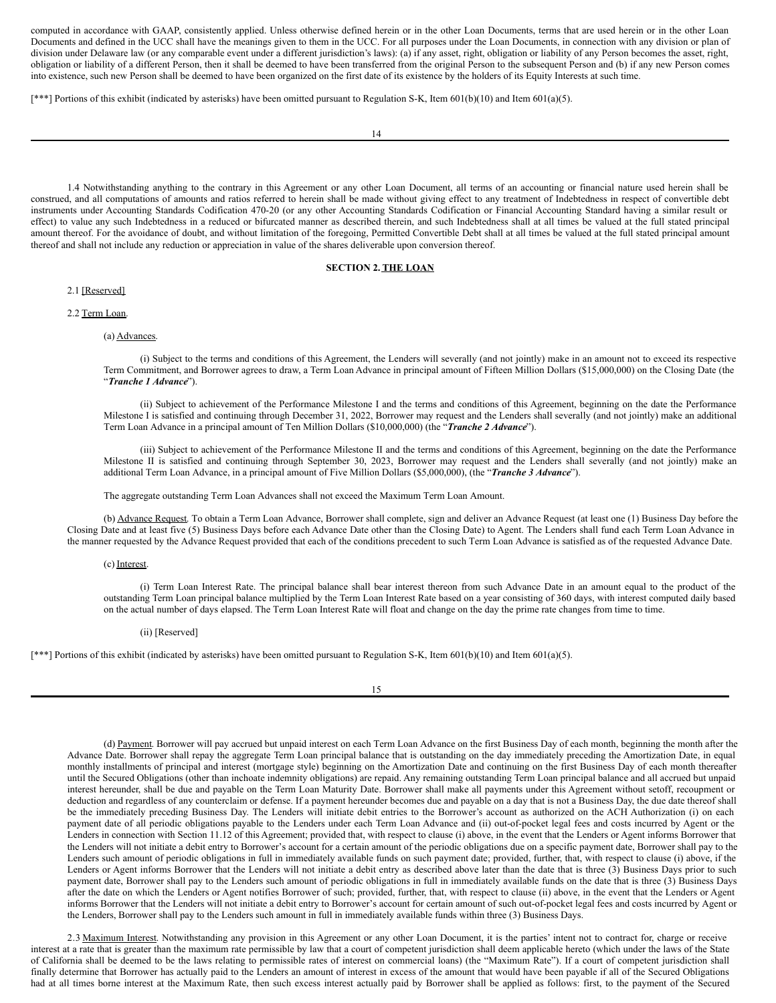computed in accordance with GAAP, consistently applied. Unless otherwise defined herein or in the other Loan Documents, terms that are used herein or in the other Loan Documents and defined in the UCC shall have the meanings given to them in the UCC. For all purposes under the Loan Documents, in connection with any division or plan of division under Delaware law (or any comparable event under a different jurisdiction's laws): (a) if any asset, right, obligation or liability of any Person becomes the asset, right, obligation or liability of a different Person, then it shall be deemed to have been transferred from the original Person to the subsequent Person and (b) if any new Person comes into existence, such new Person shall be deemed to have been organized on the first date of its existence by the holders of its Equity Interests at such time.

[\*\*\*] Portions of this exhibit (indicated by asterisks) have been omitted pursuant to Regulation S-K, Item 601(b)(10) and Item 601(a)(5).

1.4 Notwithstanding anything to the contrary in this Agreement or any other Loan Document, all terms of an accounting or financial nature used herein shall be construed, and all computations of amounts and ratios referred to herein shall be made without giving effect to any treatment of Indebtedness in respect of convertible debt instruments under Accounting Standards Codification 470-20 (or any other Accounting Standards Codification or Financial Accounting Standard having a similar result or effect) to value any such Indebtedness in a reduced or bifurcated manner as described therein, and such Indebtedness shall at all times be valued at the full stated principal amount thereof. For the avoidance of doubt, and without limitation of the foregoing, Permitted Convertible Debt shall at all times be valued at the full stated principal amount thereof and shall not include any reduction or appreciation in value of the shares deliverable upon conversion thereof.

#### **SECTION 2. THE LOAN**

2.1 [Reserved]

2.2 Term Loan.

(a) Advances.

(i) Subject to the terms and conditions of this Agreement, the Lenders will severally (and not jointly) make in an amount not to exceed its respective Term Commitment, and Borrower agrees to draw, a Term Loan Advance in principal amount of Fifteen Million Dollars (\$15,000,000) on the Closing Date (the "*Tranche 1 Advance*").

(ii) Subject to achievement of the Performance Milestone I and the terms and conditions of this Agreement, beginning on the date the Performance Milestone I is satisfied and continuing through December 31, 2022, Borrower may request and the Lenders shall severally (and not jointly) make an additional Term Loan Advance in a principal amount of Ten Million Dollars (\$10,000,000) (the "*Tranche 2 Advance*").

(iii) Subject to achievement of the Performance Milestone II and the terms and conditions of this Agreement, beginning on the date the Performance Milestone II is satisfied and continuing through September 30, 2023, Borrower may request and the Lenders shall severally (and not jointly) make an additional Term Loan Advance, in a principal amount of Five Million Dollars (\$5,000,000), (the "*Tranche 3 Advance*").

The aggregate outstanding Term Loan Advances shall not exceed the Maximum Term Loan Amount.

(b) Advance Request. To obtain a Term Loan Advance, Borrower shall complete, sign and deliver an Advance Request (at least one (1) Business Day before the Closing Date and at least five (5) Business Days before each Advance Date other than the Closing Date) to Agent. The Lenders shall fund each Term Loan Advance in the manner requested by the Advance Request provided that each of the conditions precedent to such Term Loan Advance is satisfied as of the requested Advance Date.

(c) Interest.

(i) Term Loan Interest Rate. The principal balance shall bear interest thereon from such Advance Date in an amount equal to the product of the outstanding Term Loan principal balance multiplied by the Term Loan Interest Rate based on a year consisting of 360 days, with interest computed daily based on the actual number of days elapsed. The Term Loan Interest Rate will float and change on the day the prime rate changes from time to time.

(ii) [Reserved]

[\*\*\*] Portions of this exhibit (indicated by asterisks) have been omitted pursuant to Regulation S-K, Item 601(b)(10) and Item 601(a)(5).

| ۰. |
|----|

(d) Payment. Borrower will pay accrued but unpaid interest on each Term Loan Advance on the first Business Day of each month, beginning the month after the Advance Date. Borrower shall repay the aggregate Term Loan principal balance that is outstanding on the day immediately preceding the Amortization Date, in equal monthly installments of principal and interest (mortgage style) beginning on the Amortization Date and continuing on the first Business Day of each month thereafter until the Secured Obligations (other than inchoate indemnity obligations) are repaid. Any remaining outstanding Term Loan principal balance and all accrued but unpaid interest hereunder, shall be due and payable on the Term Loan Maturity Date. Borrower shall make all payments under this Agreement without setoff, recoupment or deduction and regardless of any counterclaim or defense. If a payment hereunder becomes due and payable on a day that is not a Business Day, the due date thereof shall be the immediately preceding Business Day. The Lenders will initiate debit entries to the Borrower's account as authorized on the ACH Authorization (i) on each payment date of all periodic obligations payable to the Lenders under each Term Loan Advance and (ii) out-of-pocket legal fees and costs incurred by Agent or the Lenders in connection with Section 11.12 of this Agreement; provided that, with respect to clause (i) above, in the event that the Lenders or Agent informs Borrower that the Lenders will not initiate a debit entry to Borrower's account for a certain amount of the periodic obligations due on a specific payment date, Borrower shall pay to the Lenders such amount of periodic obligations in full in immediately available funds on such payment date; provided, further, that, with respect to clause (i) above, if the Lenders or Agent informs Borrower that the Lenders will not initiate a debit entry as described above later than the date that is three (3) Business Days prior to such payment date, Borrower shall pay to the Lenders such amount of periodic obligations in full in immediately available funds on the date that is three (3) Business Days after the date on which the Lenders or Agent notifies Borrower of such; provided, further, that, with respect to clause (ii) above, in the event that the Lenders or Agent informs Borrower that the Lenders will not initiate a debit entry to Borrower's account for certain amount of such out-of-pocket legal fees and costs incurred by Agent or the Lenders, Borrower shall pay to the Lenders such amount in full in immediately available funds within three (3) Business Days.

2.3 Maximum Interest. Notwithstanding any provision in this Agreement or any other Loan Document, it is the parties' intent not to contract for, charge or receive interest at a rate that is greater than the maximum rate permissible by law that a court of competent jurisdiction shall deem applicable hereto (which under the laws of the State of California shall be deemed to be the laws relating to permissible rates of interest on commercial loans) (the "Maximum Rate"). If a court of competent jurisdiction shall finally determine that Borrower has actually paid to the Lenders an amount of interest in excess of the amount that would have been payable if all of the Secured Obligations had at all times borne interest at the Maximum Rate, then such excess interest actually paid by Borrower shall be applied as follows: first, to the payment of the Secured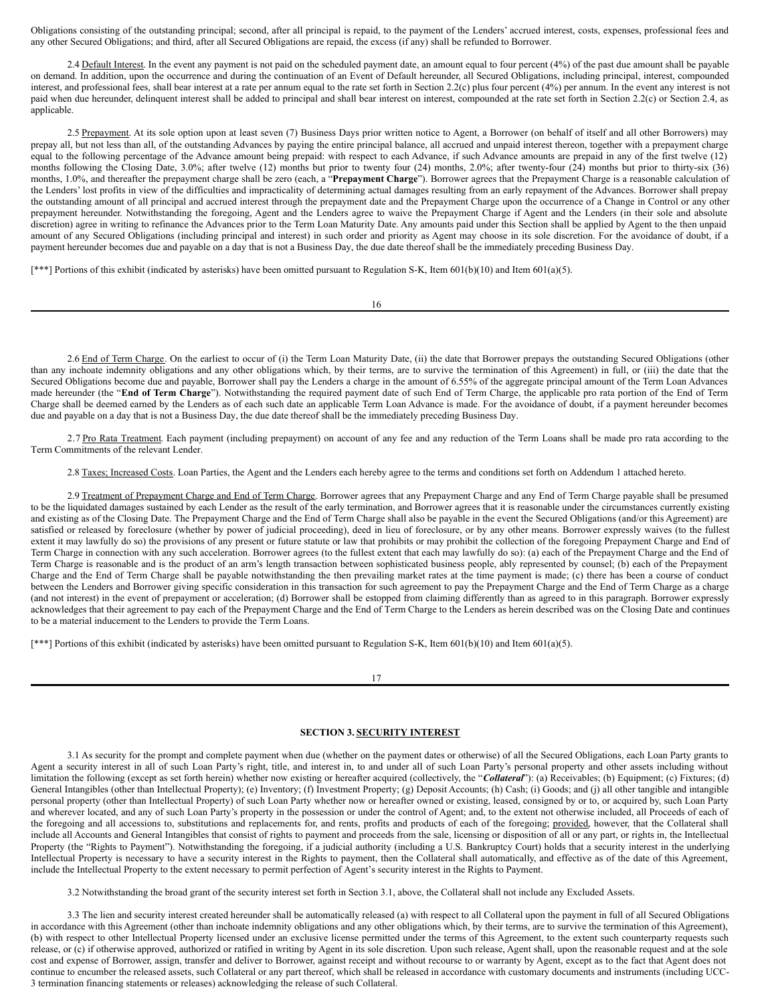Obligations consisting of the outstanding principal; second, after all principal is repaid, to the payment of the Lenders' accrued interest, costs, expenses, professional fees and any other Secured Obligations; and third, after all Secured Obligations are repaid, the excess (if any) shall be refunded to Borrower.

2.4 Default Interest. In the event any payment is not paid on the scheduled payment date, an amount equal to four percent (4%) of the past due amount shall be payable on demand. In addition, upon the occurrence and during the continuation of an Event of Default hereunder, all Secured Obligations, including principal, interest, compounded interest, and professional fees, shall bear interest at a rate per annum equal to the rate set forth in Section 2.2(c) plus four percent (4%) per annum. In the event any interest is not paid when due hereunder, delinquent interest shall be added to principal and shall bear interest on interest, compounded at the rate set forth in Section 2.2(c) or Section 2.4, as applicable.

2.5 Prepayment. At its sole option upon at least seven (7) Business Days prior written notice to Agent, a Borrower (on behalf of itself and all other Borrowers) may prepay all, but not less than all, of the outstanding Advances by paying the entire principal balance, all accrued and unpaid interest thereon, together with a prepayment charge equal to the following percentage of the Advance amount being prepaid: with respect to each Advance, if such Advance amounts are prepaid in any of the first twelve (12) months following the Closing Date, 3.0%; after twelve (12) months but prior to twenty four (24) months, 2.0%; after twenty-four (24) months but prior to thirty-six (36) months, 1.0%, and thereafter the prepayment charge shall be zero (each, a "**Prepayment Charge**"). Borrower agrees that the Prepayment Charge is a reasonable calculation of the Lenders' lost profits in view of the difficulties and impracticality of determining actual damages resulting from an early repayment of the Advances. Borrower shall prepay the outstanding amount of all principal and accrued interest through the prepayment date and the Prepayment Charge upon the occurrence of a Change in Control or any other prepayment hereunder. Notwithstanding the foregoing, Agent and the Lenders agree to waive the Prepayment Charge if Agent and the Lenders (in their sole and absolute discretion) agree in writing to refinance the Advances prior to the Term Loan Maturity Date. Any amounts paid under this Section shall be applied by Agent to the then unpaid amount of any Secured Obligations (including principal and interest) in such order and priority as Agent may choose in its sole discretion. For the avoidance of doubt, if a payment hereunder becomes due and payable on a day that is not a Business Day, the due date thereof shall be the immediately preceding Business Day.

[\*\*\*] Portions of this exhibit (indicated by asterisks) have been omitted pursuant to Regulation S-K, Item 601(b)(10) and Item 601(a)(5).

16

2.6 End of Term Charge. On the earliest to occur of (i) the Term Loan Maturity Date, (ii) the date that Borrower prepays the outstanding Secured Obligations (other than any inchoate indemnity obligations and any other obligations which, by their terms, are to survive the termination of this Agreement) in full, or (iii) the date that the Secured Obligations become due and payable, Borrower shall pay the Lenders a charge in the amount of 6.55% of the aggregate principal amount of the Term Loan Advances made hereunder (the "**End of Term Charge**"). Notwithstanding the required payment date of such End of Term Charge, the applicable pro rata portion of the End of Term Charge shall be deemed earned by the Lenders as of each such date an applicable Term Loan Advance is made. For the avoidance of doubt, if a payment hereunder becomes due and payable on a day that is not a Business Day, the due date thereof shall be the immediately preceding Business Day.

2.7 Pro Rata Treatment. Each payment (including prepayment) on account of any fee and any reduction of the Term Loans shall be made pro rata according to the Term Commitments of the relevant Lender.

2.8 Taxes; Increased Costs. Loan Parties, the Agent and the Lenders each hereby agree to the terms and conditions set forth on Addendum 1 attached hereto.

2.9 Treatment of Prepayment Charge and End of Term Charge. Borrower agrees that any Prepayment Charge and any End of Term Charge payable shall be presumed to be the liquidated damages sustained by each Lender as the result of the early termination, and Borrower agrees that it is reasonable under the circumstances currently existing and existing as of the Closing Date. The Prepayment Charge and the End of Term Charge shall also be payable in the event the Secured Obligations (and/or this Agreement) are satisfied or released by foreclosure (whether by power of judicial proceeding), deed in lieu of foreclosure, or by any other means. Borrower expressly waives (to the fullest extent it may lawfully do so) the provisions of any present or future statute or law that prohibits or may prohibit the collection of the foregoing Prepayment Charge and End of Term Charge in connection with any such acceleration. Borrower agrees (to the fullest extent that each may lawfully do so): (a) each of the Prepayment Charge and the End of Term Charge is reasonable and is the product of an arm's length transaction between sophisticated business people, ably represented by counsel; (b) each of the Prepayment Charge and the End of Term Charge shall be payable notwithstanding the then prevailing market rates at the time payment is made; (c) there has been a course of conduct between the Lenders and Borrower giving specific consideration in this transaction for such agreement to pay the Prepayment Charge and the End of Term Charge as a charge (and not interest) in the event of prepayment or acceleration; (d) Borrower shall be estopped from claiming differently than as agreed to in this paragraph. Borrower expressly acknowledges that their agreement to pay each of the Prepayment Charge and the End of Term Charge to the Lenders as herein described was on the Closing Date and continues to be a material inducement to the Lenders to provide the Term Loans.

[\*\*\*] Portions of this exhibit (indicated by asterisks) have been omitted pursuant to Regulation S-K, Item 601(b)(10) and Item 601(a)(5).

17

# **SECTION 3. SECURITY INTEREST**

3.1 As security for the prompt and complete payment when due (whether on the payment dates or otherwise) of all the Secured Obligations, each Loan Party grants to Agent a security interest in all of such Loan Party's right, title, and interest in, to and under all of such Loan Party's personal property and other assets including without limitation the following (except as set forth herein) whether now existing or hereafter acquired (collectively, the "*Collateral*"): (a) Receivables; (b) Equipment; (c) Fixtures; (d) General Intangibles (other than Intellectual Property); (e) Inventory; (f) Investment Property; (g) Deposit Accounts; (h) Cash; (i) Goods; and (j) all other tangible and intangible personal property (other than Intellectual Property) of such Loan Party whether now or hereafter owned or existing, leased, consigned by or to, or acquired by, such Loan Party and wherever located, and any of such Loan Party's property in the possession or under the control of Agent; and, to the extent not otherwise included, all Proceeds of each of the foregoing and all accessions to, substitutions and replacements for, and rents, profits and products of each of the foregoing; provided, however, that the Collateral shall include all Accounts and General Intangibles that consist of rights to payment and proceeds from the sale, licensing or disposition of all or any part, or rights in, the Intellectual Property (the "Rights to Payment"). Notwithstanding the foregoing, if a judicial authority (including a U.S. Bankruptcy Court) holds that a security interest in the underlying Intellectual Property is necessary to have a security interest in the Rights to payment, then the Collateral shall automatically, and effective as of the date of this Agreement, include the Intellectual Property to the extent necessary to permit perfection of Agent's security interest in the Rights to Payment.

3.2 Notwithstanding the broad grant of the security interest set forth in Section 3.1, above, the Collateral shall not include any Excluded Assets.

3.3 The lien and security interest created hereunder shall be automatically released (a) with respect to all Collateral upon the payment in full of all Secured Obligations in accordance with this Agreement (other than inchoate indemnity obligations and any other obligations which, by their terms, are to survive the termination of this Agreement), (b) with respect to other Intellectual Property licensed under an exclusive license permitted under the terms of this Agreement, to the extent such counterparty requests such release, or (c) if otherwise approved, authorized or ratified in writing by Agent in its sole discretion. Upon such release, Agent shall, upon the reasonable request and at the sole cost and expense of Borrower, assign, transfer and deliver to Borrower, against receipt and without recourse to or warranty by Agent, except as to the fact that Agent does not continue to encumber the released assets, such Collateral or any part thereof, which shall be released in accordance with customary documents and instruments (including UCC-3 termination financing statements or releases) acknowledging the release of such Collateral.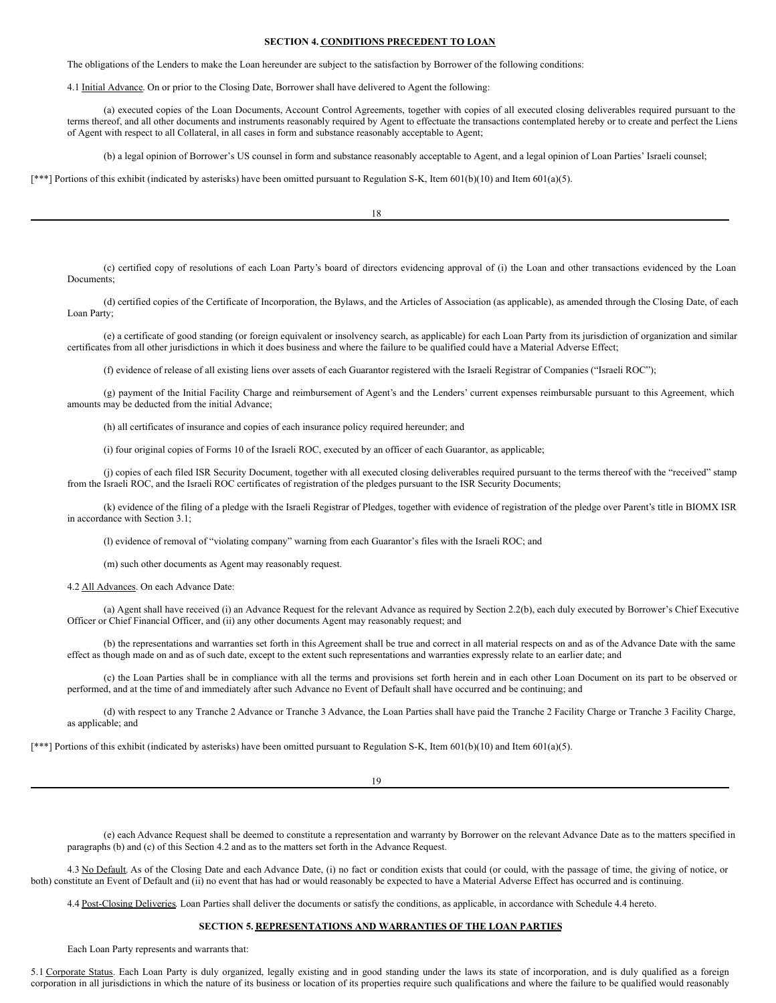# **SECTION 4. CONDITIONS PRECEDENT TO LOAN**

The obligations of the Lenders to make the Loan hereunder are subject to the satisfaction by Borrower of the following conditions:

4.1 Initial Advance. On or prior to the Closing Date, Borrower shall have delivered to Agent the following:

(a) executed copies of the Loan Documents, Account Control Agreements, together with copies of all executed closing deliverables required pursuant to the terms thereof, and all other documents and instruments reasonably required by Agent to effectuate the transactions contemplated hereby or to create and perfect the Liens of Agent with respect to all Collateral, in all cases in form and substance reasonably acceptable to Agent;

(b) a legal opinion of Borrower's US counsel in form and substance reasonably acceptable to Agent, and a legal opinion of Loan Parties' Israeli counsel;

[\*\*\*] Portions of this exhibit (indicated by asterisks) have been omitted pursuant to Regulation S-K, Item 601(b)(10) and Item 601(a)(5).

18

(c) certified copy of resolutions of each Loan Party's board of directors evidencing approval of (i) the Loan and other transactions evidenced by the Loan Documents;

(d) certified copies of the Certificate of Incorporation, the Bylaws, and the Articles of Association (as applicable), as amended through the Closing Date, of each Loan Party;

(e) a certificate of good standing (or foreign equivalent or insolvency search, as applicable) for each Loan Party from its jurisdiction of organization and similar certificates from all other jurisdictions in which it does business and where the failure to be qualified could have a Material Adverse Effect;

(f) evidence of release of all existing liens over assets of each Guarantor registered with the Israeli Registrar of Companies ("Israeli ROC");

(g) payment of the Initial Facility Charge and reimbursement of Agent's and the Lenders' current expenses reimbursable pursuant to this Agreement, which amounts may be deducted from the initial Advance;

(h) all certificates of insurance and copies of each insurance policy required hereunder; and

(i) four original copies of Forms 10 of the Israeli ROC, executed by an officer of each Guarantor, as applicable;

(j) copies of each filed ISR Security Document, together with all executed closing deliverables required pursuant to the terms thereof with the "received" stamp from the Israeli ROC, and the Israeli ROC certificates of registration of the pledges pursuant to the ISR Security Documents;

(k) evidence of the filing of a pledge with the Israeli Registrar of Pledges, together with evidence of registration of the pledge over Parent's title in BIOMX ISR in accordance with Section 3.1;

(l) evidence of removal of "violating company" warning from each Guarantor's files with the Israeli ROC; and

(m) such other documents as Agent may reasonably request.

4.2 All Advances. On each Advance Date:

(a) Agent shall have received (i) an Advance Request for the relevant Advance as required by Section 2.2(b), each duly executed by Borrower's Chief Executive Officer or Chief Financial Officer, and (ii) any other documents Agent may reasonably request; and

(b) the representations and warranties set forth in this Agreement shall be true and correct in all material respects on and as of the Advance Date with the same effect as though made on and as of such date, except to the extent such representations and warranties expressly relate to an earlier date; and

(c) the Loan Parties shall be in compliance with all the terms and provisions set forth herein and in each other Loan Document on its part to be observed or performed, and at the time of and immediately after such Advance no Event of Default shall have occurred and be continuing; and

(d) with respect to any Tranche 2 Advance or Tranche 3 Advance, the Loan Parties shall have paid the Tranche 2 Facility Charge or Tranche 3 Facility Charge, as applicable; and

[\*\*\*] Portions of this exhibit (indicated by asterisks) have been omitted pursuant to Regulation S-K, Item 601(b)(10) and Item 601(a)(5).

19

(e) each Advance Request shall be deemed to constitute a representation and warranty by Borrower on the relevant Advance Date as to the matters specified in paragraphs (b) and (c) of this Section 4.2 and as to the matters set forth in the Advance Request.

4.3 No Default. As of the Closing Date and each Advance Date, (i) no fact or condition exists that could (or could, with the passage of time, the giving of notice, or both) constitute an Event of Default and (ii) no event that has had or would reasonably be expected to have a Material Adverse Effect has occurred and is continuing.

4.4 Post-Closing Deliveries. Loan Parties shall deliver the documents or satisfy the conditions, as applicable, in accordance with Schedule 4.4 hereto.

#### **SECTION 5. REPRESENTATIONS AND WARRANTIES OF THE LOAN PARTIES**

Each Loan Party represents and warrants that:

5.1 Corporate Status. Each Loan Party is duly organized, legally existing and in good standing under the laws its state of incorporation, and is duly qualified as a foreign corporation in all jurisdictions in which the nature of its business or location of its properties require such qualifications and where the failure to be qualified would reasonably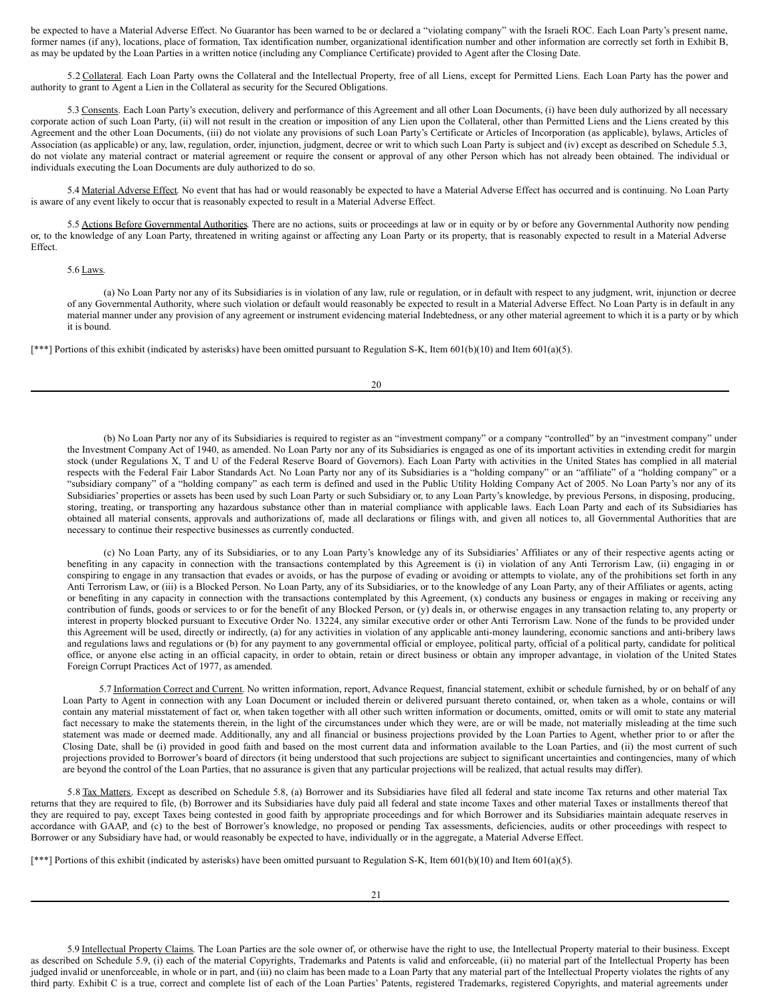be expected to have a Material Adverse Effect. No Guarantor has been warned to be or declared a "violating company" with the Israeli ROC. Each Loan Party's present name, former names (if any), locations, place of formation, Tax identification number, organizational identification number and other information are correctly set forth in Exhibit B, as may be updated by the Loan Parties in a written notice (including any Compliance Certificate) provided to Agent after the Closing Date.

5.2 Collateral. Each Loan Party owns the Collateral and the Intellectual Property, free of all Liens, except for Permitted Liens. Each Loan Party has the power and authority to grant to Agent a Lien in the Collateral as security for the Secured Obligations.

5.3 Consents. Each Loan Party's execution, delivery and performance of this Agreement and all other Loan Documents, (i) have been duly authorized by all necessary corporate action of such Loan Party, (ii) will not result in the creation or imposition of any Lien upon the Collateral, other than Permitted Liens and the Liens created by this Agreement and the other Loan Documents, (iii) do not violate any provisions of such Loan Party's Certificate or Articles of Incorporation (as applicable), bylaws, Articles of Association (as applicable) or any, law, regulation, order, injunction, judgment, decree or writ to which such Loan Party is subject and (iv) except as described on Schedule 5.3, do not violate any material contract or material agreement or require the consent or approval of any other Person which has not already been obtained. The individual or individuals executing the Loan Documents are duly authorized to do so.

5.4 Material Adverse Effect. No event that has had or would reasonably be expected to have a Material Adverse Effect has occurred and is continuing. No Loan Party is aware of any event likely to occur that is reasonably expected to result in a Material Adverse Effect.

5.5 Actions Before Governmental Authorities. There are no actions, suits or proceedings at law or in equity or by or before any Governmental Authority now pending or, to the knowledge of any Loan Party, threatened in writing against or affecting any Loan Party or its property, that is reasonably expected to result in a Material Adverse Effect.

# 5.6 Laws.

(a) No Loan Party nor any of its Subsidiaries is in violation of any law, rule or regulation, or in default with respect to any judgment, writ, injunction or decree of any Governmental Authority, where such violation or default would reasonably be expected to result in a Material Adverse Effect. No Loan Party is in default in any material manner under any provision of any agreement or instrument evidencing material Indebtedness, or any other material agreement to which it is a party or by which it is bound.

[\*\*\*] Portions of this exhibit (indicated by asterisks) have been omitted pursuant to Regulation S-K, Item 601(b)(10) and Item 601(a)(5).

20

(b) No Loan Party nor any of its Subsidiaries is required to register as an "investment company" or a company "controlled" by an "investment company" under the Investment Company Act of 1940, as amended. No Loan Party nor any of its Subsidiaries is engaged as one of its important activities in extending credit for margin stock (under Regulations X, T and U of the Federal Reserve Board of Governors). Each Loan Party with activities in the United States has complied in all material respects with the Federal Fair Labor Standards Act. No Loan Party nor any of its Subsidiaries is a "holding company" or an "affiliate" of a "holding company" or a "subsidiary company" of a "holding company" as each term is defined and used in the Public Utility Holding Company Act of 2005. No Loan Party's nor any of its Subsidiaries' properties or assets has been used by such Loan Party or such Subsidiary or, to any Loan Party's knowledge, by previous Persons, in disposing, producing, storing, treating, or transporting any hazardous substance other than in material compliance with applicable laws. Each Loan Party and each of its Subsidiaries has obtained all material consents, approvals and authorizations of, made all declarations or filings with, and given all notices to, all Governmental Authorities that are necessary to continue their respective businesses as currently conducted.

(c) No Loan Party, any of its Subsidiaries, or to any Loan Party's knowledge any of its Subsidiaries' Affiliates or any of their respective agents acting or benefiting in any capacity in connection with the transactions contemplated by this Agreement is (i) in violation of any Anti Terrorism Law, (ii) engaging in or conspiring to engage in any transaction that evades or avoids, or has the purpose of evading or avoiding or attempts to violate, any of the prohibitions set forth in any Anti Terrorism Law, or (iii) is a Blocked Person. No Loan Party, any of its Subsidiaries, or to the knowledge of any Loan Party, any of their Affiliates or agents, acting or benefiting in any capacity in connection with the transactions contemplated by this Agreement, (x) conducts any business or engages in making or receiving any contribution of funds, goods or services to or for the benefit of any Blocked Person, or (y) deals in, or otherwise engages in any transaction relating to, any property or interest in property blocked pursuant to Executive Order No. 13224, any similar executive order or other Anti Terrorism Law. None of the funds to be provided under this Agreement will be used, directly or indirectly, (a) for any activities in violation of any applicable anti-money laundering, economic sanctions and anti-bribery laws and regulations laws and regulations or (b) for any payment to any governmental official or employee, political party, official of a political party, candidate for political office, or anyone else acting in an official capacity, in order to obtain, retain or direct business or obtain any improper advantage, in violation of the United States Foreign Corrupt Practices Act of 1977, as amended.

5.7 Information Correct and Current. No written information, report, Advance Request, financial statement, exhibit or schedule furnished, by or on behalf of any Loan Party to Agent in connection with any Loan Document or included therein or delivered pursuant thereto contained, or, when taken as a whole, contains or will contain any material misstatement of fact or, when taken together with all other such written information or documents, omitted, omits or will omit to state any material fact necessary to make the statements therein, in the light of the circumstances under which they were, are or will be made, not materially misleading at the time such statement was made or deemed made. Additionally, any and all financial or business projections provided by the Loan Parties to Agent, whether prior to or after the Closing Date, shall be (i) provided in good faith and based on the most current data and information available to the Loan Parties, and (ii) the most current of such projections provided to Borrower's board of directors (it being understood that such projections are subject to significant uncertainties and contingencies, many of which are beyond the control of the Loan Parties, that no assurance is given that any particular projections will be realized, that actual results may differ).

5.8 Tax Matters. Except as described on Schedule 5.8, (a) Borrower and its Subsidiaries have filed all federal and state income Tax returns and other material Tax returns that they are required to file, (b) Borrower and its Subsidiaries have duly paid all federal and state income Taxes and other material Taxes or installments thereof that they are required to pay, except Taxes being contested in good faith by appropriate proceedings and for which Borrower and its Subsidiaries maintain adequate reserves in accordance with GAAP, and (c) to the best of Borrower's knowledge, no proposed or pending Tax assessments, deficiencies, audits or other proceedings with respect to Borrower or any Subsidiary have had, or would reasonably be expected to have, individually or in the aggregate, a Material Adverse Effect.

[\*\*\*] Portions of this exhibit (indicated by asterisks) have been omitted pursuant to Regulation S-K, Item 601(b)(10) and Item 601(a)(5).

5.9 Intellectual Property Claims. The Loan Parties are the sole owner of, or otherwise have the right to use, the Intellectual Property material to their business. Except as described on Schedule 5.9, (i) each of the material Copyrights, Trademarks and Patents is valid and enforceable, (ii) no material part of the Intellectual Property has been judged invalid or unenforceable, in whole or in part, and (iii) no claim has been made to a Loan Party that any material part of the Intellectual Property violates the rights of any third party. Exhibit C is a true, correct and complete list of each of the Loan Parties' Patents, registered Trademarks, registered Copyrights, and material agreements under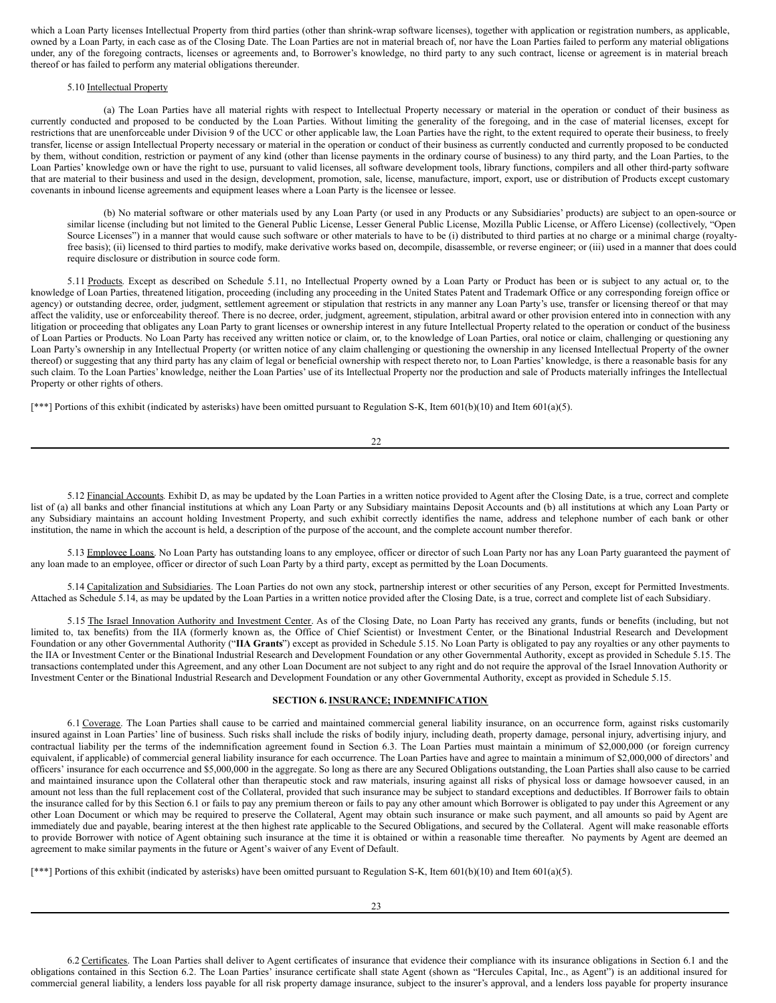which a Loan Party licenses Intellectual Property from third parties (other than shrink-wrap software licenses), together with application or registration numbers, as applicable, owned by a Loan Party, in each case as of the Closing Date. The Loan Parties are not in material breach of, nor have the Loan Parties failed to perform any material obligations under, any of the foregoing contracts, licenses or agreements and, to Borrower's knowledge, no third party to any such contract, license or agreement is in material breach thereof or has failed to perform any material obligations thereunder.

#### 5.10 Intellectual Property

(a) The Loan Parties have all material rights with respect to Intellectual Property necessary or material in the operation or conduct of their business as currently conducted and proposed to be conducted by the Loan Parties. Without limiting the generality of the foregoing, and in the case of material licenses, except for restrictions that are unenforceable under Division 9 of the UCC or other applicable law, the Loan Parties have the right, to the extent required to operate their business, to freely transfer, license or assign Intellectual Property necessary or material in the operation or conduct of their business as currently conducted and currently proposed to be conducted by them, without condition, restriction or payment of any kind (other than license payments in the ordinary course of business) to any third party, and the Loan Parties, to the Loan Parties' knowledge own or have the right to use, pursuant to valid licenses, all software development tools, library functions, compilers and all other third-party software that are material to their business and used in the design, development, promotion, sale, license, manufacture, import, export, use or distribution of Products except customary covenants in inbound license agreements and equipment leases where a Loan Party is the licensee or lessee.

(b) No material software or other materials used by any Loan Party (or used in any Products or any Subsidiaries' products) are subject to an open-source or similar license (including but not limited to the General Public License, Lesser General Public License, Mozilla Public License, or Affero License) (collectively, "Open Source Licenses") in a manner that would cause such software or other materials to have to be (i) distributed to third parties at no charge or a minimal charge (royaltyfree basis); (ii) licensed to third parties to modify, make derivative works based on, decompile, disassemble, or reverse engineer; or (iii) used in a manner that does could require disclosure or distribution in source code form.

5.11 Products. Except as described on Schedule 5.11, no Intellectual Property owned by a Loan Party or Product has been or is subject to any actual or, to the knowledge of Loan Parties, threatened litigation, proceeding (including any proceeding in the United States Patent and Trademark Office or any corresponding foreign office or agency) or outstanding decree, order, judgment, settlement agreement or stipulation that restricts in any manner any Loan Party's use, transfer or licensing thereof or that may affect the validity, use or enforceability thereof. There is no decree, order, judgment, agreement, stipulation, arbitral award or other provision entered into in connection with any litigation or proceeding that obligates any Loan Party to grant licenses or ownership interest in any future Intellectual Property related to the operation or conduct of the business of Loan Parties or Products. No Loan Party has received any written notice or claim, or, to the knowledge of Loan Parties, oral notice or claim, challenging or questioning any Loan Party's ownership in any Intellectual Property (or written notice of any claim challenging or questioning the ownership in any licensed Intellectual Property of the owner thereof) or suggesting that any third party has any claim of legal or beneficial ownership with respect thereto nor, to Loan Parties' knowledge, is there a reasonable basis for any such claim. To the Loan Parties' knowledge, neither the Loan Parties' use of its Intellectual Property nor the production and sale of Products materially infringes the Intellectual Property or other rights of others.

[\*\*\*] Portions of this exhibit (indicated by asterisks) have been omitted pursuant to Regulation S-K, Item 601(b)(10) and Item 601(a)(5).

5.12 Financial Accounts. Exhibit D, as may be updated by the Loan Parties in a written notice provided to Agent after the Closing Date, is a true, correct and complete list of (a) all banks and other financial institutions at which any Loan Party or any Subsidiary maintains Deposit Accounts and (b) all institutions at which any Loan Party or any Subsidiary maintains an account holding Investment Property, and such exhibit correctly identifies the name, address and telephone number of each bank or other institution, the name in which the account is held, a description of the purpose of the account, and the complete account number therefor.

5.13 Employee Loans. No Loan Party has outstanding loans to any employee, officer or director of such Loan Party nor has any Loan Party guaranteed the payment of any loan made to an employee, officer or director of such Loan Party by a third party, except as permitted by the Loan Documents.

5.14 Capitalization and Subsidiaries. The Loan Parties do not own any stock, partnership interest or other securities of any Person, except for Permitted Investments. Attached as Schedule 5.14, as may be updated by the Loan Parties in a written notice provided after the Closing Date, is a true, correct and complete list of each Subsidiary.

5.15 The Israel Innovation Authority and Investment Center. As of the Closing Date, no Loan Party has received any grants, funds or benefits (including, but not limited to, tax benefits) from the IIA (formerly known as, the Office of Chief Scientist) or Investment Center, or the Binational Industrial Research and Development Foundation or any other Governmental Authority ("**IIA Grants**") except as provided in Schedule 5.15. No Loan Party is obligated to pay any royalties or any other payments to the IIA or Investment Center or the Binational Industrial Research and Development Foundation or any other Governmental Authority, except as provided in Schedule 5.15. The transactions contemplated under this Agreement, and any other Loan Document are not subject to any right and do not require the approval of the Israel Innovation Authority or Investment Center or the Binational Industrial Research and Development Foundation or any other Governmental Authority, except as provided in Schedule 5.15.

# **SECTION 6. INSURANCE; INDEMNIFICATION**

6.1 Coverage. The Loan Parties shall cause to be carried and maintained commercial general liability insurance, on an occurrence form, against risks customarily insured against in Loan Parties' line of business. Such risks shall include the risks of bodily injury, including death, property damage, personal injury, advertising injury, and contractual liability per the terms of the indemnification agreement found in Section 6.3. The Loan Parties must maintain a minimum of \$2,000,000 (or foreign currency equivalent, if applicable) of commercial general liability insurance for each occurrence. The Loan Parties have and agree to maintain a minimum of \$2,000,000 of directors' and officers' insurance for each occurrence and \$5,000,000 in the aggregate. So long as there are any Secured Obligations outstanding, the Loan Parties shall also cause to be carried and maintained insurance upon the Collateral other than therapeutic stock and raw materials, insuring against all risks of physical loss or damage howsoever caused, in an amount not less than the full replacement cost of the Collateral, provided that such insurance may be subject to standard exceptions and deductibles. If Borrower fails to obtain the insurance called for by this Section 6.1 or fails to pay any premium thereon or fails to pay any other amount which Borrower is obligated to pay under this Agreement or any other Loan Document or which may be required to preserve the Collateral, Agent may obtain such insurance or make such payment, and all amounts so paid by Agent are immediately due and payable, bearing interest at the then highest rate applicable to the Secured Obligations, and secured by the Collateral. Agent will make reasonable efforts to provide Borrower with notice of Agent obtaining such insurance at the time it is obtained or within a reasonable time thereafter. No payments by Agent are deemed an agreement to make similar payments in the future or Agent's waiver of any Event of Default.

[\*\*\*] Portions of this exhibit (indicated by asterisks) have been omitted pursuant to Regulation S-K, Item 601(b)(10) and Item 601(a)(5).

6.2 Certificates. The Loan Parties shall deliver to Agent certificates of insurance that evidence their compliance with its insurance obligations in Section 6.1 and the obligations contained in this Section 6.2. The Loan Parties' insurance certificate shall state Agent (shown as "Hercules Capital, Inc., as Agent") is an additional insured for commercial general liability, a lenders loss payable for all risk property damage insurance, subject to the insurer's approval, and a lenders loss payable for property insurance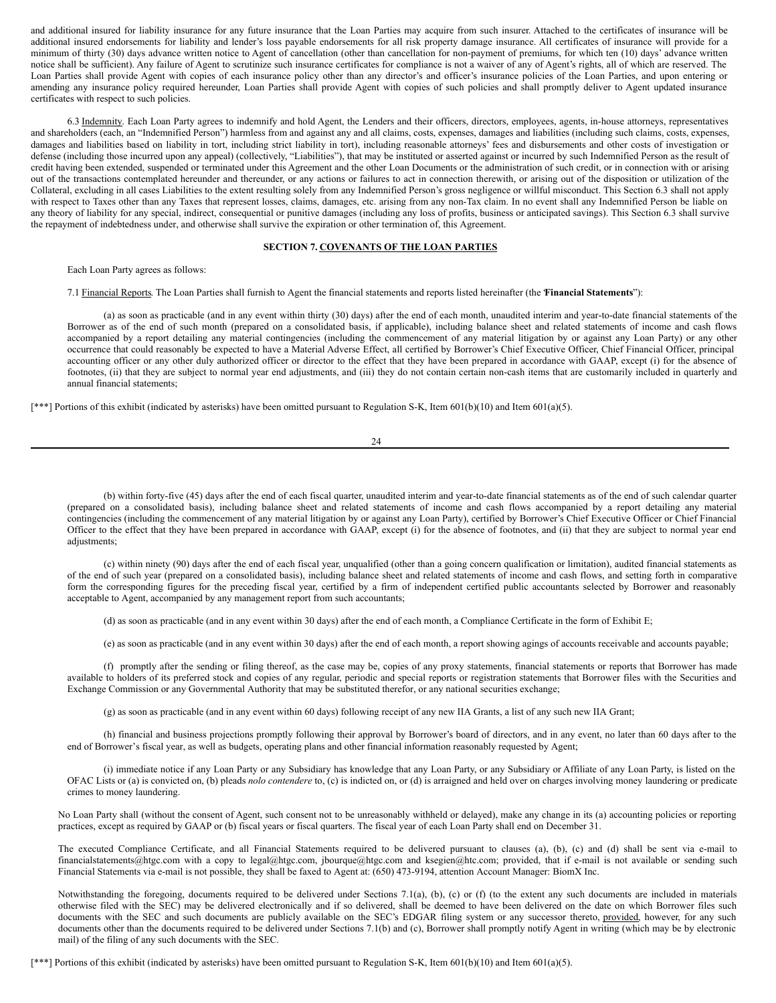and additional insured for liability insurance for any future insurance that the Loan Parties may acquire from such insurer. Attached to the certificates of insurance will be additional insured endorsements for liability and lender's loss payable endorsements for all risk property damage insurance. All certificates of insurance will provide for a minimum of thirty (30) days advance written notice to Agent of cancellation (other than cancellation for non-payment of premiums, for which ten (10) days' advance written notice shall be sufficient). Any failure of Agent to scrutinize such insurance certificates for compliance is not a waiver of any of Agent's rights, all of which are reserved. The Loan Parties shall provide Agent with copies of each insurance policy other than any director's and officer's insurance policies of the Loan Parties, and upon entering or amending any insurance policy required hereunder, Loan Parties shall provide Agent with copies of such policies and shall promptly deliver to Agent updated insurance certificates with respect to such policies.

6.3 Indemnity. Each Loan Party agrees to indemnify and hold Agent, the Lenders and their officers, directors, employees, agents, in-house attorneys, representatives and shareholders (each, an "Indemnified Person") harmless from and against any and all claims, costs, expenses, damages and liabilities (including such claims, costs, expenses, damages and liabilities based on liability in tort, including strict liability in tort), including reasonable attorneys' fees and disbursements and other costs of investigation or defense (including those incurred upon any appeal) (collectively, "Liabilities"), that may be instituted or asserted against or incurred by such Indemnified Person as the result of credit having been extended, suspended or terminated under this Agreement and the other Loan Documents or the administration of such credit, or in connection with or arising out of the transactions contemplated hereunder and thereunder, or any actions or failures to act in connection therewith, or arising out of the disposition or utilization of the Collateral, excluding in all cases Liabilities to the extent resulting solely from any Indemnified Person's gross negligence or willful misconduct. This Section 6.3 shall not apply with respect to Taxes other than any Taxes that represent losses, claims, damages, etc. arising from any non-Tax claim. In no event shall any Indemnified Person be liable on any theory of liability for any special, indirect, consequential or punitive damages (including any loss of profits, business or anticipated savings). This Section 6.3 shall survive the repayment of indebtedness under, and otherwise shall survive the expiration or other termination of, this Agreement.

#### **SECTION 7. COVENANTS OF THE LOAN PARTIES**

Each Loan Party agrees as follows:

7.1 Financial Reports. The Loan Parties shall furnish to Agent the financial statements and reports listed hereinafter (the "**Financial Statements**"):

(a) as soon as practicable (and in any event within thirty (30) days) after the end of each month, unaudited interim and year-to-date financial statements of the Borrower as of the end of such month (prepared on a consolidated basis, if applicable), including balance sheet and related statements of income and cash flows accompanied by a report detailing any material contingencies (including the commencement of any material litigation by or against any Loan Party) or any other occurrence that could reasonably be expected to have a Material Adverse Effect, all certified by Borrower's Chief Executive Officer, Chief Financial Officer, principal accounting officer or any other duly authorized officer or director to the effect that they have been prepared in accordance with GAAP, except (i) for the absence of footnotes, (ii) that they are subject to normal year end adjustments, and (iii) they do not contain certain non-cash items that are customarily included in quarterly and annual financial statements;

[\*\*\*] Portions of this exhibit (indicated by asterisks) have been omitted pursuant to Regulation S-K, Item 601(b)(10) and Item 601(a)(5).

24

(b) within forty-five (45) days after the end of each fiscal quarter, unaudited interim and year-to-date financial statements as of the end of such calendar quarter (prepared on a consolidated basis), including balance sheet and related statements of income and cash flows accompanied by a report detailing any material contingencies (including the commencement of any material litigation by or against any Loan Party), certified by Borrower's Chief Executive Officer or Chief Financial Officer to the effect that they have been prepared in accordance with GAAP, except (i) for the absence of footnotes, and (ii) that they are subject to normal year end adjustments;

(c) within ninety (90) days after the end of each fiscal year, unqualified (other than a going concern qualification or limitation), audited financial statements as of the end of such year (prepared on a consolidated basis), including balance sheet and related statements of income and cash flows, and setting forth in comparative form the corresponding figures for the preceding fiscal year, certified by a firm of independent certified public accountants selected by Borrower and reasonably acceptable to Agent, accompanied by any management report from such accountants;

(d) as soon as practicable (and in any event within 30 days) after the end of each month, a Compliance Certificate in the form of Exhibit E;

(e) as soon as practicable (and in any event within 30 days) after the end of each month, a report showing agings of accounts receivable and accounts payable;

(f) promptly after the sending or filing thereof, as the case may be, copies of any proxy statements, financial statements or reports that Borrower has made available to holders of its preferred stock and copies of any regular, periodic and special reports or registration statements that Borrower files with the Securities and Exchange Commission or any Governmental Authority that may be substituted therefor, or any national securities exchange;

(g) as soon as practicable (and in any event within 60 days) following receipt of any new IIA Grants, a list of any such new IIA Grant;

(h) financial and business projections promptly following their approval by Borrower's board of directors, and in any event, no later than 60 days after to the end of Borrower's fiscal year, as well as budgets, operating plans and other financial information reasonably requested by Agent;

(i) immediate notice if any Loan Party or any Subsidiary has knowledge that any Loan Party, or any Subsidiary or Affiliate of any Loan Party, is listed on the OFAC Lists or (a) is convicted on, (b) pleads *nolo contendere* to, (c) is indicted on, or (d) is arraigned and held over on charges involving money laundering or predicate crimes to money laundering.

No Loan Party shall (without the consent of Agent, such consent not to be unreasonably withheld or delayed), make any change in its (a) accounting policies or reporting practices, except as required by GAAP or (b) fiscal years or fiscal quarters. The fiscal year of each Loan Party shall end on December 31.

The executed Compliance Certificate, and all Financial Statements required to be delivered pursuant to clauses (a), (b), (c) and (d) shall be sent via e-mail to financialstatements@htgc.com with a copy to legal@htgc.com, jbourque@htgc.com and ksegien@htc.com; provided, that if e-mail is not available or sending such Financial Statements via e-mail is not possible, they shall be faxed to Agent at: (650) 473-9194, attention Account Manager: BiomX Inc.

Notwithstanding the foregoing, documents required to be delivered under Sections 7.1(a), (b), (c) or (f) (to the extent any such documents are included in materials otherwise filed with the SEC) may be delivered electronically and if so delivered, shall be deemed to have been delivered on the date on which Borrower files such documents with the SEC and such documents are publicly available on the SEC's EDGAR filing system or any successor thereto, provided, however, for any such documents other than the documents required to be delivered under Sections 7.1(b) and (c), Borrower shall promptly notify Agent in writing (which may be by electronic mail) of the filing of any such documents with the SEC.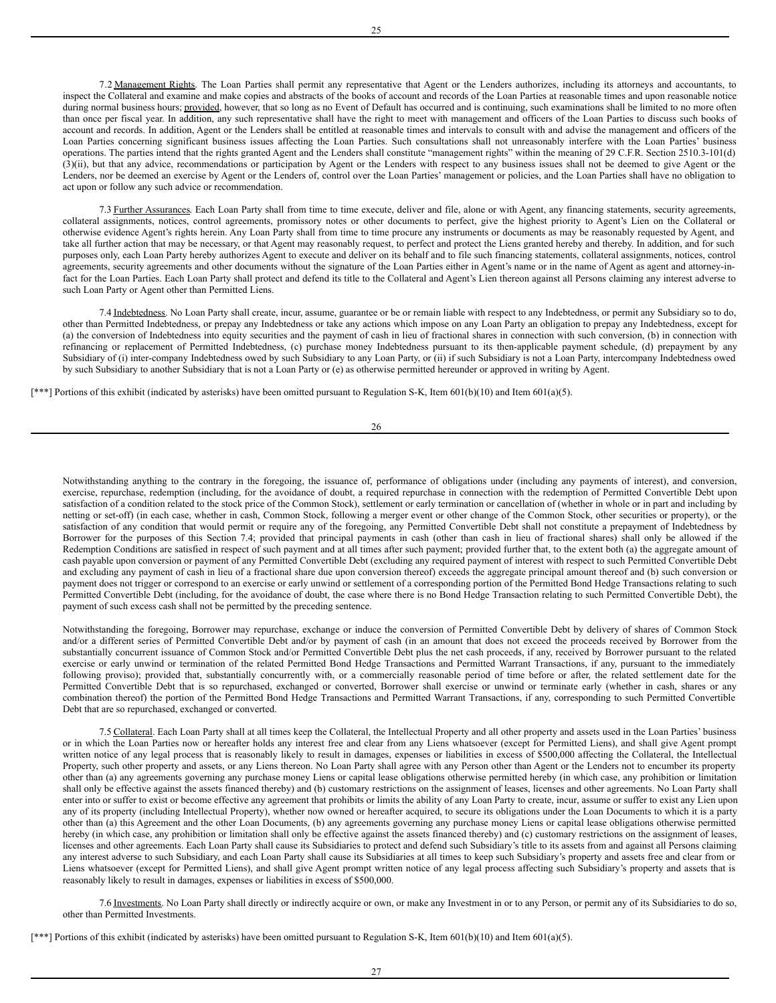7.2 Management Rights. The Loan Parties shall permit any representative that Agent or the Lenders authorizes, including its attorneys and accountants, to inspect the Collateral and examine and make copies and abstracts of the books of account and records of the Loan Parties at reasonable times and upon reasonable notice during normal business hours; provided, however, that so long as no Event of Default has occurred and is continuing, such examinations shall be limited to no more often than once per fiscal year. In addition, any such representative shall have the right to meet with management and officers of the Loan Parties to discuss such books of account and records. In addition, Agent or the Lenders shall be entitled at reasonable times and intervals to consult with and advise the management and officers of the Loan Parties concerning significant business issues affecting the Loan Parties. Such consultations shall not unreasonably interfere with the Loan Parties' business operations. The parties intend that the rights granted Agent and the Lenders shall constitute "management rights" within the meaning of 29 C.F.R. Section 2510.3-101(d) (3)(ii), but that any advice, recommendations or participation by Agent or the Lenders with respect to any business issues shall not be deemed to give Agent or the Lenders, nor be deemed an exercise by Agent or the Lenders of, control over the Loan Parties' management or policies, and the Loan Parties shall have no obligation to act upon or follow any such advice or recommendation.

7.3 Further Assurances. Each Loan Party shall from time to time execute, deliver and file, alone or with Agent, any financing statements, security agreements, collateral assignments, notices, control agreements, promissory notes or other documents to perfect, give the highest priority to Agent's Lien on the Collateral or otherwise evidence Agent's rights herein. Any Loan Party shall from time to time procure any instruments or documents as may be reasonably requested by Agent, and take all further action that may be necessary, or that Agent may reasonably request, to perfect and protect the Liens granted hereby and thereby. In addition, and for such purposes only, each Loan Party hereby authorizes Agent to execute and deliver on its behalf and to file such financing statements, collateral assignments, notices, control agreements, security agreements and other documents without the signature of the Loan Parties either in Agent's name or in the name of Agent as agent and attorney-infact for the Loan Parties. Each Loan Party shall protect and defend its title to the Collateral and Agent's Lien thereon against all Persons claiming any interest adverse to such Loan Party or Agent other than Permitted Liens.

7.4 Indebtedness. No Loan Party shall create, incur, assume, guarantee or be or remain liable with respect to any Indebtedness, or permit any Subsidiary so to do, other than Permitted Indebtedness, or prepay any Indebtedness or take any actions which impose on any Loan Party an obligation to prepay any Indebtedness, except for (a) the conversion of Indebtedness into equity securities and the payment of cash in lieu of fractional shares in connection with such conversion, (b) in connection with refinancing or replacement of Permitted Indebtedness, (c) purchase money Indebtedness pursuant to its then-applicable payment schedule, (d) prepayment by any Subsidiary of (i) inter-company Indebtedness owed by such Subsidiary to any Loan Party, or (ii) if such Subsidiary is not a Loan Party, intercompany Indebtedness owed by such Subsidiary to another Subsidiary that is not a Loan Party or (e) as otherwise permitted hereunder or approved in writing by Agent.

[\*\*\*] Portions of this exhibit (indicated by asterisks) have been omitted pursuant to Regulation S-K, Item 601(b)(10) and Item 601(a)(5).

26

Notwithstanding anything to the contrary in the foregoing, the issuance of, performance of obligations under (including any payments of interest), and conversion, exercise, repurchase, redemption (including, for the avoidance of doubt, a required repurchase in connection with the redemption of Permitted Convertible Debt upon satisfaction of a condition related to the stock price of the Common Stock), settlement or early termination or cancellation of (whether in whole or in part and including by netting or set-off) (in each case, whether in cash, Common Stock, following a merger event or other change of the Common Stock, other securities or property), or the satisfaction of any condition that would permit or require any of the foregoing, any Permitted Convertible Debt shall not constitute a prepayment of Indebtedness by Borrower for the purposes of this Section 7.4; provided that principal payments in cash (other than cash in lieu of fractional shares) shall only be allowed if the Redemption Conditions are satisfied in respect of such payment and at all times after such payment; provided further that, to the extent both (a) the aggregate amount of cash payable upon conversion or payment of any Permitted Convertible Debt (excluding any required payment of interest with respect to such Permitted Convertible Debt and excluding any payment of cash in lieu of a fractional share due upon conversion thereof) exceeds the aggregate principal amount thereof and (b) such conversion or payment does not trigger or correspond to an exercise or early unwind or settlement of a corresponding portion of the Permitted Bond Hedge Transactions relating to such Permitted Convertible Debt (including, for the avoidance of doubt, the case where there is no Bond Hedge Transaction relating to such Permitted Convertible Debt), the payment of such excess cash shall not be permitted by the preceding sentence.

Notwithstanding the foregoing, Borrower may repurchase, exchange or induce the conversion of Permitted Convertible Debt by delivery of shares of Common Stock and/or a different series of Permitted Convertible Debt and/or by payment of cash (in an amount that does not exceed the proceeds received by Borrower from the substantially concurrent issuance of Common Stock and/or Permitted Convertible Debt plus the net cash proceeds, if any, received by Borrower pursuant to the related exercise or early unwind or termination of the related Permitted Bond Hedge Transactions and Permitted Warrant Transactions, if any, pursuant to the immediately following proviso); provided that, substantially concurrently with, or a commercially reasonable period of time before or after, the related settlement date for the Permitted Convertible Debt that is so repurchased, exchanged or converted, Borrower shall exercise or unwind or terminate early (whether in cash, shares or any combination thereof) the portion of the Permitted Bond Hedge Transactions and Permitted Warrant Transactions, if any, corresponding to such Permitted Convertible Debt that are so repurchased, exchanged or converted.

7.5 Collateral. Each Loan Party shall at all times keep the Collateral, the Intellectual Property and all other property and assets used in the Loan Parties' business or in which the Loan Parties now or hereafter holds any interest free and clear from any Liens whatsoever (except for Permitted Liens), and shall give Agent prompt written notice of any legal process that is reasonably likely to result in damages, expenses or liabilities in excess of \$500,000 affecting the Collateral, the Intellectual Property, such other property and assets, or any Liens thereon. No Loan Party shall agree with any Person other than Agent or the Lenders not to encumber its property other than (a) any agreements governing any purchase money Liens or capital lease obligations otherwise permitted hereby (in which case, any prohibition or limitation shall only be effective against the assets financed thereby) and (b) customary restrictions on the assignment of leases, licenses and other agreements. No Loan Party shall enter into or suffer to exist or become effective any agreement that prohibits or limits the ability of any Loan Party to create, incur, assume or suffer to exist any Lien upon any of its property (including Intellectual Property), whether now owned or hereafter acquired, to secure its obligations under the Loan Documents to which it is a party other than (a) this Agreement and the other Loan Documents, (b) any agreements governing any purchase money Liens or capital lease obligations otherwise permitted hereby (in which case, any prohibition or limitation shall only be effective against the assets financed thereby) and (c) customary restrictions on the assignment of leases, licenses and other agreements. Each Loan Party shall cause its Subsidiaries to protect and defend such Subsidiary's title to its assets from and against all Persons claiming any interest adverse to such Subsidiary, and each Loan Party shall cause its Subsidiaries at all times to keep such Subsidiary's property and assets free and clear from or Liens whatsoever (except for Permitted Liens), and shall give Agent prompt written notice of any legal process affecting such Subsidiary's property and assets that is reasonably likely to result in damages, expenses or liabilities in excess of \$500,000.

7.6 Investments. No Loan Party shall directly or indirectly acquire or own, or make any Investment in or to any Person, or permit any of its Subsidiaries to do so, other than Permitted Investments.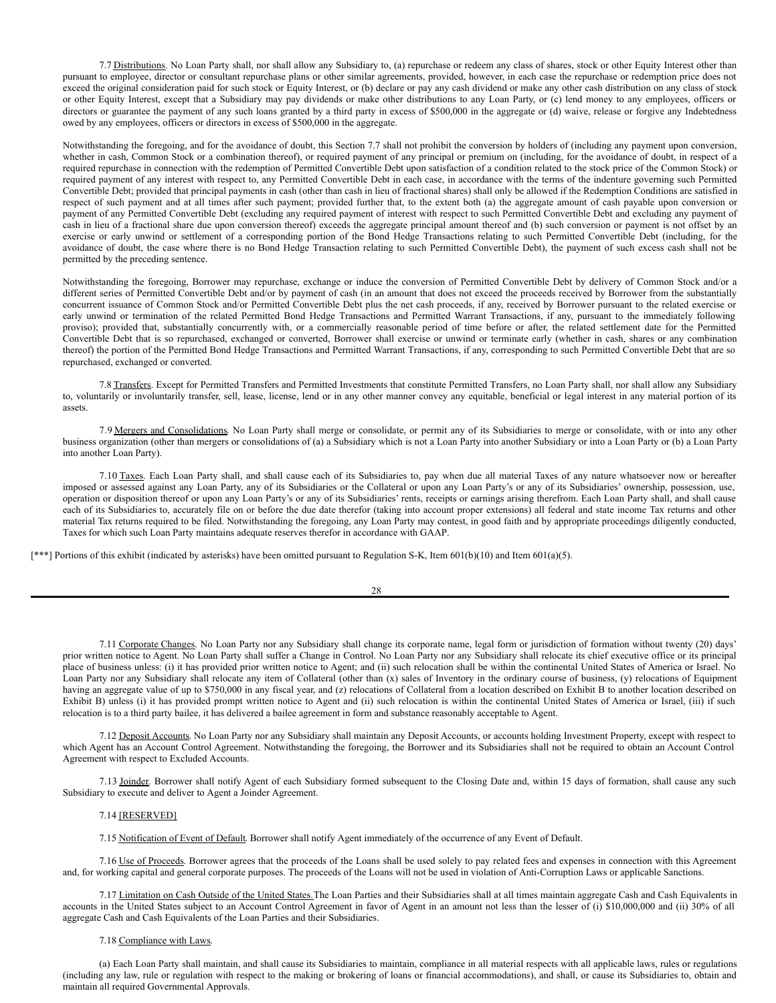7.7 Distributions. No Loan Party shall, nor shall allow any Subsidiary to, (a) repurchase or redeem any class of shares, stock or other Equity Interest other than pursuant to employee, director or consultant repurchase plans or other similar agreements, provided, however, in each case the repurchase or redemption price does not exceed the original consideration paid for such stock or Equity Interest, or (b) declare or pay any cash dividend or make any other cash distribution on any class of stock or other Equity Interest, except that a Subsidiary may pay dividends or make other distributions to any Loan Party, or (c) lend money to any employees, officers or directors or guarantee the payment of any such loans granted by a third party in excess of \$500,000 in the aggregate or (d) waive, release or forgive any Indebtedness owed by any employees, officers or directors in excess of \$500,000 in the aggregate.

Notwithstanding the foregoing, and for the avoidance of doubt, this Section 7.7 shall not prohibit the conversion by holders of (including any payment upon conversion, whether in cash, Common Stock or a combination thereof), or required payment of any principal or premium on (including, for the avoidance of doubt, in respect of a required repurchase in connection with the redemption of Permitted Convertible Debt upon satisfaction of a condition related to the stock price of the Common Stock) or required payment of any interest with respect to, any Permitted Convertible Debt in each case, in accordance with the terms of the indenture governing such Permitted Convertible Debt; provided that principal payments in cash (other than cash in lieu of fractional shares) shall only be allowed if the Redemption Conditions are satisfied in respect of such payment and at all times after such payment; provided further that, to the extent both (a) the aggregate amount of cash payable upon conversion or payment of any Permitted Convertible Debt (excluding any required payment of interest with respect to such Permitted Convertible Debt and excluding any payment of cash in lieu of a fractional share due upon conversion thereof) exceeds the aggregate principal amount thereof and (b) such conversion or payment is not offset by an exercise or early unwind or settlement of a corresponding portion of the Bond Hedge Transactions relating to such Permitted Convertible Debt (including, for the avoidance of doubt, the case where there is no Bond Hedge Transaction relating to such Permitted Convertible Debt), the payment of such excess cash shall not be permitted by the preceding sentence.

Notwithstanding the foregoing, Borrower may repurchase, exchange or induce the conversion of Permitted Convertible Debt by delivery of Common Stock and/or a different series of Permitted Convertible Debt and/or by payment of cash (in an amount that does not exceed the proceeds received by Borrower from the substantially concurrent issuance of Common Stock and/or Permitted Convertible Debt plus the net cash proceeds, if any, received by Borrower pursuant to the related exercise or early unwind or termination of the related Permitted Bond Hedge Transactions and Permitted Warrant Transactions, if any, pursuant to the immediately following proviso); provided that, substantially concurrently with, or a commercially reasonable period of time before or after, the related settlement date for the Permitted Convertible Debt that is so repurchased, exchanged or converted, Borrower shall exercise or unwind or terminate early (whether in cash, shares or any combination thereof) the portion of the Permitted Bond Hedge Transactions and Permitted Warrant Transactions, if any, corresponding to such Permitted Convertible Debt that are so repurchased, exchanged or converted.

7.8 Transfers. Except for Permitted Transfers and Permitted Investments that constitute Permitted Transfers, no Loan Party shall, nor shall allow any Subsidiary to, voluntarily or involuntarily transfer, sell, lease, license, lend or in any other manner convey any equitable, beneficial or legal interest in any material portion of its assets.

7.9 Mergers and Consolidations. No Loan Party shall merge or consolidate, or permit any of its Subsidiaries to merge or consolidate, with or into any other business organization (other than mergers or consolidations of (a) a Subsidiary which is not a Loan Party into another Subsidiary or into a Loan Party or (b) a Loan Party into another Loan Party).

7.10 Taxes. Each Loan Party shall, and shall cause each of its Subsidiaries to, pay when due all material Taxes of any nature whatsoever now or hereafter imposed or assessed against any Loan Party, any of its Subsidiaries or the Collateral or upon any Loan Party's or any of its Subsidiaries' ownership, possession, use, operation or disposition thereof or upon any Loan Party's or any of its Subsidiaries' rents, receipts or earnings arising therefrom. Each Loan Party shall, and shall cause each of its Subsidiaries to, accurately file on or before the due date therefor (taking into account proper extensions) all federal and state income Tax returns and other material Tax returns required to be filed. Notwithstanding the foregoing, any Loan Party may contest, in good faith and by appropriate proceedings diligently conducted, Taxes for which such Loan Party maintains adequate reserves therefor in accordance with GAAP.

[\*\*\*] Portions of this exhibit (indicated by asterisks) have been omitted pursuant to Regulation S-K, Item 601(b)(10) and Item 601(a)(5).

28

7.11 Corporate Changes. No Loan Party nor any Subsidiary shall change its corporate name, legal form or jurisdiction of formation without twenty (20) days' prior written notice to Agent. No Loan Party shall suffer a Change in Control. No Loan Party nor any Subsidiary shall relocate its chief executive office or its principal place of business unless: (i) it has provided prior written notice to Agent; and (ii) such relocation shall be within the continental United States of America or Israel. No Loan Party nor any Subsidiary shall relocate any item of Collateral (other than (x) sales of Inventory in the ordinary course of business, (y) relocations of Equipment having an aggregate value of up to \$750,000 in any fiscal year, and (z) relocations of Collateral from a location described on Exhibit B to another location described on Exhibit B) unless (i) it has provided prompt written notice to Agent and (ii) such relocation is within the continental United States of America or Israel, (iii) if such relocation is to a third party bailee, it has delivered a bailee agreement in form and substance reasonably acceptable to Agent.

7.12 Deposit Accounts. No Loan Party nor any Subsidiary shall maintain any Deposit Accounts, or accounts holding Investment Property, except with respect to which Agent has an Account Control Agreement. Notwithstanding the foregoing, the Borrower and its Subsidiaries shall not be required to obtain an Account Control Agreement with respect to Excluded Accounts.

7.13 Joinder. Borrower shall notify Agent of each Subsidiary formed subsequent to the Closing Date and, within 15 days of formation, shall cause any such Subsidiary to execute and deliver to Agent a Joinder Agreement.

#### 7.14 [RESERVED]

7.15 Notification of Event of Default. Borrower shall notify Agent immediately of the occurrence of any Event of Default.

7.16 Use of Proceeds. Borrower agrees that the proceeds of the Loans shall be used solely to pay related fees and expenses in connection with this Agreement and, for working capital and general corporate purposes. The proceeds of the Loans will not be used in violation of Anti-Corruption Laws or applicable Sanctions.

7.17 Limitation on Cash Outside of the United States. The Loan Parties and their Subsidiaries shall at all times maintain aggregate Cash and Cash Equivalents in accounts in the United States subject to an Account Control Agreement in favor of Agent in an amount not less than the lesser of (i) \$10,000,000 and (ii) 30% of all aggregate Cash and Cash Equivalents of the Loan Parties and their Subsidiaries.

#### 7.18 Compliance with Laws.

(a) Each Loan Party shall maintain, and shall cause its Subsidiaries to maintain, compliance in all material respects with all applicable laws, rules or regulations (including any law, rule or regulation with respect to the making or brokering of loans or financial accommodations), and shall, or cause its Subsidiaries to, obtain and maintain all required Governmental Approvals.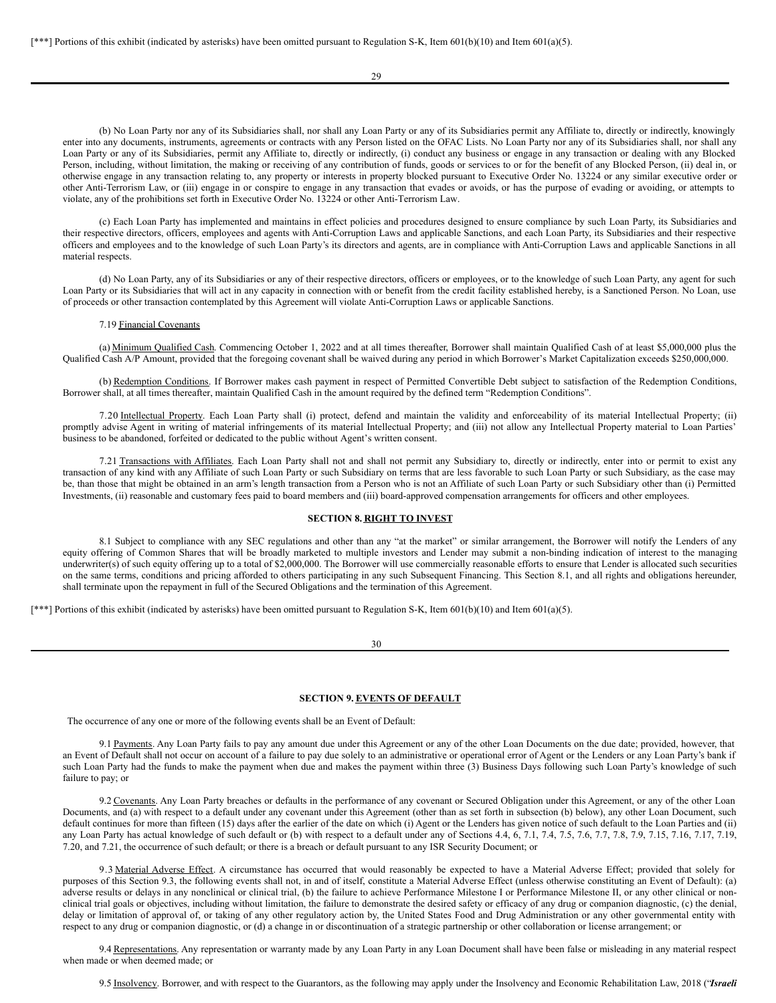29

(b) No Loan Party nor any of its Subsidiaries shall, nor shall any Loan Party or any of its Subsidiaries permit any Affiliate to, directly or indirectly, knowingly enter into any documents, instruments, agreements or contracts with any Person listed on the OFAC Lists. No Loan Party nor any of its Subsidiaries shall, nor shall any Loan Party or any of its Subsidiaries, permit any Affiliate to, directly or indirectly, (i) conduct any business or engage in any transaction or dealing with any Blocked Person, including, without limitation, the making or receiving of any contribution of funds, goods or services to or for the benefit of any Blocked Person, (ii) deal in, or otherwise engage in any transaction relating to, any property or interests in property blocked pursuant to Executive Order No. 13224 or any similar executive order or other Anti-Terrorism Law, or (iii) engage in or conspire to engage in any transaction that evades or avoids, or has the purpose of evading or avoiding, or attempts to violate, any of the prohibitions set forth in Executive Order No. 13224 or other Anti-Terrorism Law.

(c) Each Loan Party has implemented and maintains in effect policies and procedures designed to ensure compliance by such Loan Party, its Subsidiaries and their respective directors, officers, employees and agents with Anti-Corruption Laws and applicable Sanctions, and each Loan Party, its Subsidiaries and their respective officers and employees and to the knowledge of such Loan Party's its directors and agents, are in compliance with Anti-Corruption Laws and applicable Sanctions in all material respects.

(d) No Loan Party, any of its Subsidiaries or any of their respective directors, officers or employees, or to the knowledge of such Loan Party, any agent for such Loan Party or its Subsidiaries that will act in any capacity in connection with or benefit from the credit facility established hereby, is a Sanctioned Person. No Loan, use of proceeds or other transaction contemplated by this Agreement will violate Anti-Corruption Laws or applicable Sanctions.

#### 7.19 Financial Covenants

(a) Minimum Qualified Cash. Commencing October 1, 2022 and at all times thereafter, Borrower shall maintain Qualified Cash of at least \$5,000,000 plus the Qualified Cash A/P Amount, provided that the foregoing covenant shall be waived during any period in which Borrower's Market Capitalization exceeds \$250,000,000.

(b) Redemption Conditions. If Borrower makes cash payment in respect of Permitted Convertible Debt subject to satisfaction of the Redemption Conditions, Borrower shall, at all times thereafter, maintain Qualified Cash in the amount required by the defined term "Redemption Conditions".

7.20 Intellectual Property. Each Loan Party shall (i) protect, defend and maintain the validity and enforceability of its material Intellectual Property; (ii) promptly advise Agent in writing of material infringements of its material Intellectual Property; and (iii) not allow any Intellectual Property material to Loan Parties' business to be abandoned, forfeited or dedicated to the public without Agent's written consent.

7.21 Transactions with Affiliates. Each Loan Party shall not and shall not permit any Subsidiary to, directly or indirectly, enter into or permit to exist any transaction of any kind with any Affiliate of such Loan Party or such Subsidiary on terms that are less favorable to such Loan Party or such Subsidiary, as the case may be, than those that might be obtained in an arm's length transaction from a Person who is not an Affiliate of such Loan Party or such Subsidiary other than (i) Permitted Investments, (ii) reasonable and customary fees paid to board members and (iii) board-approved compensation arrangements for officers and other employees.

#### **SECTION 8. RIGHT TO INVEST**

8.1 Subject to compliance with any SEC regulations and other than any "at the market" or similar arrangement, the Borrower will notify the Lenders of any equity offering of Common Shares that will be broadly marketed to multiple investors and Lender may submit a non-binding indication of interest to the managing underwriter(s) of such equity offering up to a total of \$2,000,000. The Borrower will use commercially reasonable efforts to ensure that Lender is allocated such securities on the same terms, conditions and pricing afforded to others participating in any such Subsequent Financing. This Section 8.1, and all rights and obligations hereunder, shall terminate upon the repayment in full of the Secured Obligations and the termination of this Agreement.

[\*\*\*] Portions of this exhibit (indicated by asterisks) have been omitted pursuant to Regulation S-K, Item 601(b)(10) and Item 601(a)(5).

30

#### **SECTION 9. EVENTS OF DEFAULT**

The occurrence of any one or more of the following events shall be an Event of Default:

9.1 Payments. Any Loan Party fails to pay any amount due under this Agreement or any of the other Loan Documents on the due date; provided, however, that an Event of Default shall not occur on account of a failure to pay due solely to an administrative or operational error of Agent or the Lenders or any Loan Party's bank if such Loan Party had the funds to make the payment when due and makes the payment within three (3) Business Days following such Loan Party's knowledge of such failure to pay; or

9.2 Covenants. Any Loan Party breaches or defaults in the performance of any covenant or Secured Obligation under this Agreement, or any of the other Loan Documents, and (a) with respect to a default under any covenant under this Agreement (other than as set forth in subsection (b) below), any other Loan Document, such default continues for more than fifteen (15) days after the earlier of the date on which (i) Agent or the Lenders has given notice of such default to the Loan Parties and (ii) any Loan Party has actual knowledge of such default or (b) with respect to a default under any of Sections 4.4, 6, 7.1, 7.4, 7.5, 7.6, 7.7, 7.8, 7.9, 7.15, 7.16, 7.17, 7.19, 7.20, and 7.21, the occurrence of such default; or there is a breach or default pursuant to any ISR Security Document; or

9.3 Material Adverse Effect. A circumstance has occurred that would reasonably be expected to have a Material Adverse Effect; provided that solely for purposes of this Section 9.3, the following events shall not, in and of itself, constitute a Material Adverse Effect (unless otherwise constituting an Event of Default): (a) adverse results or delays in any nonclinical or clinical trial, (b) the failure to achieve Performance Milestone I or Performance Milestone II, or any other clinical or nonclinical trial goals or objectives, including without limitation, the failure to demonstrate the desired safety or efficacy of any drug or companion diagnostic, (c) the denial, delay or limitation of approval of, or taking of any other regulatory action by, the United States Food and Drug Administration or any other governmental entity with respect to any drug or companion diagnostic, or (d) a change in or discontinuation of a strategic partnership or other collaboration or license arrangement; or

9.4 Representations. Any representation or warranty made by any Loan Party in any Loan Document shall have been false or misleading in any material respect when made or when deemed made; or

9.5 Insolvency. Borrower, and with respect to the Guarantors, as the following may apply under the Insolvency and Economic Rehabilitation Law, 2018 ("*Israeli*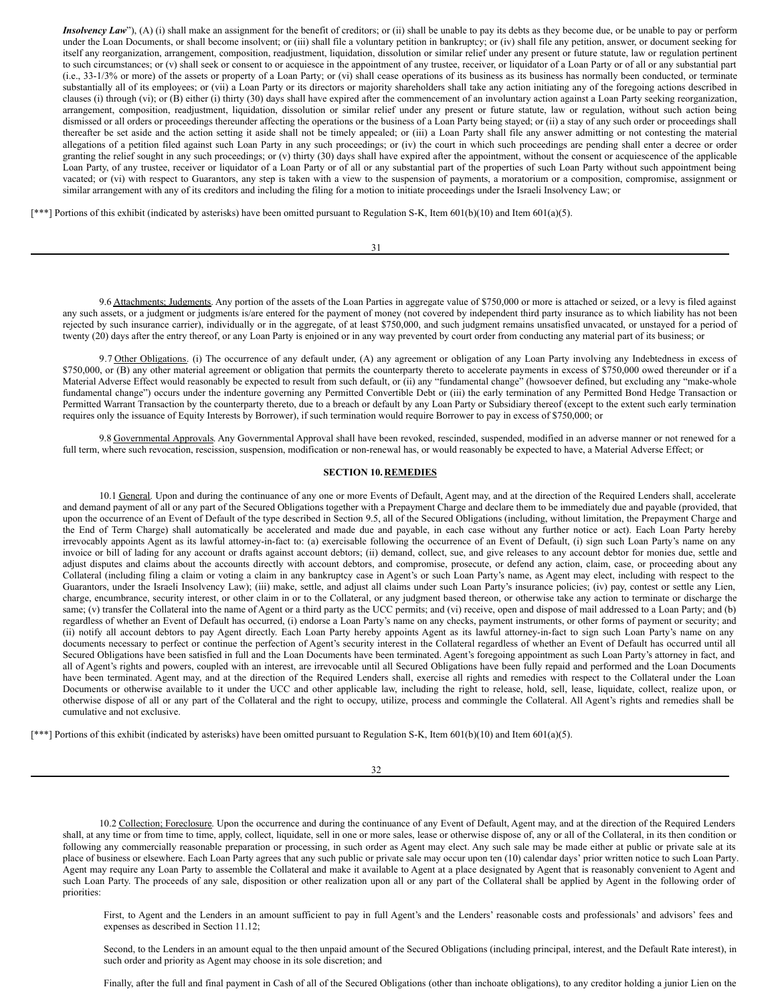<span id="page-35-0"></span>*Insolvency Law*"), (A) (i) shall make an assignment for the benefit of creditors; or (ii) shall be unable to pay its debts as they become due, or be unable to pay or perform under the Loan Documents, or shall become insolvent; or (iii) shall file a voluntary petition in bankruptcy; or (iv) shall file any petition, answer, or document seeking for itself any reorganization, arrangement, composition, readjustment, liquidation, dissolution or similar relief under any present or future statute, law or regulation pertinent to such circumstances; or (v) shall seek or consent to or acquiesce in the appointment of any trustee, receiver, or liquidator of a Loan Party or of all or any substantial part (i.e., 33-1/3% or more) of the assets or property of a Loan Party; or (vi) shall cease operations of its business as its business has normally been conducted, or terminate substantially all of its employees; or (vii) a Loan Party or its directors or majority shareholders shall take any action initiating any of the foregoing actions described in clauses (i) through (vi); or (B) either (i) thirty (30) days shall have expired after the commencement of an involuntary action against a Loan Party seeking reorganization, arrangement, composition, readjustment, liquidation, dissolution or similar relief under any present or future statute, law or regulation, without such action being dismissed or all orders or proceedings thereunder affecting the operations or the business of a Loan Party being stayed; or (ii) a stay of any such order or proceedings shall thereafter be set aside and the action setting it aside shall not be timely appealed; or (iii) a Loan Party shall file any answer admitting or not contesting the material allegations of a petition filed against such Loan Party in any such proceedings; or (iv) the court in which such proceedings are pending shall enter a decree or order granting the relief sought in any such proceedings; or (v) thirty (30) days shall have expired after the appointment, without the consent or acquiescence of the applicable Loan Party, of any trustee, receiver or liquidator of a Loan Party or of all or any substantial part of the properties of such Loan Party without such appointment being vacated; or (vi) with respect to Guarantors, any step is taken with a view to the suspension of payments, a moratorium or a composition, compromise, assignment or similar arrangement with any of its creditors and including the filing for a motion to initiate proceedings under the Israeli Insolvency Law; or

[\*\*\*] Portions of this exhibit (indicated by asterisks) have been omitted pursuant to Regulation S-K, Item 601(b)(10) and Item 601(a)(5).

9.6 Attachments; Judgments. Any portion of the assets of the Loan Parties in aggregate value of \$750,000 or more is attached or seized, or a levy is filed against any such assets, or a judgment or judgments is/are entered for the payment of money (not covered by independent third party insurance as to which liability has not been rejected by such insurance carrier), individually or in the aggregate, of at least \$750,000, and such judgment remains unsatisfied unvacated, or unstayed for a period of twenty (20) days after the entry thereof, or any Loan Party is enjoined or in any way prevented by court order from conducting any material part of its business; or

9.7 Other Obligations. (i) The occurrence of any default under, (A) any agreement or obligation of any Loan Party involving any Indebtedness in excess of \$750,000, or (B) any other material agreement or obligation that permits the counterparty thereto to accelerate payments in excess of \$750,000 owed thereunder or if a Material Adverse Effect would reasonably be expected to result from such default, or (ii) any "fundamental change" (howsoever defined, but excluding any "make-whole fundamental change") occurs under the indenture governing any Permitted Convertible Debt or (iii) the early termination of any Permitted Bond Hedge Transaction or Permitted Warrant Transaction by the counterparty thereto, due to a breach or default by any Loan Party or Subsidiary thereof (except to the extent such early termination requires only the issuance of Equity Interests by Borrower), if such termination would require Borrower to pay in excess of \$750,000; or

9.8 Governmental Approvals. Any Governmental Approval shall have been revoked, rescinded, suspended, modified in an adverse manner or not renewed for a full term, where such revocation, rescission, suspension, modification or non-renewal has, or would reasonably be expected to have, a Material Adverse Effect; or

# **SECTION 10. REMEDIES**

10.1 General. Upon and during the continuance of any one or more Events of Default, Agent may, and at the direction of the Required Lenders shall, accelerate and demand payment of all or any part of the Secured Obligations together with a Prepayment Charge and declare them to be immediately due and payable (provided, that upon the occurrence of an Event of Default of the type described in Section 9.5, all of the Secured Obligations (including, without limitation, the Prepayment Charge and the End of Term Charge) shall automatically be accelerated and made due and payable, in each case without any further notice or act). Each Loan Party hereby irrevocably appoints Agent as its lawful attorney-in-fact to: (a) exercisable following the occurrence of an Event of Default, (i) sign such Loan Party's name on any invoice or bill of lading for any account or drafts against account debtors; (ii) demand, collect, sue, and give releases to any account debtor for monies due, settle and adjust disputes and claims about the accounts directly with account debtors, and compromise, prosecute, or defend any action, claim, case, or proceeding about any Collateral (including filing a claim or voting a claim in any bankruptcy case in Agent's or such Loan Party's name, as Agent may elect, including with respect to the Guarantors, under the Israeli Insolvency Law); (iii) make, settle, and adjust all claims under such Loan Party's insurance policies; (iv) pay, contest or settle any Lien, charge, encumbrance, security interest, or other claim in or to the Collateral, or any judgment based thereon, or otherwise take any action to terminate or discharge the same; (v) transfer the Collateral into the name of Agent or a third party as the UCC permits; and (vi) receive, open and dispose of mail addressed to a Loan Party; and (b) regardless of whether an Event of Default has occurred, (i) endorse a Loan Party's name on any checks, payment instruments, or other forms of payment or security; and (ii) notify all account debtors to pay Agent directly. Each Loan Party hereby appoints Agent as its lawful attorney-in-fact to sign such Loan Party's name on any documents necessary to perfect or continue the perfection of Agent's security interest in the Collateral regardless of whether an Event of Default has occurred until all Secured Obligations have been satisfied in full and the Loan Documents have been terminated. Agent's foregoing appointment as such Loan Party's attorney in fact, and all of Agent's rights and powers, coupled with an interest, are irrevocable until all Secured Obligations have been fully repaid and performed and the Loan Documents have been terminated. Agent may, and at the direction of the Required Lenders shall, exercise all rights and remedies with respect to the Collateral under the Loan Documents or otherwise available to it under the UCC and other applicable law, including the right to release, hold, sell, lease, liquidate, collect, realize upon, or otherwise dispose of all or any part of the Collateral and the right to occupy, utilize, process and commingle the Collateral. All Agent's rights and remedies shall be cumulative and not exclusive.

[\*\*\*] Portions of this exhibit (indicated by asterisks) have been omitted pursuant to Regulation S-K, Item 601(b)(10) and Item 601(a)(5).

32

10.2 Collection; Foreclosure. Upon the occurrence and during the continuance of any Event of Default, Agent may, and at the direction of the Required Lenders shall, at any time or from time to time, apply, collect, liquidate, sell in one or more sales, lease or otherwise dispose of, any or all of the Collateral, in its then condition or following any commercially reasonable preparation or processing, in such order as Agent may elect. Any such sale may be made either at public or private sale at its place of business or elsewhere. Each Loan Party agrees that any such public or private sale may occur upon ten (10) calendar days' prior written notice to such Loan Party. Agent may require any Loan Party to assemble the Collateral and make it available to Agent at a place designated by Agent that is reasonably convenient to Agent and such Loan Party. The proceeds of any sale, disposition or other realization upon all or any part of the Collateral shall be applied by Agent in the following order of priorities:

First, to Agent and the Lenders in an amount sufficient to pay in full Agent's and the Lenders' reasonable costs and professionals' and advisors' fees and expenses as described in Section 11.12;

Second, to the Lenders in an amount equal to the then unpaid amount of the Secured Obligations (including principal, interest, and the Default Rate interest), in such order and priority as Agent may choose in its sole discretion; and

Finally, after the full and final payment in Cash of all of the Secured Obligations (other than inchoate obligations), to any creditor holding a junior Lien on the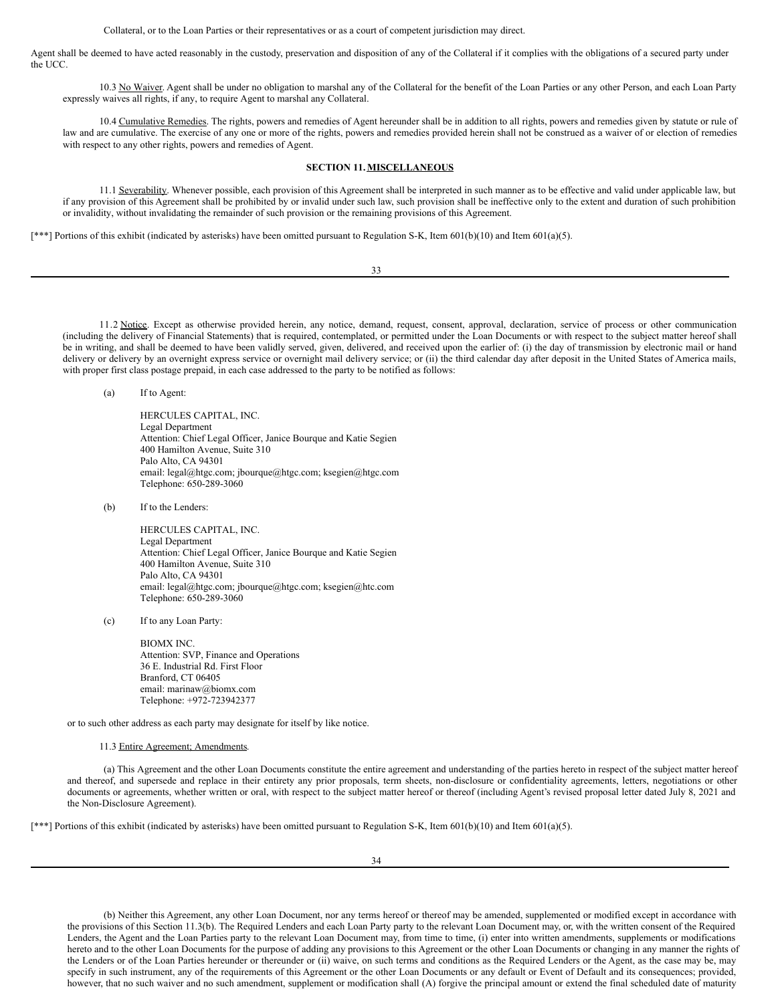Collateral, or to the Loan Parties or their representatives or as a court of competent jurisdiction may direct.

Agent shall be deemed to have acted reasonably in the custody, preservation and disposition of any of the Collateral if it complies with the obligations of a secured party under the UCC.

10.3 No Waiver. Agent shall be under no obligation to marshal any of the Collateral for the benefit of the Loan Parties or any other Person, and each Loan Party expressly waives all rights, if any, to require Agent to marshal any Collateral.

10.4 Cumulative Remedies. The rights, powers and remedies of Agent hereunder shall be in addition to all rights, powers and remedies given by statute or rule of law and are cumulative. The exercise of any one or more of the rights, powers and remedies provided herein shall not be construed as a waiver of or election of remedies with respect to any other rights, powers and remedies of Agent.

#### **SECTION 11. MISCELLANEOUS**

11.1 Severability. Whenever possible, each provision of this Agreement shall be interpreted in such manner as to be effective and valid under applicable law, but if any provision of this Agreement shall be prohibited by or invalid under such law, such provision shall be ineffective only to the extent and duration of such prohibition or invalidity, without invalidating the remainder of such provision or the remaining provisions of this Agreement.

[\*\*\*] Portions of this exhibit (indicated by asterisks) have been omitted pursuant to Regulation S-K, Item 601(b)(10) and Item 601(a)(5).

33

11.2 Notice. Except as otherwise provided herein, any notice, demand, request, consent, approval, declaration, service of process or other communication (including the delivery of Financial Statements) that is required, contemplated, or permitted under the Loan Documents or with respect to the subject matter hereof shall be in writing, and shall be deemed to have been validly served, given, delivered, and received upon the earlier of: (i) the day of transmission by electronic mail or hand delivery or delivery by an overnight express service or overnight mail delivery service; or (ii) the third calendar day after deposit in the United States of America mails, with proper first class postage prepaid, in each case addressed to the party to be notified as follows:

(a) If to Agent:

HERCULES CAPITAL, INC. Legal Department Attention: Chief Legal Officer, Janice Bourque and Katie Segien 400 Hamilton Avenue, Suite 310 Palo Alto, CA 94301 email: legal@htgc.com; jbourque@htgc.com; ksegien@htgc.com Telephone: 650-289-3060

(b) If to the Lenders:

HERCULES CAPITAL, INC. Legal Department Attention: Chief Legal Officer, Janice Bourque and Katie Segien 400 Hamilton Avenue, Suite 310 Palo Alto, CA 94301 email: legal@htgc.com; jbourque@htgc.com; ksegien@htc.com Telephone: 650-289-3060

(c) If to any Loan Party:

BIOMX INC. Attention: SVP, Finance and Operations 36 E. Industrial Rd. First Floor Branford, CT 06405 email: marinaw@biomx.com Telephone: +972-723942377

or to such other address as each party may designate for itself by like notice.

11.3 Entire Agreement; Amendments.

(a) This Agreement and the other Loan Documents constitute the entire agreement and understanding of the parties hereto in respect of the subject matter hereof and thereof, and supersede and replace in their entirety any prior proposals, term sheets, non-disclosure or confidentiality agreements, letters, negotiations or other documents or agreements, whether written or oral, with respect to the subject matter hereof or thereof (including Agent's revised proposal letter dated July 8, 2021 and the Non-Disclosure Agreement).

[\*\*\*] Portions of this exhibit (indicated by asterisks) have been omitted pursuant to Regulation S-K, Item 601(b)(10) and Item 601(a)(5).

(b) Neither this Agreement, any other Loan Document, nor any terms hereof or thereof may be amended, supplemented or modified except in accordance with the provisions of this Section 11.3(b). The Required Lenders and each Loan Party party to the relevant Loan Document may, or, with the written consent of the Required Lenders, the Agent and the Loan Parties party to the relevant Loan Document may, from time to time, (i) enter into written amendments, supplements or modifications hereto and to the other Loan Documents for the purpose of adding any provisions to this Agreement or the other Loan Documents or changing in any manner the rights of the Lenders or of the Loan Parties hereunder or thereunder or (ii) waive, on such terms and conditions as the Required Lenders or the Agent, as the case may be, may specify in such instrument, any of the requirements of this Agreement or the other Loan Documents or any default or Event of Default and its consequences; provided, however, that no such waiver and no such amendment, supplement or modification shall (A) forgive the principal amount or extend the final scheduled date of maturity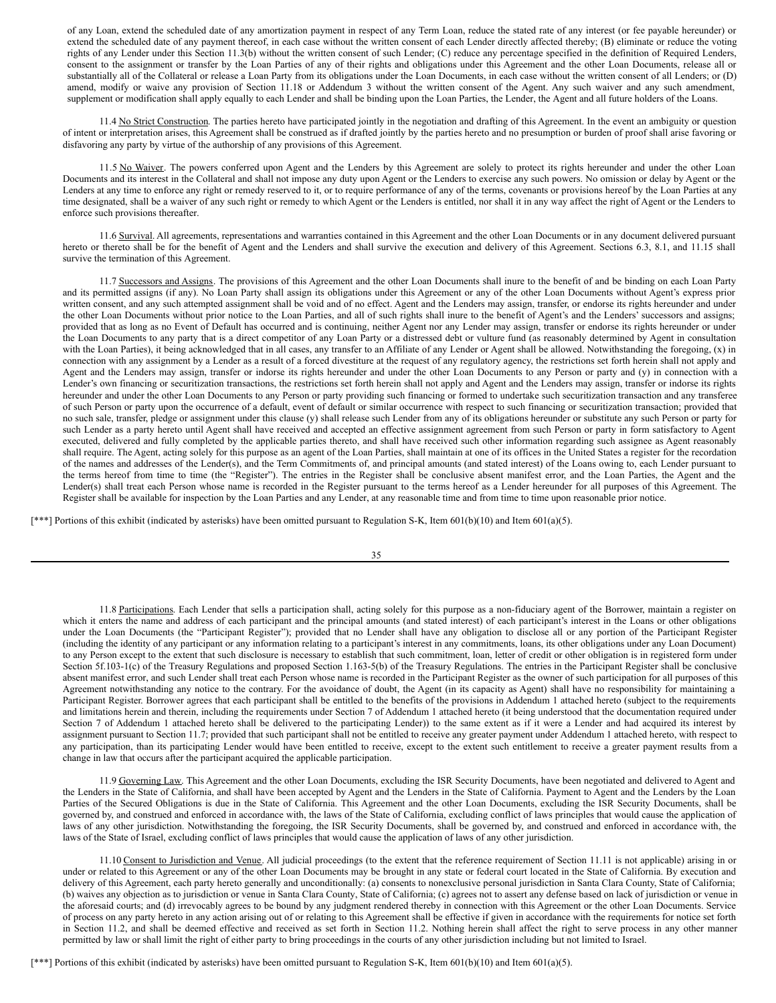of any Loan, extend the scheduled date of any amortization payment in respect of any Term Loan, reduce the stated rate of any interest (or fee payable hereunder) or extend the scheduled date of any payment thereof, in each case without the written consent of each Lender directly affected thereby; (B) eliminate or reduce the voting rights of any Lender under this Section 11.3(b) without the written consent of such Lender; (C) reduce any percentage specified in the definition of Required Lenders, consent to the assignment or transfer by the Loan Parties of any of their rights and obligations under this Agreement and the other Loan Documents, release all or substantially all of the Collateral or release a Loan Party from its obligations under the Loan Documents, in each case without the written consent of all Lenders; or (D) amend, modify or waive any provision of Section 11.18 or Addendum 3 without the written consent of the Agent. Any such waiver and any such amendment, supplement or modification shall apply equally to each Lender and shall be binding upon the Loan Parties, the Lender, the Agent and all future holders of the Loans.

11.4 No Strict Construction. The parties hereto have participated jointly in the negotiation and drafting of this Agreement. In the event an ambiguity or question of intent or interpretation arises, this Agreement shall be construed as if drafted jointly by the parties hereto and no presumption or burden of proof shall arise favoring or disfavoring any party by virtue of the authorship of any provisions of this Agreement.

11.5 No Waiver. The powers conferred upon Agent and the Lenders by this Agreement are solely to protect its rights hereunder and under the other Loan Documents and its interest in the Collateral and shall not impose any duty upon Agent or the Lenders to exercise any such powers. No omission or delay by Agent or the Lenders at any time to enforce any right or remedy reserved to it, or to require performance of any of the terms, covenants or provisions hereof by the Loan Parties at any time designated, shall be a waiver of any such right or remedy to which Agent or the Lenders is entitled, nor shall it in any way affect the right of Agent or the Lenders to enforce such provisions thereafter.

11.6 Survival. All agreements, representations and warranties contained in this Agreement and the other Loan Documents or in any document delivered pursuant hereto or thereto shall be for the benefit of Agent and the Lenders and shall survive the execution and delivery of this Agreement. Sections 6.3, 8.1, and 11.15 shall survive the termination of this Agreement.

11.7 Successors and Assigns. The provisions of this Agreement and the other Loan Documents shall inure to the benefit of and be binding on each Loan Party and its permitted assigns (if any). No Loan Party shall assign its obligations under this Agreement or any of the other Loan Documents without Agent's express prior written consent, and any such attempted assignment shall be void and of no effect. Agent and the Lenders may assign, transfer, or endorse its rights hereunder and under the other Loan Documents without prior notice to the Loan Parties, and all of such rights shall inure to the benefit of Agent's and the Lenders' successors and assigns; provided that as long as no Event of Default has occurred and is continuing, neither Agent nor any Lender may assign, transfer or endorse its rights hereunder or under the Loan Documents to any party that is a direct competitor of any Loan Party or a distressed debt or vulture fund (as reasonably determined by Agent in consultation with the Loan Parties), it being acknowledged that in all cases, any transfer to an Affiliate of any Lender or Agent shall be allowed. Notwithstanding the foregoing, (x) in connection with any assignment by a Lender as a result of a forced divestiture at the request of any regulatory agency, the restrictions set forth herein shall not apply and Agent and the Lenders may assign, transfer or indorse its rights hereunder and under the other Loan Documents to any Person or party and (y) in connection with a Lender's own financing or securitization transactions, the restrictions set forth herein shall not apply and Agent and the Lenders may assign, transfer or indorse its rights hereunder and under the other Loan Documents to any Person or party providing such financing or formed to undertake such securitization transaction and any transferee of such Person or party upon the occurrence of a default, event of default or similar occurrence with respect to such financing or securitization transaction; provided that no such sale, transfer, pledge or assignment under this clause (y) shall release such Lender from any of its obligations hereunder or substitute any such Person or party for such Lender as a party hereto until Agent shall have received and accepted an effective assignment agreement from such Person or party in form satisfactory to Agent executed, delivered and fully completed by the applicable parties thereto, and shall have received such other information regarding such assignee as Agent reasonably shall require. The Agent, acting solely for this purpose as an agent of the Loan Parties, shall maintain at one of its offices in the United States a register for the recordation of the names and addresses of the Lender(s), and the Term Commitments of, and principal amounts (and stated interest) of the Loans owing to, each Lender pursuant to the terms hereof from time to time (the "Register"). The entries in the Register shall be conclusive absent manifest error, and the Loan Parties, the Agent and the Lender(s) shall treat each Person whose name is recorded in the Register pursuant to the terms hereof as a Lender hereunder for all purposes of this Agreement. The Register shall be available for inspection by the Loan Parties and any Lender, at any reasonable time and from time to time upon reasonable prior notice.

[\*\*\*] Portions of this exhibit (indicated by asterisks) have been omitted pursuant to Regulation S-K, Item 601(b)(10) and Item 601(a)(5).

11.8 Participations. Each Lender that sells a participation shall, acting solely for this purpose as a non-fiduciary agent of the Borrower, maintain a register on which it enters the name and address of each participant and the principal amounts (and stated interest) of each participant's interest in the Loans or other obligations under the Loan Documents (the "Participant Register"); provided that no Lender shall have any obligation to disclose all or any portion of the Participant Register (including the identity of any participant or any information relating to a participant's interest in any commitments, loans, its other obligations under any Loan Document) to any Person except to the extent that such disclosure is necessary to establish that such commitment, loan, letter of credit or other obligation is in registered form under Section 5f.103-1(c) of the Treasury Regulations and proposed Section 1.163-5(b) of the Treasury Regulations. The entries in the Participant Register shall be conclusive absent manifest error, and such Lender shall treat each Person whose name is recorded in the Participant Register as the owner of such participation for all purposes of this Agreement notwithstanding any notice to the contrary. For the avoidance of doubt, the Agent (in its capacity as Agent) shall have no responsibility for maintaining a Participant Register. Borrower agrees that each participant shall be entitled to the benefits of the provisions in Addendum 1 attached hereto (subject to the requirements and limitations herein and therein, including the requirements under Section 7 of Addendum 1 attached hereto (it being understood that the documentation required under Section 7 of Addendum 1 attached hereto shall be delivered to the participating Lender)) to the same extent as if it were a Lender and had acquired its interest by assignment pursuant to Section 11.7; provided that such participant shall not be entitled to receive any greater payment under Addendum 1 attached hereto, with respect to any participation, than its participating Lender would have been entitled to receive, except to the extent such entitlement to receive a greater payment results from a change in law that occurs after the participant acquired the applicable participation.

11.9 Governing Law. This Agreement and the other Loan Documents, excluding the ISR Security Documents, have been negotiated and delivered to Agent and the Lenders in the State of California, and shall have been accepted by Agent and the Lenders in the State of California. Payment to Agent and the Lenders by the Loan Parties of the Secured Obligations is due in the State of California. This Agreement and the other Loan Documents, excluding the ISR Security Documents, shall be governed by, and construed and enforced in accordance with, the laws of the State of California, excluding conflict of laws principles that would cause the application of laws of any other jurisdiction. Notwithstanding the foregoing, the ISR Security Documents, shall be governed by, and construed and enforced in accordance with, the laws of the State of Israel, excluding conflict of laws principles that would cause the application of laws of any other jurisdiction.

11.10 Consent to Jurisdiction and Venue. All judicial proceedings (to the extent that the reference requirement of Section 11.11 is not applicable) arising in or under or related to this Agreement or any of the other Loan Documents may be brought in any state or federal court located in the State of California. By execution and delivery of this Agreement, each party hereto generally and unconditionally: (a) consents to nonexclusive personal jurisdiction in Santa Clara County, State of California; (b) waives any objection as to jurisdiction or venue in Santa Clara County, State of California; (c) agrees not to assert any defense based on lack of jurisdiction or venue in the aforesaid courts; and (d) irrevocably agrees to be bound by any judgment rendered thereby in connection with this Agreement or the other Loan Documents. Service of process on any party hereto in any action arising out of or relating to this Agreement shall be effective if given in accordance with the requirements for notice set forth in Section 11.2, and shall be deemed effective and received as set forth in Section 11.2. Nothing herein shall affect the right to serve process in any other manner permitted by law or shall limit the right of either party to bring proceedings in the courts of any other jurisdiction including but not limited to Israel.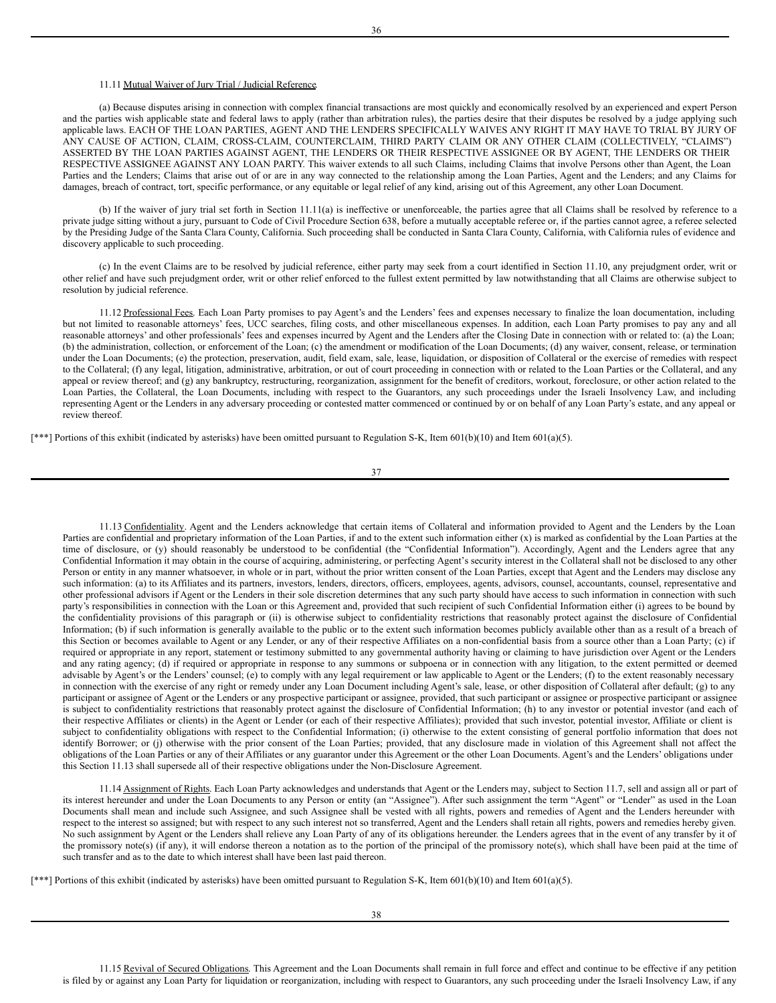# 11.11 Mutual Waiver of Jury Trial / Judicial Reference.

(a) Because disputes arising in connection with complex financial transactions are most quickly and economically resolved by an experienced and expert Person and the parties wish applicable state and federal laws to apply (rather than arbitration rules), the parties desire that their disputes be resolved by a judge applying such applicable laws. EACH OF THE LOAN PARTIES, AGENT AND THE LENDERS SPECIFICALLY WAIVES ANY RIGHT IT MAY HAVE TO TRIAL BY JURY OF ANY CAUSE OF ACTION, CLAIM, CROSS-CLAIM, COUNTERCLAIM, THIRD PARTY CLAIM OR ANY OTHER CLAIM (COLLECTIVELY, "CLAIMS") ASSERTED BY THE LOAN PARTIES AGAINST AGENT, THE LENDERS OR THEIR RESPECTIVE ASSIGNEE OR BY AGENT, THE LENDERS OR THEIR RESPECTIVE ASSIGNEE AGAINST ANY LOAN PARTY. This waiver extends to all such Claims, including Claims that involve Persons other than Agent, the Loan Parties and the Lenders; Claims that arise out of or are in any way connected to the relationship among the Loan Parties, Agent and the Lenders; and any Claims for damages, breach of contract, tort, specific performance, or any equitable or legal relief of any kind, arising out of this Agreement, any other Loan Document.

(b) If the waiver of jury trial set forth in Section 11.11(a) is ineffective or unenforceable, the parties agree that all Claims shall be resolved by reference to a private judge sitting without a jury, pursuant to Code of Civil Procedure Section 638, before a mutually acceptable referee or, if the parties cannot agree, a referee selected by the Presiding Judge of the Santa Clara County, California. Such proceeding shall be conducted in Santa Clara County, California, with California rules of evidence and discovery applicable to such proceeding.

(c) In the event Claims are to be resolved by judicial reference, either party may seek from a court identified in Section 11.10, any prejudgment order, writ or other relief and have such prejudgment order, writ or other relief enforced to the fullest extent permitted by law notwithstanding that all Claims are otherwise subject to resolution by judicial reference.

11.12 Professional Fees. Each Loan Party promises to pay Agent's and the Lenders' fees and expenses necessary to finalize the loan documentation, including but not limited to reasonable attorneys' fees, UCC searches, filing costs, and other miscellaneous expenses. In addition, each Loan Party promises to pay any and all reasonable attorneys' and other professionals' fees and expenses incurred by Agent and the Lenders after the Closing Date in connection with or related to: (a) the Loan; (b) the administration, collection, or enforcement of the Loan; (c) the amendment or modification of the Loan Documents; (d) any waiver, consent, release, or termination under the Loan Documents; (e) the protection, preservation, audit, field exam, sale, lease, liquidation, or disposition of Collateral or the exercise of remedies with respect to the Collateral; (f) any legal, litigation, administrative, arbitration, or out of court proceeding in connection with or related to the Loan Parties or the Collateral, and any appeal or review thereof; and (g) any bankruptcy, restructuring, reorganization, assignment for the benefit of creditors, workout, foreclosure, or other action related to the Loan Parties, the Collateral, the Loan Documents, including with respect to the Guarantors, any such proceedings under the Israeli Insolvency Law, and including representing Agent or the Lenders in any adversary proceeding or contested matter commenced or continued by or on behalf of any Loan Party's estate, and any appeal or review thereof.

[\*\*\*] Portions of this exhibit (indicated by asterisks) have been omitted pursuant to Regulation S-K, Item 601(b)(10) and Item 601(a)(5).

11.13 Confidentiality. Agent and the Lenders acknowledge that certain items of Collateral and information provided to Agent and the Lenders by the Loan Parties are confidential and proprietary information of the Loan Parties, if and to the extent such information either (x) is marked as confidential by the Loan Parties at the time of disclosure, or (y) should reasonably be understood to be confidential (the "Confidential Information"). Accordingly, Agent and the Lenders agree that any Confidential Information it may obtain in the course of acquiring, administering, or perfecting Agent's security interest in the Collateral shall not be disclosed to any other Person or entity in any manner whatsoever, in whole or in part, without the prior written consent of the Loan Parties, except that Agent and the Lenders may disclose any such information: (a) to its Affiliates and its partners, investors, lenders, directors, officers, employees, agents, advisors, counsel, accountants, counsel, representative and other professional advisors if Agent or the Lenders in their sole discretion determines that any such party should have access to such information in connection with such party's responsibilities in connection with the Loan or this Agreement and, provided that such recipient of such Confidential Information either (i) agrees to be bound by the confidentiality provisions of this paragraph or (ii) is otherwise subject to confidentiality restrictions that reasonably protect against the disclosure of Confidential Information; (b) if such information is generally available to the public or to the extent such information becomes publicly available other than as a result of a breach of this Section or becomes available to Agent or any Lender, or any of their respective Affiliates on a non-confidential basis from a source other than a Loan Party; (c) if required or appropriate in any report, statement or testimony submitted to any governmental authority having or claiming to have jurisdiction over Agent or the Lenders and any rating agency; (d) if required or appropriate in response to any summons or subpoena or in connection with any litigation, to the extent permitted or deemed advisable by Agent's or the Lenders' counsel; (e) to comply with any legal requirement or law applicable to Agent or the Lenders; (f) to the extent reasonably necessary in connection with the exercise of any right or remedy under any Loan Document including Agent's sale, lease, or other disposition of Collateral after default; (g) to any participant or assignee of Agent or the Lenders or any prospective participant or assignee, provided, that such participant or assignee or prospective participant or assignee is subject to confidentiality restrictions that reasonably protect against the disclosure of Confidential Information; (h) to any investor or potential investor (and each of their respective Affiliates or clients) in the Agent or Lender (or each of their respective Affiliates); provided that such investor, potential investor, Affiliate or client is subject to confidentiality obligations with respect to the Confidential Information; (i) otherwise to the extent consisting of general portfolio information that does not identify Borrower; or (j) otherwise with the prior consent of the Loan Parties; provided, that any disclosure made in violation of this Agreement shall not affect the obligations of the Loan Parties or any of their Affiliates or any guarantor under this Agreement or the other Loan Documents. Agent's and the Lenders' obligations under this Section 11.13 shall supersede all of their respective obligations under the Non-Disclosure Agreement.

11.14 Assignment of Rights. Each Loan Party acknowledges and understands that Agent or the Lenders may, subject to Section 11.7, sell and assign all or part of its interest hereunder and under the Loan Documents to any Person or entity (an "Assignee"). After such assignment the term "Agent" or "Lender" as used in the Loan Documents shall mean and include such Assignee, and such Assignee shall be vested with all rights, powers and remedies of Agent and the Lenders hereunder with respect to the interest so assigned; but with respect to any such interest not so transferred, Agent and the Lenders shall retain all rights, powers and remedies hereby given. No such assignment by Agent or the Lenders shall relieve any Loan Party of any of its obligations hereunder. the Lenders agrees that in the event of any transfer by it of the promissory note(s) (if any), it will endorse thereon a notation as to the portion of the principal of the promissory note(s), which shall have been paid at the time of such transfer and as to the date to which interest shall have been last paid thereon.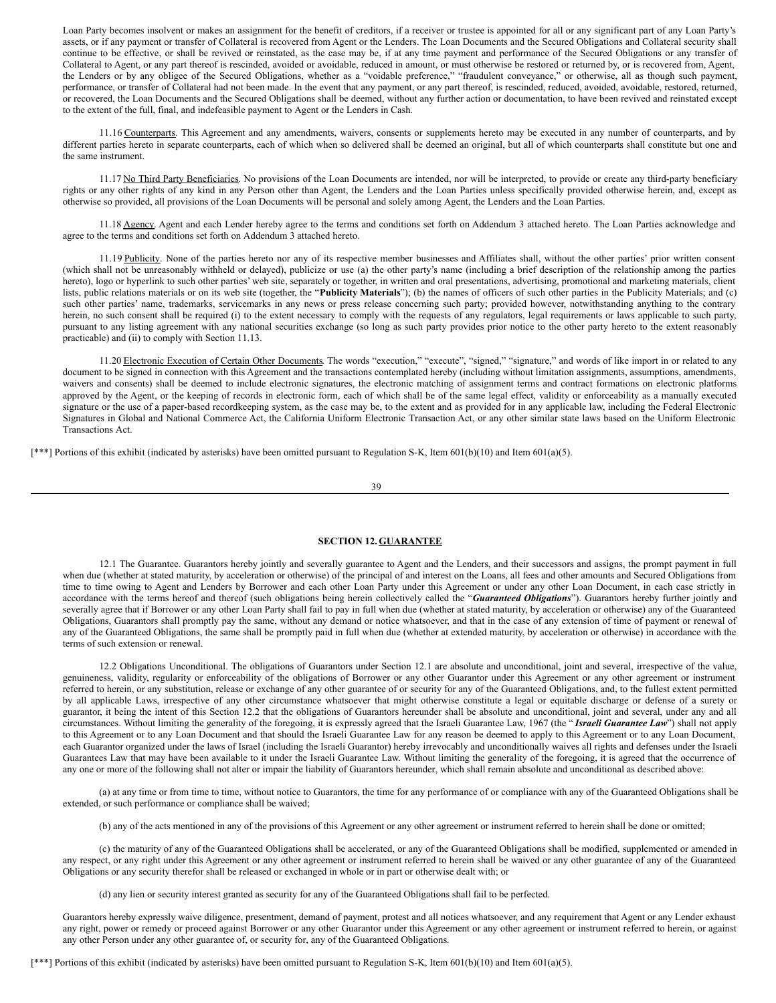Loan Party becomes insolvent or makes an assignment for the benefit of creditors, if a receiver or trustee is appointed for all or any significant part of any Loan Party's assets, or if any payment or transfer of Collateral is recovered from Agent or the Lenders. The Loan Documents and the Secured Obligations and Collateral security shall continue to be effective, or shall be revived or reinstated, as the case may be, if at any time payment and performance of the Secured Obligations or any transfer of Collateral to Agent, or any part thereof is rescinded, avoided or avoidable, reduced in amount, or must otherwise be restored or returned by, or is recovered from, Agent, the Lenders or by any obligee of the Secured Obligations, whether as a "voidable preference," "fraudulent conveyance," or otherwise, all as though such payment, performance, or transfer of Collateral had not been made. In the event that any payment, or any part thereof, is rescinded, reduced, avoided, avoidable, restored, returned, or recovered, the Loan Documents and the Secured Obligations shall be deemed, without any further action or documentation, to have been revived and reinstated except to the extent of the full, final, and indefeasible payment to Agent or the Lenders in Cash.

11.16 Counterparts. This Agreement and any amendments, waivers, consents or supplements hereto may be executed in any number of counterparts, and by different parties hereto in separate counterparts, each of which when so delivered shall be deemed an original, but all of which counterparts shall constitute but one and the same instrument.

11.17 No Third Party Beneficiaries. No provisions of the Loan Documents are intended, nor will be interpreted, to provide or create any third-party beneficiary rights or any other rights of any kind in any Person other than Agent, the Lenders and the Loan Parties unless specifically provided otherwise herein, and, except as otherwise so provided, all provisions of the Loan Documents will be personal and solely among Agent, the Lenders and the Loan Parties.

11.18 Agency. Agent and each Lender hereby agree to the terms and conditions set forth on Addendum 3 attached hereto. The Loan Parties acknowledge and agree to the terms and conditions set forth on Addendum 3 attached hereto.

11.19 Publicity. None of the parties hereto nor any of its respective member businesses and Affiliates shall, without the other parties' prior written consent (which shall not be unreasonably withheld or delayed), publicize or use (a) the other party's name (including a brief description of the relationship among the parties hereto), logo or hyperlink to such other parties' web site, separately or together, in written and oral presentations, advertising, promotional and marketing materials, client lists, public relations materials or on its web site (together, the "**Publicity Materials**"); (b) the names of officers of such other parties in the Publicity Materials; and (c) such other parties' name, trademarks, servicemarks in any news or press release concerning such party; provided however, notwithstanding anything to the contrary herein, no such consent shall be required (i) to the extent necessary to comply with the requests of any regulators, legal requirements or laws applicable to such party, pursuant to any listing agreement with any national securities exchange (so long as such party provides prior notice to the other party hereto to the extent reasonably practicable) and (ii) to comply with Section 11.13.

11.20 Electronic Execution of Certain Other Documents. The words "execution," "execute", "signed," "signature," and words of like import in or related to any document to be signed in connection with this Agreement and the transactions contemplated hereby (including without limitation assignments, assumptions, amendments, waivers and consents) shall be deemed to include electronic signatures, the electronic matching of assignment terms and contract formations on electronic platforms approved by the Agent, or the keeping of records in electronic form, each of which shall be of the same legal effect, validity or enforceability as a manually executed signature or the use of a paper-based recordkeeping system, as the case may be, to the extent and as provided for in any applicable law, including the Federal Electronic Signatures in Global and National Commerce Act, the California Uniform Electronic Transaction Act, or any other similar state laws based on the Uniform Electronic Transactions Act.

[\*\*\*] Portions of this exhibit (indicated by asterisks) have been omitted pursuant to Regulation S-K, Item 601(b)(10) and Item 601(a)(5).

39

# **SECTION 12. GUARANTEE**

12.1 The Guarantee. Guarantors hereby jointly and severally guarantee to Agent and the Lenders, and their successors and assigns, the prompt payment in full when due (whether at stated maturity, by acceleration or otherwise) of the principal of and interest on the Loans, all fees and other amounts and Secured Obligations from time to time owing to Agent and Lenders by Borrower and each other Loan Party under this Agreement or under any other Loan Document, in each case strictly in accordance with the terms hereof and thereof (such obligations being herein collectively called the "*Guaranteed Obligations*"). Guarantors hereby further jointly and severally agree that if Borrower or any other Loan Party shall fail to pay in full when due (whether at stated maturity, by acceleration or otherwise) any of the Guaranteed Obligations, Guarantors shall promptly pay the same, without any demand or notice whatsoever, and that in the case of any extension of time of payment or renewal of any of the Guaranteed Obligations, the same shall be promptly paid in full when due (whether at extended maturity, by acceleration or otherwise) in accordance with the terms of such extension or renewal.

12.2 Obligations Unconditional. The obligations of Guarantors under Section 12.1 are absolute and unconditional, joint and several, irrespective of the value, genuineness, validity, regularity or enforceability of the obligations of Borrower or any other Guarantor under this Agreement or any other agreement or instrument referred to herein, or any substitution, release or exchange of any other guarantee of or security for any of the Guaranteed Obligations, and, to the fullest extent permitted by all applicable Laws, irrespective of any other circumstance whatsoever that might otherwise constitute a legal or equitable discharge or defense of a surety or guarantor, it being the intent of this Section 12.2 that the obligations of Guarantors hereunder shall be absolute and unconditional, joint and several, under any and all circumstances. Without limiting the generality of the foregoing, it is expressly agreed that the Israeli Guarantee Law, 1967 (the " *Israeli Guarantee Law*") shall not apply to this Agreement or to any Loan Document and that should the Israeli Guarantee Law for any reason be deemed to apply to this Agreement or to any Loan Document, each Guarantor organized under the laws of Israel (including the Israeli Guarantor) hereby irrevocably and unconditionally waives all rights and defenses under the Israeli Guarantees Law that may have been available to it under the Israeli Guarantee Law. Without limiting the generality of the foregoing, it is agreed that the occurrence of any one or more of the following shall not alter or impair the liability of Guarantors hereunder, which shall remain absolute and unconditional as described above:

(a) at any time or from time to time, without notice to Guarantors, the time for any performance of or compliance with any of the Guaranteed Obligations shall be extended, or such performance or compliance shall be waived;

(b) any of the acts mentioned in any of the provisions of this Agreement or any other agreement or instrument referred to herein shall be done or omitted;

(c) the maturity of any of the Guaranteed Obligations shall be accelerated, or any of the Guaranteed Obligations shall be modified, supplemented or amended in any respect, or any right under this Agreement or any other agreement or instrument referred to herein shall be waived or any other guarantee of any of the Guaranteed Obligations or any security therefor shall be released or exchanged in whole or in part or otherwise dealt with; or

(d) any lien or security interest granted as security for any of the Guaranteed Obligations shall fail to be perfected.

Guarantors hereby expressly waive diligence, presentment, demand of payment, protest and all notices whatsoever, and any requirement that Agent or any Lender exhaust any right, power or remedy or proceed against Borrower or any other Guarantor under this Agreement or any other agreement or instrument referred to herein, or against any other Person under any other guarantee of, or security for, any of the Guaranteed Obligations.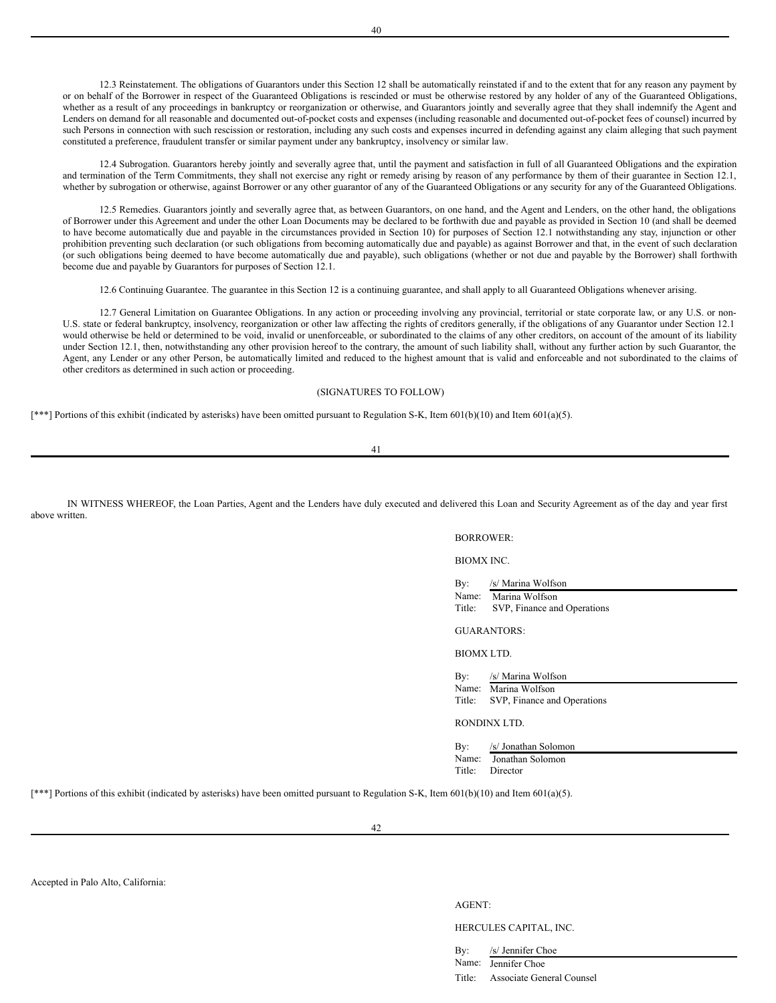12.3 Reinstatement. The obligations of Guarantors under this Section 12 shall be automatically reinstated if and to the extent that for any reason any payment by or on behalf of the Borrower in respect of the Guaranteed Obligations is rescinded or must be otherwise restored by any holder of any of the Guaranteed Obligations, whether as a result of any proceedings in bankruptcy or reorganization or otherwise, and Guarantors jointly and severally agree that they shall indemnify the Agent and Lenders on demand for all reasonable and documented out-of-pocket costs and expenses (including reasonable and documented out-of-pocket fees of counsel) incurred by such Persons in connection with such rescission or restoration, including any such costs and expenses incurred in defending against any claim alleging that such payment constituted a preference, fraudulent transfer or similar payment under any bankruptcy, insolvency or similar law.

12.4 Subrogation. Guarantors hereby jointly and severally agree that, until the payment and satisfaction in full of all Guaranteed Obligations and the expiration and termination of the Term Commitments, they shall not exercise any right or remedy arising by reason of any performance by them of their guarantee in Section 12.1, whether by subrogation or otherwise, against Borrower or any other guarantor of any of the Guaranteed Obligations or any security for any of the Guaranteed Obligations.

12.5 Remedies. Guarantors jointly and severally agree that, as between Guarantors, on one hand, and the Agent and Lenders, on the other hand, the obligations of Borrower under this Agreement and under the other Loan Documents may be declared to be forthwith due and payable as provided in Section 10 (and shall be deemed to have become automatically due and payable in the circumstances provided in Section 10) for purposes of Section 12.1 notwithstanding any stay, injunction or other prohibition preventing such declaration (or such obligations from becoming automatically due and payable) as against Borrower and that, in the event of such declaration (or such obligations being deemed to have become automatically due and payable), such obligations (whether or not due and payable by the Borrower) shall forthwith become due and payable by Guarantors for purposes of Section 12.1.

12.6 Continuing Guarantee. The guarantee in this Section 12 is a continuing guarantee, and shall apply to all Guaranteed Obligations whenever arising.

12.7 General Limitation on Guarantee Obligations. In any action or proceeding involving any provincial, territorial or state corporate law, or any U.S. or non-U.S. state or federal bankruptcy, insolvency, reorganization or other law affecting the rights of creditors generally, if the obligations of any Guarantor under Section 12.1 would otherwise be held or determined to be void, invalid or unenforceable, or subordinated to the claims of any other creditors, on account of the amount of its liability under Section 12.1, then, notwithstanding any other provision hereof to the contrary, the amount of such liability shall, without any further action by such Guarantor, the Agent, any Lender or any other Person, be automatically limited and reduced to the highest amount that is valid and enforceable and not subordinated to the claims of other creditors as determined in such action or proceeding.

#### (SIGNATURES TO FOLLOW)

[\*\*\*] Portions of this exhibit (indicated by asterisks) have been omitted pursuant to Regulation S-K, Item 601(b)(10) and Item 601(a)(5).

41

IN WITNESS WHEREOF, the Loan Parties, Agent and the Lenders have duly executed and delivered this Loan and Security Agreement as of the day and year first above written.

#### BORROWER:

#### BIOMX INC.

By: /s/ Marina Wolfson Name: Marina Wolfson Title: SVP, Finance and Operations

GUARANTORS:

BIOMX LTD.

| By:   | /s/ Marina Wolfson |
|-------|--------------------|
| Name: | Marina Wolfson     |

Title: SVP, Finance and Operations

RONDINX LTD.

By: /s/ Jonathan Solomon Name: Jonathan Solomon Title: Director

[\*\*\*] Portions of this exhibit (indicated by asterisks) have been omitted pursuant to Regulation S-K, Item 601(b)(10) and Item 601(a)(5).

Accepted in Palo Alto, California:

AGENT:

HERCULES CAPITAL, INC.

By: /s/ Jennifer Choe Name: Jennifer Choe Title: Associate General Counsel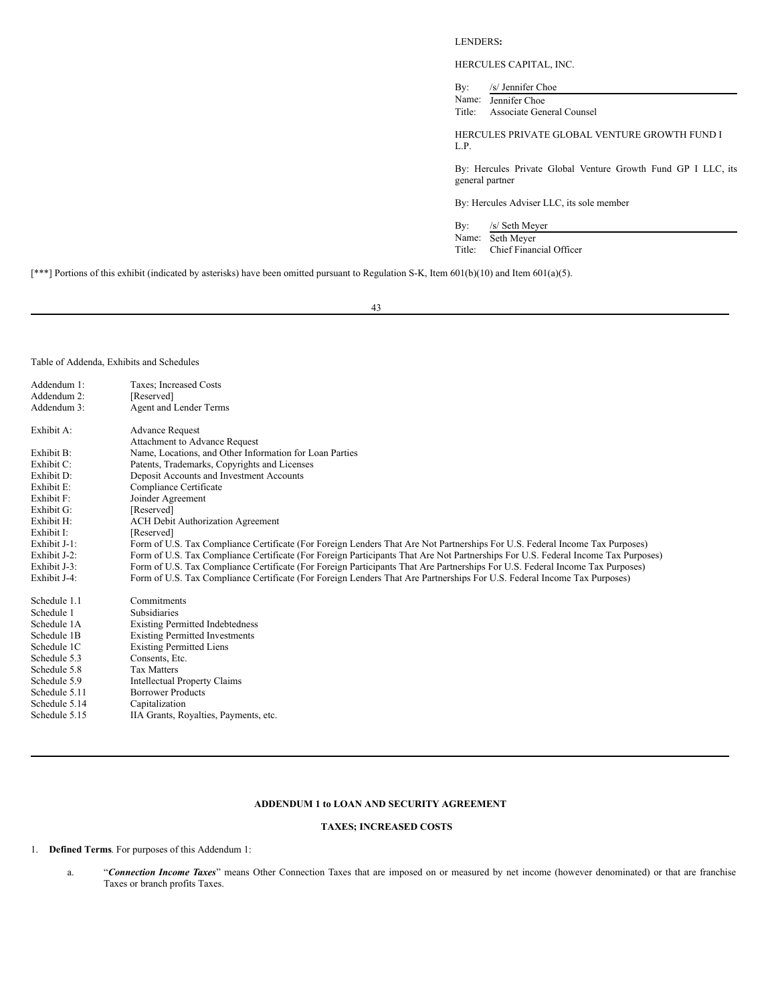# LENDERS**:**

HERCULES CAPITAL, INC.

By: /s/ Jennifer Choe Name: Jennifer Choe

Title: Associate General Counsel

HERCULES PRIVATE GLOBAL VENTURE GROWTH FUND I L.P.

By: Hercules Private Global Venture Growth Fund GP I LLC, its general partner

By: Hercules Adviser LLC, its sole member

By: /s/ Seth Meyer Name: Seth Meyer Title: Chief Financial Officer

[\*\*\*] Portions of this exhibit (indicated by asterisks) have been omitted pursuant to Regulation S-K, Item 601(b)(10) and Item 601(a)(5).

43

Table of Addenda, Exhibits and Schedules

| Addendum 1:   | <b>Taxes: Increased Costs</b>                                                                                                     |
|---------------|-----------------------------------------------------------------------------------------------------------------------------------|
| Addendum 2:   | [Reserved]                                                                                                                        |
| Addendum 3:   | Agent and Lender Terms                                                                                                            |
| Exhibit A:    | <b>Advance Request</b>                                                                                                            |
|               | Attachment to Advance Request                                                                                                     |
| Exhibit B:    | Name, Locations, and Other Information for Loan Parties                                                                           |
| Exhibit C:    | Patents, Trademarks, Copyrights and Licenses                                                                                      |
| Exhibit D:    | Deposit Accounts and Investment Accounts                                                                                          |
| Exhibit E:    | Compliance Certificate                                                                                                            |
| Exhibit F:    | Joinder Agreement                                                                                                                 |
| Exhibit G:    | [Reserved]                                                                                                                        |
| Exhibit H:    | <b>ACH Debit Authorization Agreement</b>                                                                                          |
| Exhibit I:    | [Reserved]                                                                                                                        |
| Exhibit J-1:  | Form of U.S. Tax Compliance Certificate (For Foreign Lenders That Are Not Partnerships For U.S. Federal Income Tax Purposes)      |
| Exhibit J-2:  | Form of U.S. Tax Compliance Certificate (For Foreign Participants That Are Not Partnerships For U.S. Federal Income Tax Purposes) |
| Exhibit J-3:  | Form of U.S. Tax Compliance Certificate (For Foreign Participants That Are Partnerships For U.S. Federal Income Tax Purposes)     |
| Exhibit J-4:  | Form of U.S. Tax Compliance Certificate (For Foreign Lenders That Are Partnerships For U.S. Federal Income Tax Purposes)          |
| Schedule 1.1  | Commitments                                                                                                                       |
| Schedule 1    | Subsidiaries                                                                                                                      |
| Schedule 1A   | <b>Existing Permitted Indebtedness</b>                                                                                            |
| Schedule 1B   | <b>Existing Permitted Investments</b>                                                                                             |
| Schedule 1C   | <b>Existing Permitted Liens</b>                                                                                                   |
| Schedule 5.3  | Consents, Etc.                                                                                                                    |
| Schedule 5.8  | <b>Tax Matters</b>                                                                                                                |
| Schedule 5.9  | <b>Intellectual Property Claims</b>                                                                                               |
| Schedule 5.11 | <b>Borrower Products</b>                                                                                                          |
| Schedule 5.14 | Capitalization                                                                                                                    |
| Schedule 5.15 | IIA Grants, Royalties, Payments, etc.                                                                                             |
|               |                                                                                                                                   |

# **ADDENDUM 1 to LOAN AND SECURITY AGREEMENT**

# **TAXES; INCREASED COSTS**

1. **Defined Terms**. For purposes of this Addendum 1:

a. "*Connection Income Taxes*" means Other Connection Taxes that are imposed on or measured by net income (however denominated) or that are franchise Taxes or branch profits Taxes.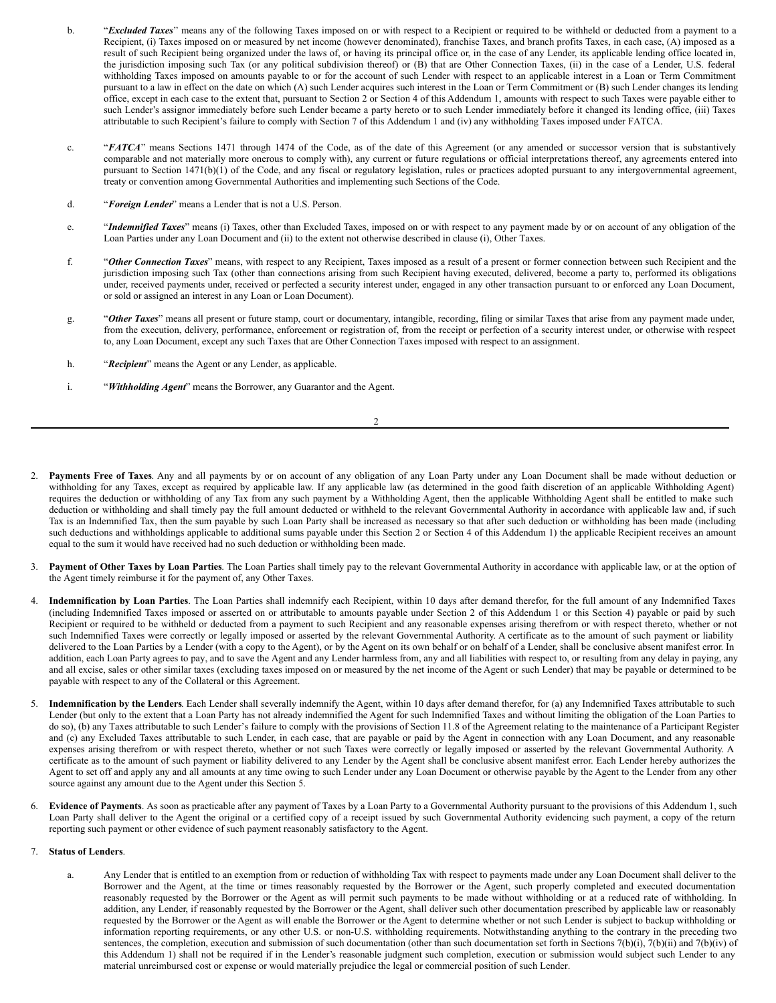- b. "*Excluded Taxes*" means any of the following Taxes imposed on or with respect to a Recipient or required to be withheld or deducted from a payment to a Recipient, (i) Taxes imposed on or measured by net income (however denominated), franchise Taxes, and branch profits Taxes, in each case, (A) imposed as a result of such Recipient being organized under the laws of, or having its principal office or, in the case of any Lender, its applicable lending office located in, the jurisdiction imposing such Tax (or any political subdivision thereof) or (B) that are Other Connection Taxes, (ii) in the case of a Lender, U.S. federal withholding Taxes imposed on amounts payable to or for the account of such Lender with respect to an applicable interest in a Loan or Term Commitment pursuant to a law in effect on the date on which (A) such Lender acquires such interest in the Loan or Term Commitment or (B) such Lender changes its lending office, except in each case to the extent that, pursuant to Section 2 or Section 4 of this Addendum 1, amounts with respect to such Taxes were payable either to such Lender's assignor immediately before such Lender became a party hereto or to such Lender immediately before it changed its lending office, (iii) Taxes attributable to such Recipient's failure to comply with Section 7 of this Addendum 1 and (iv) any withholding Taxes imposed under FATCA.
- c. "*FATCA*" means Sections 1471 through 1474 of the Code, as of the date of this Agreement (or any amended or successor version that is substantively comparable and not materially more onerous to comply with), any current or future regulations or official interpretations thereof, any agreements entered into pursuant to Section 1471(b)(1) of the Code, and any fiscal or regulatory legislation, rules or practices adopted pursuant to any intergovernmental agreement, treaty or convention among Governmental Authorities and implementing such Sections of the Code.
- d. "*Foreign Lender*" means a Lender that is not a U.S. Person.
- e. "*Indemnified Taxes*" means (i) Taxes, other than Excluded Taxes, imposed on or with respect to any payment made by or on account of any obligation of the Loan Parties under any Loan Document and (ii) to the extent not otherwise described in clause (i), Other Taxes.
- f. "*Other Connection Taxes*" means, with respect to any Recipient, Taxes imposed as a result of a present or former connection between such Recipient and the jurisdiction imposing such Tax (other than connections arising from such Recipient having executed, delivered, become a party to, performed its obligations under, received payments under, received or perfected a security interest under, engaged in any other transaction pursuant to or enforced any Loan Document, or sold or assigned an interest in any Loan or Loan Document).
- g. "Other Taxes" means all present or future stamp, court or documentary, intangible, recording, filing or similar Taxes that arise from any payment made under, from the execution, delivery, performance, enforcement or registration of, from the receipt or perfection of a security interest under, or otherwise with respect to, any Loan Document, except any such Taxes that are Other Connection Taxes imposed with respect to an assignment.
- h. "*Recipient*" means the Agent or any Lender, as applicable.
- i. "*Withholding Agent*" means the Borrower, any Guarantor and the Agent.

2

- 2. **Payments Free of Taxes**. Any and all payments by or on account of any obligation of any Loan Party under any Loan Document shall be made without deduction or withholding for any Taxes, except as required by applicable law. If any applicable law (as determined in the good faith discretion of an applicable Withholding Agent) requires the deduction or withholding of any Tax from any such payment by a Withholding Agent, then the applicable Withholding Agent shall be entitled to make such deduction or withholding and shall timely pay the full amount deducted or withheld to the relevant Governmental Authority in accordance with applicable law and, if such Tax is an Indemnified Tax, then the sum payable by such Loan Party shall be increased as necessary so that after such deduction or withholding has been made (including such deductions and withholdings applicable to additional sums payable under this Section 2 or Section 4 of this Addendum 1) the applicable Recipient receives an amount equal to the sum it would have received had no such deduction or withholding been made.
- 3. **Payment of Other Taxes by Loan Parties**. The Loan Parties shall timely pay to the relevant Governmental Authority in accordance with applicable law, or at the option of the Agent timely reimburse it for the payment of, any Other Taxes.
- 4. **Indemnification by Loan Parties**. The Loan Parties shall indemnify each Recipient, within 10 days after demand therefor, for the full amount of any Indemnified Taxes (including Indemnified Taxes imposed or asserted on or attributable to amounts payable under Section 2 of this Addendum 1 or this Section 4) payable or paid by such Recipient or required to be withheld or deducted from a payment to such Recipient and any reasonable expenses arising therefrom or with respect thereto, whether or not such Indemnified Taxes were correctly or legally imposed or asserted by the relevant Governmental Authority. A certificate as to the amount of such payment or liability delivered to the Loan Parties by a Lender (with a copy to the Agent), or by the Agent on its own behalf or on behalf of a Lender, shall be conclusive absent manifest error. In addition, each Loan Party agrees to pay, and to save the Agent and any Lender harmless from, any and all liabilities with respect to, or resulting from any delay in paying, any and all excise, sales or other similar taxes (excluding taxes imposed on or measured by the net income of the Agent or such Lender) that may be payable or determined to be payable with respect to any of the Collateral or this Agreement.
- 5. **Indemnification by the Lenders**. Each Lender shall severally indemnify the Agent, within 10 days after demand therefor, for (a) any Indemnified Taxes attributable to such Lender (but only to the extent that a Loan Party has not already indemnified the Agent for such Indemnified Taxes and without limiting the obligation of the Loan Parties to do so), (b) any Taxes attributable to such Lender's failure to comply with the provisions of Section 11.8 of the Agreement relating to the maintenance of a Participant Register and (c) any Excluded Taxes attributable to such Lender, in each case, that are payable or paid by the Agent in connection with any Loan Document, and any reasonable expenses arising therefrom or with respect thereto, whether or not such Taxes were correctly or legally imposed or asserted by the relevant Governmental Authority. A certificate as to the amount of such payment or liability delivered to any Lender by the Agent shall be conclusive absent manifest error. Each Lender hereby authorizes the Agent to set off and apply any and all amounts at any time owing to such Lender under any Loan Document or otherwise payable by the Agent to the Lender from any other source against any amount due to the Agent under this Section 5.
- 6. **Evidence of Payments**. As soon as practicable after any payment of Taxes by a Loan Party to a Governmental Authority pursuant to the provisions of this Addendum 1, such Loan Party shall deliver to the Agent the original or a certified copy of a receipt issued by such Governmental Authority evidencing such payment, a copy of the return reporting such payment or other evidence of such payment reasonably satisfactory to the Agent.

## 7. **Status of Lenders**.

a. Any Lender that is entitled to an exemption from or reduction of withholding Tax with respect to payments made under any Loan Document shall deliver to the Borrower and the Agent, at the time or times reasonably requested by the Borrower or the Agent, such properly completed and executed documentation reasonably requested by the Borrower or the Agent as will permit such payments to be made without withholding or at a reduced rate of withholding. In addition, any Lender, if reasonably requested by the Borrower or the Agent, shall deliver such other documentation prescribed by applicable law or reasonably requested by the Borrower or the Agent as will enable the Borrower or the Agent to determine whether or not such Lender is subject to backup withholding or information reporting requirements, or any other U.S. or non-U.S. withholding requirements. Notwithstanding anything to the contrary in the preceding two sentences, the completion, execution and submission of such documentation (other than such documentation set forth in Sections 7(b)(i), 7(b)(ii) and 7(b)(iv) of this Addendum 1) shall not be required if in the Lender's reasonable judgment such completion, execution or submission would subject such Lender to any material unreimbursed cost or expense or would materially prejudice the legal or commercial position of such Lender.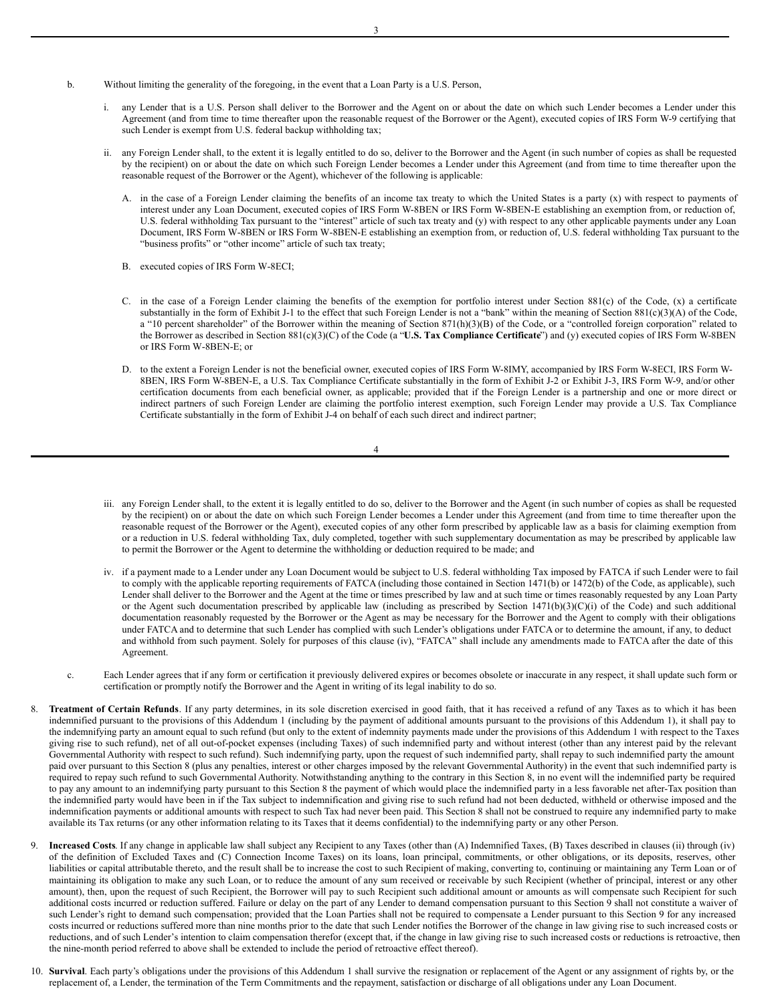- b. Without limiting the generality of the foregoing, in the event that a Loan Party is a U.S. Person,
	- i. any Lender that is a U.S. Person shall deliver to the Borrower and the Agent on or about the date on which such Lender becomes a Lender under this Agreement (and from time to time thereafter upon the reasonable request of the Borrower or the Agent), executed copies of IRS Form W-9 certifying that such Lender is exempt from U.S. federal backup withholding tax;
	- ii. any Foreign Lender shall, to the extent it is legally entitled to do so, deliver to the Borrower and the Agent (in such number of copies as shall be requested by the recipient) on or about the date on which such Foreign Lender becomes a Lender under this Agreement (and from time to time thereafter upon the reasonable request of the Borrower or the Agent), whichever of the following is applicable:
		- A. in the case of a Foreign Lender claiming the benefits of an income tax treaty to which the United States is a party (x) with respect to payments of interest under any Loan Document, executed copies of IRS Form W-8BEN or IRS Form W-8BEN-E establishing an exemption from, or reduction of, U.S. federal withholding Tax pursuant to the "interest" article of such tax treaty and (y) with respect to any other applicable payments under any Loan Document, IRS Form W-8BEN or IRS Form W-8BEN-E establishing an exemption from, or reduction of, U.S. federal withholding Tax pursuant to the "business profits" or "other income" article of such tax treaty;
		- B. executed copies of IRS Form W-8ECI;
		- C. in the case of a Foreign Lender claiming the benefits of the exemption for portfolio interest under Section 881(c) of the Code, (x) a certificate substantially in the form of Exhibit J-1 to the effect that such Foreign Lender is not a "bank" within the meaning of Section 881(c)(3)(A) of the Code, a "10 percent shareholder" of the Borrower within the meaning of Section 871(h)(3)(B) of the Code, or a "controlled foreign corporation" related to the Borrower as described in Section 881(c)(3)(C) of the Code (a "**U.S. Tax Compliance Certificate**") and (y) executed copies of IRS Form W-8BEN or IRS Form W-8BEN-E; or
		- D. to the extent a Foreign Lender is not the beneficial owner, executed copies of IRS Form W-8IMY, accompanied by IRS Form W-8ECI, IRS Form W-8BEN, IRS Form W-8BEN-E, a U.S. Tax Compliance Certificate substantially in the form of Exhibit J-2 or Exhibit J-3, IRS Form W-9, and/or other certification documents from each beneficial owner, as applicable; provided that if the Foreign Lender is a partnership and one or more direct or indirect partners of such Foreign Lender are claiming the portfolio interest exemption, such Foreign Lender may provide a U.S. Tax Compliance Certificate substantially in the form of Exhibit J-4 on behalf of each such direct and indirect partner;

$$
4\phantom{.00}
$$

- iii. any Foreign Lender shall, to the extent it is legally entitled to do so, deliver to the Borrower and the Agent (in such number of copies as shall be requested by the recipient) on or about the date on which such Foreign Lender becomes a Lender under this Agreement (and from time to time thereafter upon the reasonable request of the Borrower or the Agent), executed copies of any other form prescribed by applicable law as a basis for claiming exemption from or a reduction in U.S. federal withholding Tax, duly completed, together with such supplementary documentation as may be prescribed by applicable law to permit the Borrower or the Agent to determine the withholding or deduction required to be made; and
- iv. if a payment made to a Lender under any Loan Document would be subject to U.S. federal withholding Tax imposed by FATCA if such Lender were to fail to comply with the applicable reporting requirements of FATCA (including those contained in Section 1471(b) or 1472(b) of the Code, as applicable), such Lender shall deliver to the Borrower and the Agent at the time or times prescribed by law and at such time or times reasonably requested by any Loan Party or the Agent such documentation prescribed by applicable law (including as prescribed by Section 1471(b)(3)(C)(i) of the Code) and such additional documentation reasonably requested by the Borrower or the Agent as may be necessary for the Borrower and the Agent to comply with their obligations under FATCA and to determine that such Lender has complied with such Lender's obligations under FATCA or to determine the amount, if any, to deduct and withhold from such payment. Solely for purposes of this clause (iv), "FATCA" shall include any amendments made to FATCA after the date of this Agreement.
- c. Each Lender agrees that if any form or certification it previously delivered expires or becomes obsolete or inaccurate in any respect, it shall update such form or certification or promptly notify the Borrower and the Agent in writing of its legal inability to do so.
- 8. **Treatment of Certain Refunds**. If any party determines, in its sole discretion exercised in good faith, that it has received a refund of any Taxes as to which it has been indemnified pursuant to the provisions of this Addendum 1 (including by the payment of additional amounts pursuant to the provisions of this Addendum 1), it shall pay to the indemnifying party an amount equal to such refund (but only to the extent of indemnity payments made under the provisions of this Addendum 1 with respect to the Taxes giving rise to such refund), net of all out-of-pocket expenses (including Taxes) of such indemnified party and without interest (other than any interest paid by the relevant Governmental Authority with respect to such refund). Such indemnifying party, upon the request of such indemnified party, shall repay to such indemnified party the amount paid over pursuant to this Section 8 (plus any penalties, interest or other charges imposed by the relevant Governmental Authority) in the event that such indemnified party is required to repay such refund to such Governmental Authority. Notwithstanding anything to the contrary in this Section 8, in no event will the indemnified party be required to pay any amount to an indemnifying party pursuant to this Section 8 the payment of which would place the indemnified party in a less favorable net after-Tax position than the indemnified party would have been in if the Tax subject to indemnification and giving rise to such refund had not been deducted, withheld or otherwise imposed and the indemnification payments or additional amounts with respect to such Tax had never been paid. This Section 8 shall not be construed to require any indemnified party to make available its Tax returns (or any other information relating to its Taxes that it deems confidential) to the indemnifying party or any other Person.
- Increased Costs. If any change in applicable law shall subject any Recipient to any Taxes (other than (A) Indemnified Taxes, (B) Taxes described in clauses (ii) through (iv) of the definition of Excluded Taxes and (C) Connection Income Taxes) on its loans, loan principal, commitments, or other obligations, or its deposits, reserves, other liabilities or capital attributable thereto, and the result shall be to increase the cost to such Recipient of making, converting to, continuing or maintaining any Term Loan or of maintaining its obligation to make any such Loan, or to reduce the amount of any sum received or receivable by such Recipient (whether of principal, interest or any other amount), then, upon the request of such Recipient, the Borrower will pay to such Recipient such additional amount or amounts as will compensate such Recipient for such additional costs incurred or reduction suffered. Failure or delay on the part of any Lender to demand compensation pursuant to this Section 9 shall not constitute a waiver of such Lender's right to demand such compensation; provided that the Loan Parties shall not be required to compensate a Lender pursuant to this Section 9 for any increased costs incurred or reductions suffered more than nine months prior to the date that such Lender notifies the Borrower of the change in law giving rise to such increased costs or reductions, and of such Lender's intention to claim compensation therefor (except that, if the change in law giving rise to such increased costs or reductions is retroactive, then the nine-month period referred to above shall be extended to include the period of retroactive effect thereof).
- 10. **Survival**. Each party's obligations under the provisions of this Addendum 1 shall survive the resignation or replacement of the Agent or any assignment of rights by, or the replacement of, a Lender, the termination of the Term Commitments and the repayment, satisfaction or discharge of all obligations under any Loan Document.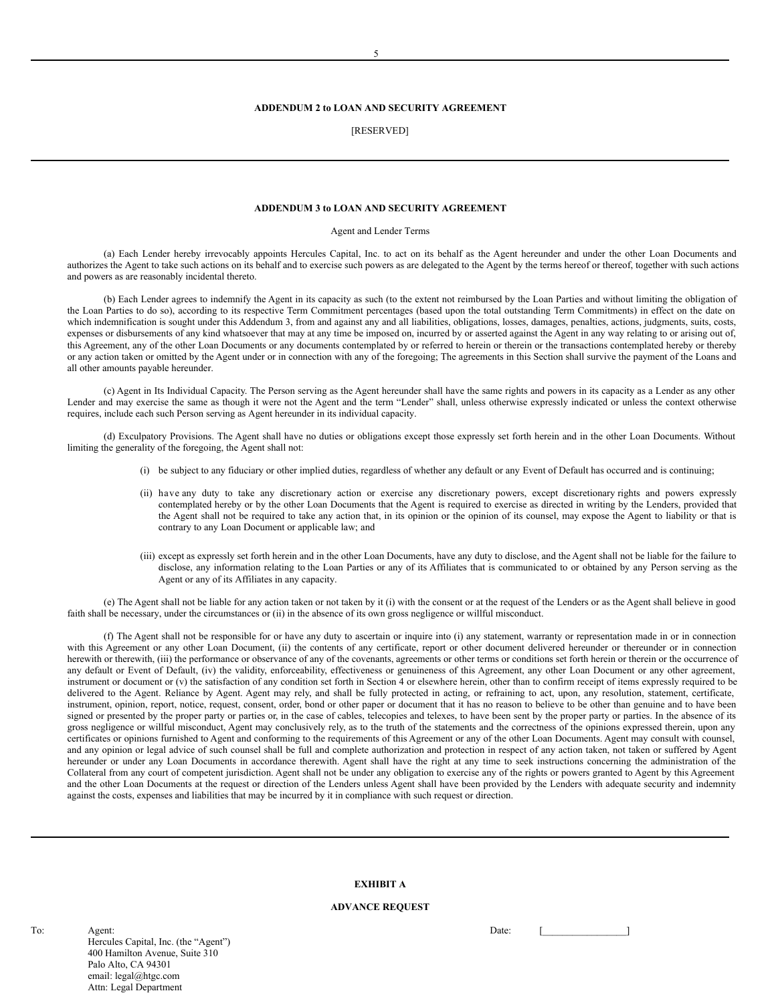## **ADDENDUM 2 to LOAN AND SECURITY AGREEMENT**

#### [RESERVED]

# **ADDENDUM 3 to LOAN AND SECURITY AGREEMENT**

Agent and Lender Terms

(a) Each Lender hereby irrevocably appoints Hercules Capital, Inc. to act on its behalf as the Agent hereunder and under the other Loan Documents and authorizes the Agent to take such actions on its behalf and to exercise such powers as are delegated to the Agent by the terms hereof or thereof, together with such actions and powers as are reasonably incidental thereto.

(b) Each Lender agrees to indemnify the Agent in its capacity as such (to the extent not reimbursed by the Loan Parties and without limiting the obligation of the Loan Parties to do so), according to its respective Term Commitment percentages (based upon the total outstanding Term Commitments) in effect on the date on which indemnification is sought under this Addendum 3, from and against any and all liabilities, obligations, losses, damages, penalties, actions, judgments, suits, costs, expenses or disbursements of any kind whatsoever that may at any time be imposed on, incurred by or asserted against the Agent in any way relating to or arising out of, this Agreement, any of the other Loan Documents or any documents contemplated by or referred to herein or therein or the transactions contemplated hereby or thereby or any action taken or omitted by the Agent under or in connection with any of the foregoing; The agreements in this Section shall survive the payment of the Loans and all other amounts payable hereunder.

(c) Agent in Its Individual Capacity. The Person serving as the Agent hereunder shall have the same rights and powers in its capacity as a Lender as any other Lender and may exercise the same as though it were not the Agent and the term "Lender" shall, unless otherwise expressly indicated or unless the context otherwise requires, include each such Person serving as Agent hereunder in its individual capacity.

(d) Exculpatory Provisions. The Agent shall have no duties or obligations except those expressly set forth herein and in the other Loan Documents. Without limiting the generality of the foregoing, the Agent shall not:

- (i) be subject to any fiduciary or other implied duties, regardless of whether any default or any Event of Default has occurred and is continuing;
- (ii) have any duty to take any discretionary action or exercise any discretionary powers, except discretionary rights and powers expressly contemplated hereby or by the other Loan Documents that the Agent is required to exercise as directed in writing by the Lenders, provided that the Agent shall not be required to take any action that, in its opinion or the opinion of its counsel, may expose the Agent to liability or that is contrary to any Loan Document or applicable law; and
- (iii) except as expressly set forth herein and in the other Loan Documents, have any duty to disclose, and the Agent shall not be liable for the failure to disclose, any information relating to the Loan Parties or any of its Affiliates that is communicated to or obtained by any Person serving as the Agent or any of its Affiliates in any capacity.

(e) The Agent shall not be liable for any action taken or not taken by it (i) with the consent or at the request of the Lenders or as the Agent shall believe in good faith shall be necessary, under the circumstances or (ii) in the absence of its own gross negligence or willful misconduct.

(f) The Agent shall not be responsible for or have any duty to ascertain or inquire into (i) any statement, warranty or representation made in or in connection with this Agreement or any other Loan Document, (ii) the contents of any certificate, report or other document delivered hereunder or thereunder or in connection herewith or therewith, (iii) the performance or observance of any of the covenants, agreements or other terms or conditions set forth herein or therein or the occurrence of any default or Event of Default, (iv) the validity, enforceability, effectiveness or genuineness of this Agreement, any other Loan Document or any other agreement, instrument or document or (v) the satisfaction of any condition set forth in Section 4 or elsewhere herein, other than to confirm receipt of items expressly required to be delivered to the Agent. Reliance by Agent. Agent may rely, and shall be fully protected in acting, or refraining to act, upon, any resolution, statement, certificate, instrument, opinion, report, notice, request, consent, order, bond or other paper or document that it has no reason to believe to be other than genuine and to have been signed or presented by the proper party or parties or, in the case of cables, telecopies and telexes, to have been sent by the proper party or parties. In the absence of its gross negligence or willful misconduct, Agent may conclusively rely, as to the truth of the statements and the correctness of the opinions expressed therein, upon any certificates or opinions furnished to Agent and conforming to the requirements of this Agreement or any of the other Loan Documents. Agent may consult with counsel, and any opinion or legal advice of such counsel shall be full and complete authorization and protection in respect of any action taken, not taken or suffered by Agent hereunder or under any Loan Documents in accordance therewith. Agent shall have the right at any time to seek instructions concerning the administration of the Collateral from any court of competent jurisdiction. Agent shall not be under any obligation to exercise any of the rights or powers granted to Agent by this Agreement and the other Loan Documents at the request or direction of the Lenders unless Agent shall have been provided by the Lenders with adequate security and indemnity against the costs, expenses and liabilities that may be incurred by it in compliance with such request or direction.

# **EXHIBIT A**

# **ADVANCE REQUEST**

To: Agent:  $\Box$  Agent:  $\Box$ Hercules Capital, Inc. (the "Agent") 400 Hamilton Avenue, Suite 310 Palo Alto, CA 94301 email: legal@htgc.com Attn: Legal Department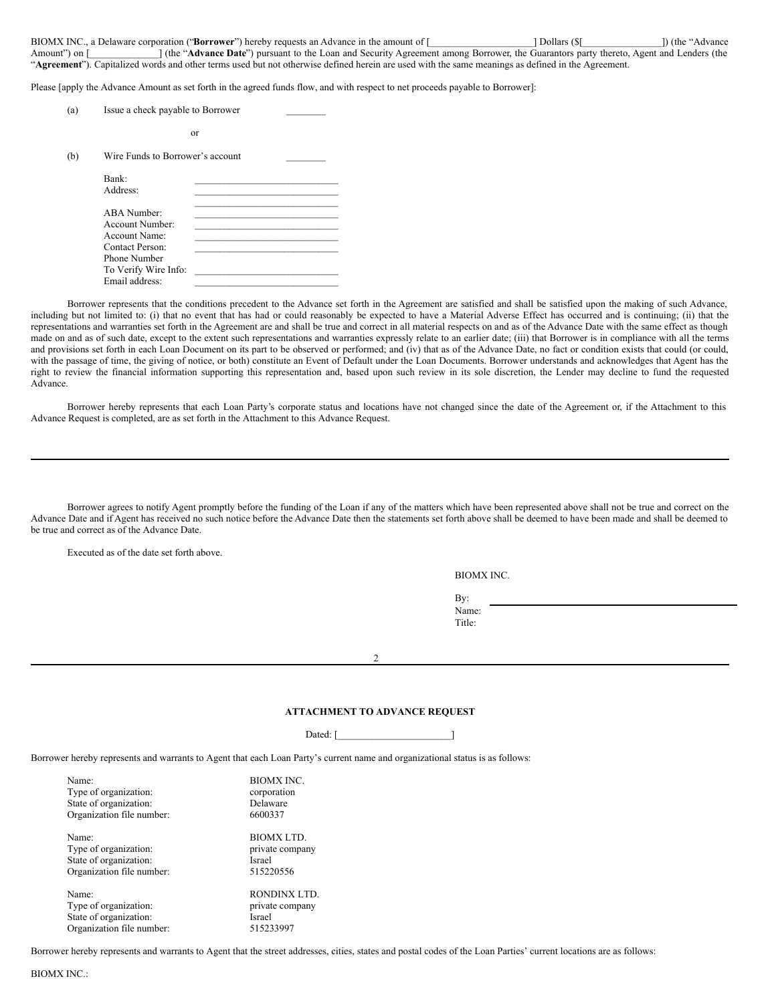BIOMX INC., a Delaware corporation ("**Borrower**") hereby requests an Advance in the amount of [\_\_\_\_\_\_\_\_\_\_\_\_\_\_\_\_\_\_\_\_\_] Dollars (\$[\_\_\_\_\_\_\_\_\_\_\_\_\_\_\_\_]) (the "Advance

Amount") on [cases to the "Advance Date") pursuant to the Loan and Security Agreement among Borrower, the Guarantors party thereto, Agent and Lenders (the "**Agreement**"). Capitalized words and other terms used but not otherwise defined herein are used with the same meanings as defined in the Agreement.

Please [apply the Advance Amount as set forth in the agreed funds flow, and with respect to net proceeds payable to Borrower]:

| (a) | Issue a check payable to Borrower                                                                                                   |  |
|-----|-------------------------------------------------------------------------------------------------------------------------------------|--|
|     | or                                                                                                                                  |  |
| (b) | Wire Funds to Borrower's account                                                                                                    |  |
|     | Bank:<br>Address:                                                                                                                   |  |
|     | <b>ABA</b> Number:<br>Account Number:<br>Account Name:<br>Contact Person:<br>Phone Number<br>To Verify Wire Info:<br>Email address: |  |

Borrower represents that the conditions precedent to the Advance set forth in the Agreement are satisfied and shall be satisfied upon the making of such Advance, including but not limited to: (i) that no event that has had or could reasonably be expected to have a Material Adverse Effect has occurred and is continuing; (ii) that the representations and warranties set forth in the Agreement are and shall be true and correct in all material respects on and as of the Advance Date with the same effect as though made on and as of such date, except to the extent such representations and warranties expressly relate to an earlier date; (iii) that Borrower is in compliance with all the terms and provisions set forth in each Loan Document on its part to be observed or performed; and (iv) that as of the Advance Date, no fact or condition exists that could (or could, with the passage of time, the giving of notice, or both) constitute an Event of Default under the Loan Documents. Borrower understands and acknowledges that Agent has the right to review the financial information supporting this representation and, based upon such review in its sole discretion, the Lender may decline to fund the requested Advance.

Borrower hereby represents that each Loan Party's corporate status and locations have not changed since the date of the Agreement or, if the Attachment to this Advance Request is completed, are as set forth in the Attachment to this Advance Request.

Borrower agrees to notify Agent promptly before the funding of the Loan if any of the matters which have been represented above shall not be true and correct on the Advance Date and if Agent has received no such notice before the Advance Date then the statements set forth above shall be deemed to have been made and shall be deemed to be true and correct as of the Advance Date.

Executed as of the date set forth above.

BIOMX INC.

By: Name: Title:

 $\mathfrak{Z}$ 

#### **ATTACHMENT TO ADVANCE REQUEST**

| Dated: |  |
|--------|--|
|        |  |

Borrower hereby represents and warrants to Agent that each Loan Party's current name and organizational status is as follows:

| Name:                     | <b>BIOMX INC.</b> |
|---------------------------|-------------------|
| Type of organization:     | corporation       |
| State of organization:    | Delaware          |
| Organization file number: | 6600337           |
|                           |                   |
| Name:                     | <b>BIOMX LTD.</b> |
| Type of organization:     | private company   |
| State of organization:    | Israel            |
| Organization file number: | 515220556         |
|                           |                   |
| Name <sup>.</sup>         | RONDINX LTD.      |
| Type of organization:     | private company   |
| State of organization:    | Israel            |
| Organization file number: | 515233997         |
|                           |                   |

Borrower hereby represents and warrants to Agent that the street addresses, cities, states and postal codes of the Loan Parties' current locations are as follows:

BIOMX INC.: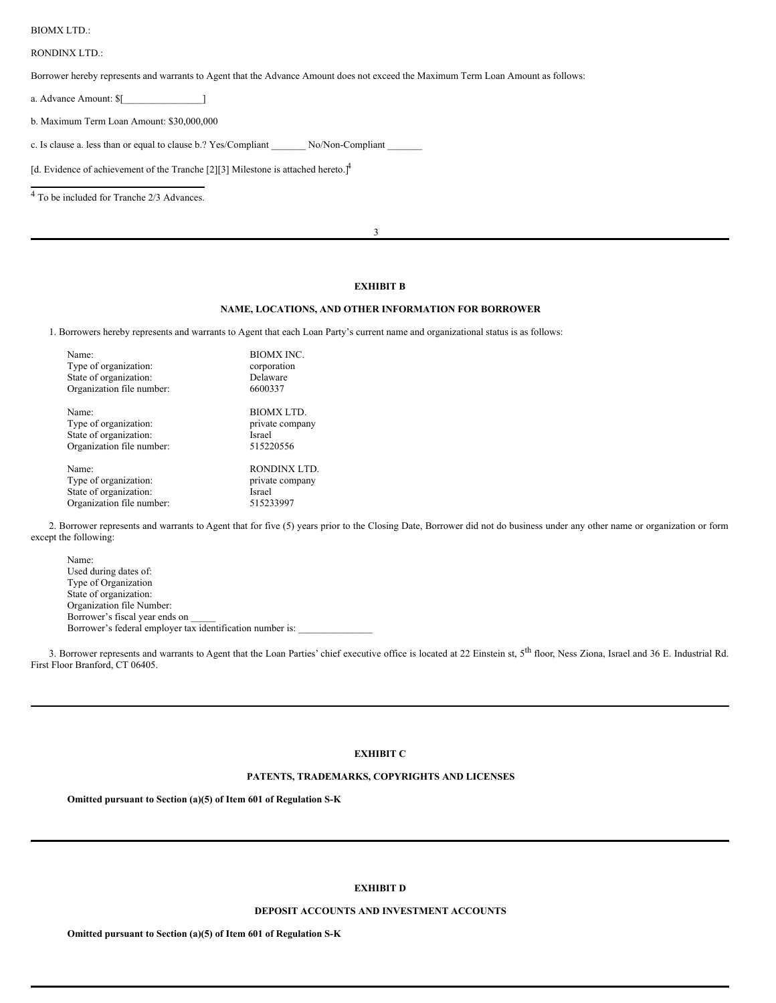# BIOMX LTD.:

#### RONDINX LTD.:

Borrower hereby represents and warrants to Agent that the Advance Amount does not exceed the Maximum Term Loan Amount as follows:

a. Advance Amount: \$[\_\_\_\_\_\_\_\_\_\_\_\_\_\_\_\_]

b. Maximum Term Loan Amount: \$30,000,000

c. Is clause a. less than or equal to clause b.? Yes/Compliant \_\_\_\_\_\_\_\_ No/Non-Compliant \_\_\_\_\_

[d. Evidence of achievement of the Tranche [2][3] Milestone is attached hereto.<sup>14</sup>

3

# **EXHIBIT B**

# **NAME, LOCATIONS, AND OTHER INFORMATION FOR BORROWER**

1. Borrowers hereby represents and warrants to Agent that each Loan Party's current name and organizational status is as follows:

| Name:                     | <b>BIOMX INC.</b> |
|---------------------------|-------------------|
| Type of organization:     | corporation       |
| State of organization:    | Delaware          |
| Organization file number: | 6600337           |
| Name:                     | BIOMX LTD.        |
| Type of organization:     | private company   |
| State of organization:    | Israel            |
| Organization file number: | 515220556         |
| Name:                     | RONDINX LTD.      |
| Type of organization:     | private company   |
| State of organization:    | Israel            |
| Organization file number: | 515233997         |

2. Borrower represents and warrants to Agent that for five (5) years prior to the Closing Date, Borrower did not do business under any other name or organization or form except the following:

Name: Used during dates of: Type of Organization State of organization: Organization file Number: Borrower's fiscal year ends on \_\_\_\_\_ Borrower's federal employer tax identification number is:

3. Borrower represents and warrants to Agent that the Loan Parties' chief executive office is located at 22 Einstein st, 5<sup>th</sup> floor, Ness Ziona, Israel and 36 E. Industrial Rd. First Floor Branford, CT 06405.

# **EXHIBIT C**

# **PATENTS, TRADEMARKS, COPYRIGHTS AND LICENSES**

**Omitted pursuant to Section (a)(5) of Item 601 of Regulation S-K**

#### **EXHIBIT D**

# **DEPOSIT ACCOUNTS AND INVESTMENT ACCOUNTS**

**Omitted pursuant to Section (a)(5) of Item 601 of Regulation S-K**

<sup>4</sup> To be included for Tranche 2/3 Advances.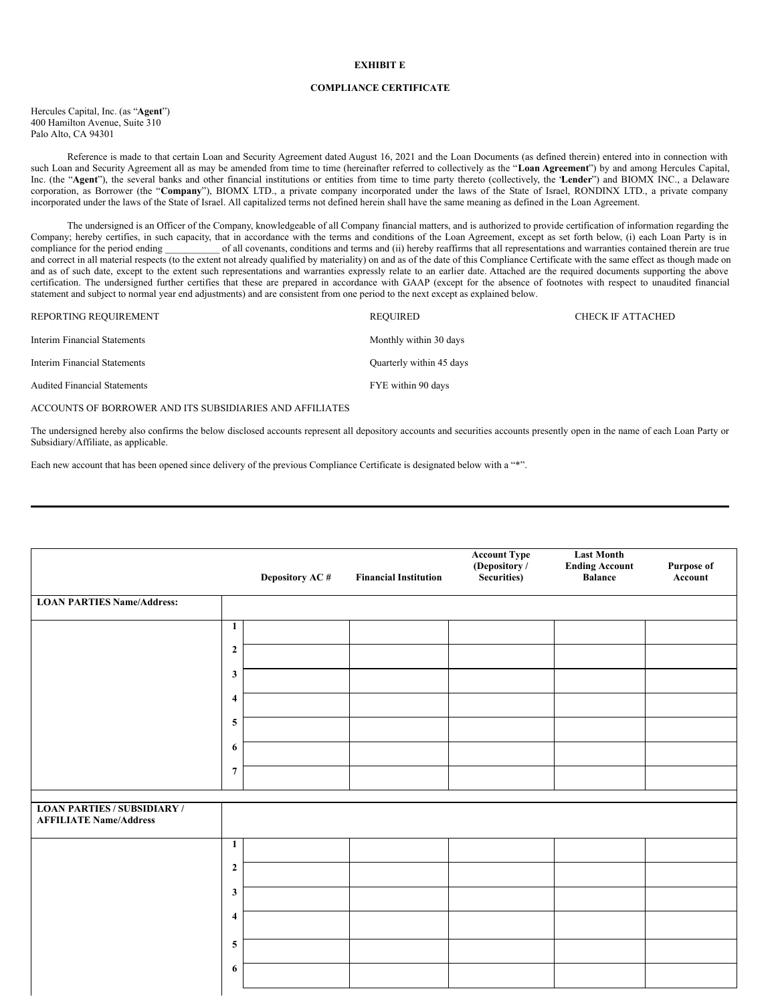# **EXHIBIT E**

# **COMPLIANCE CERTIFICATE**

Hercules Capital, Inc. (as "**Agent**") 400 Hamilton Avenue, Suite 310 Palo Alto, CA 94301

Reference is made to that certain Loan and Security Agreement dated August 16, 2021 and the Loan Documents (as defined therein) entered into in connection with such Loan and Security Agreement all as may be amended from time to time (hereinafter referred to collectively as the "**Loan Agreement**") by and among Hercules Capital, Inc. (the "**Agent**"), the several banks and other financial institutions or entities from time to time party thereto (collectively, the "**Lender**") and BIOMX INC., a Delaware corporation, as Borrower (the "**Company**"), BIOMX LTD., a private company incorporated under the laws of the State of Israel, RONDINX LTD., a private company incorporated under the laws of the State of Israel. All capitalized terms not defined herein shall have the same meaning as defined in the Loan Agreement.

The undersigned is an Officer of the Company, knowledgeable of all Company financial matters, and is authorized to provide certification of information regarding the Company; hereby certifies, in such capacity, that in accordance with the terms and conditions of the Loan Agreement, except as set forth below, (i) each Loan Party is in compliance for the period ending of all covenants, c of all covenants, conditions and terms and (ii) hereby reaffirms that all representations and warranties contained therein are true and correct in all material respects (to the extent not already qualified by materiality) on and as of the date of this Compliance Certificate with the same effect as though made on and as of such date, except to the extent such representations and warranties expressly relate to an earlier date. Attached are the required documents supporting the above certification. The undersigned further certifies that these are prepared in accordance with GAAP (except for the absence of footnotes with respect to unaudited financial statement and subject to normal year end adjustments) and are consistent from one period to the next except as explained below.

| REPORTING REQUIREMENT               | REOUIRED                 | CHECK IF ATTACHED |
|-------------------------------------|--------------------------|-------------------|
| Interim Financial Statements        | Monthly within 30 days   |                   |
| Interim Financial Statements        | Quarterly within 45 days |                   |
| <b>Audited Financial Statements</b> | FYE within 90 days       |                   |

ACCOUNTS OF BORROWER AND ITS SUBSIDIARIES AND AFFILIATES

The undersigned hereby also confirms the below disclosed accounts represent all depository accounts and securities accounts presently open in the name of each Loan Party or Subsidiary/Affiliate, as applicable.

Each new account that has been opened since delivery of the previous Compliance Certificate is designated below with a "\*".

|                                                                     |                         | Depository AC# | <b>Financial Institution</b> | <b>Account Type</b><br>(Depository/<br>Securities) | <b>Last Month</b><br><b>Ending Account</b><br><b>Balance</b> | <b>Purpose of</b><br>Account |
|---------------------------------------------------------------------|-------------------------|----------------|------------------------------|----------------------------------------------------|--------------------------------------------------------------|------------------------------|
| <b>LOAN PARTIES Name/Address:</b>                                   |                         |                |                              |                                                    |                                                              |                              |
|                                                                     | $\mathbf{1}$            |                |                              |                                                    |                                                              |                              |
|                                                                     | $\boldsymbol{2}$        |                |                              |                                                    |                                                              |                              |
|                                                                     | $\mathbf{3}$            |                |                              |                                                    |                                                              |                              |
|                                                                     | $\overline{\mathbf{4}}$ |                |                              |                                                    |                                                              |                              |
|                                                                     | $\overline{5}$          |                |                              |                                                    |                                                              |                              |
|                                                                     | 6                       |                |                              |                                                    |                                                              |                              |
|                                                                     | $\overline{7}$          |                |                              |                                                    |                                                              |                              |
| <b>LOAN PARTIES / SUBSIDIARY /</b><br><b>AFFILIATE Name/Address</b> |                         |                |                              |                                                    |                                                              |                              |
|                                                                     | $\mathbf{1}$            |                |                              |                                                    |                                                              |                              |
|                                                                     | $\boldsymbol{2}$        |                |                              |                                                    |                                                              |                              |
|                                                                     | $\mathbf{3}$            |                |                              |                                                    |                                                              |                              |
|                                                                     | $\overline{\mathbf{4}}$ |                |                              |                                                    |                                                              |                              |
|                                                                     | 5                       |                |                              |                                                    |                                                              |                              |
|                                                                     | 6                       |                |                              |                                                    |                                                              |                              |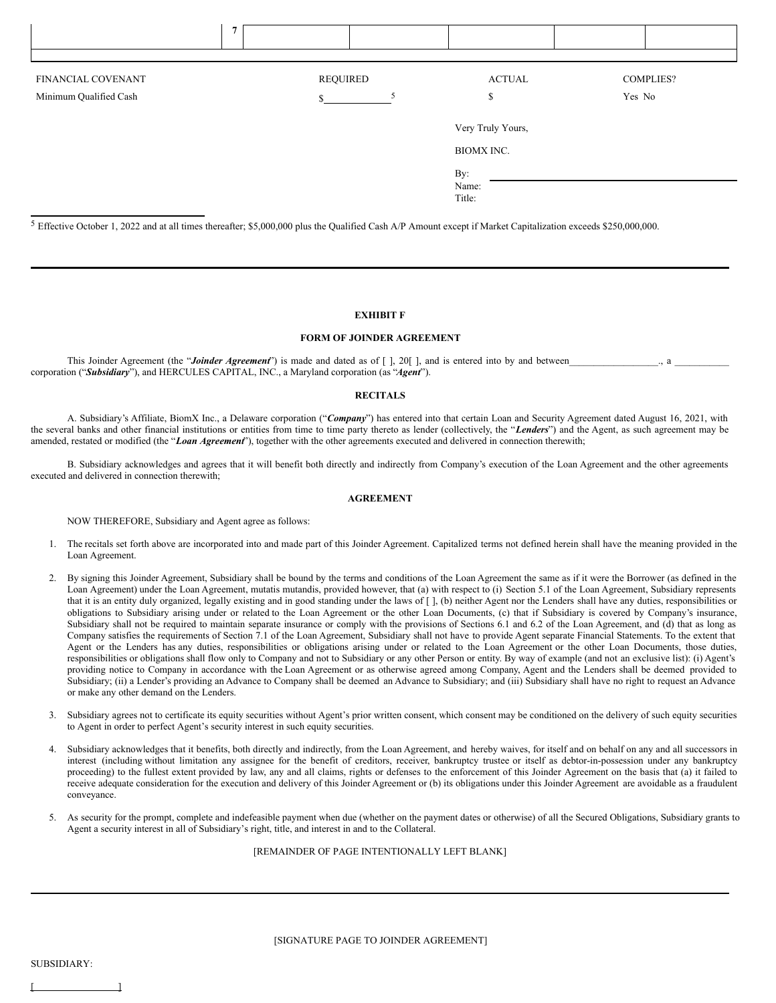| FINANCIAL COVENANT     | <b>REQUIRED</b>                 |  | <b>ACTUAL</b>          | <b>COMPLIES?</b> |  |  |
|------------------------|---------------------------------|--|------------------------|------------------|--|--|
| Minimum Qualified Cash |                                 |  | \$                     | Yes No           |  |  |
|                        | Very Truly Yours,<br>BIOMX INC. |  |                        |                  |  |  |
|                        |                                 |  | By:<br>Name:<br>Title: |                  |  |  |

# **EXHIBIT F**

#### **FORM OF JOINDER AGREEMENT**

This Joinder Agreement (the "*Joinder Agreement*") is made and dated as of [ ], 20[ ], and is entered into by and between\_ corporation ("*Subsidiary*"), and HERCULES CAPITAL, INC., a Maryland corporation (as "*Agent*").

# **RECITALS**

A. Subsidiary's Affiliate, BiomX Inc., a Delaware corporation ("*Company*") has entered into that certain Loan and Security Agreement dated August 16, 2021, with the several banks and other financial institutions or entities from time to time party thereto as lender (collectively, the "*Lenders*") and the Agent, as such agreement may be amended, restated or modified (the "*Loan Agreement*"), together with the other agreements executed and delivered in connection therewith;

B. Subsidiary acknowledges and agrees that it will benefit both directly and indirectly from Company's execution of the Loan Agreement and the other agreements executed and delivered in connection therewith;

# **AGREEMENT**

NOW THEREFORE, Subsidiary and Agent agree as follows:

- 1. The recitals set forth above are incorporated into and made part of this Joinder Agreement. Capitalized terms not defined herein shall have the meaning provided in the Loan Agreement.
- 2. By signing this Joinder Agreement, Subsidiary shall be bound by the terms and conditions of the Loan Agreement the same as if it were the Borrower (as defined in the Loan Agreement) under the Loan Agreement, mutatis mutandis, provided however, that (a) with respect to (i) Section 5.1 of the Loan Agreement, Subsidiary represents that it is an entity duly organized, legally existing and in good standing under the laws of  $\lceil \cdot \rceil$ , (b) neither Agent nor the Lenders shall have any duties, responsibilities or obligations to Subsidiary arising under or related to the Loan Agreement or the other Loan Documents, (c) that if Subsidiary is covered by Company's insurance, Subsidiary shall not be required to maintain separate insurance or comply with the provisions of Sections 6.1 and 6.2 of the Loan Agreement, and (d) that as long as Company satisfies the requirements of Section 7.1 of the Loan Agreement, Subsidiary shall not have to provide Agent separate Financial Statements. To the extent that Agent or the Lenders has any duties, responsibilities or obligations arising under or related to the Loan Agreement or the other Loan Documents, those duties, responsibilities or obligations shall flow only to Company and not to Subsidiary or any other Person or entity. By way of example (and not an exclusive list): (i) Agent's providing notice to Company in accordance with the Loan Agreement or as otherwise agreed among Company, Agent and the Lenders shall be deemed provided to Subsidiary; (ii) a Lender's providing an Advance to Company shall be deemed an Advance to Subsidiary; and (iii) Subsidiary shall have no right to request an Advance or make any other demand on the Lenders.
- 3. Subsidiary agrees not to certificate its equity securities without Agent's prior written consent, which consent may be conditioned on the delivery of such equity securities to Agent in order to perfect Agent's security interest in such equity securities.
- 4. Subsidiary acknowledges that it benefits, both directly and indirectly, from the Loan Agreement, and hereby waives, for itself and on behalf on any and all successors in interest (including without limitation any assignee for the benefit of creditors, receiver, bankruptcy trustee or itself as debtor-in-possession under any bankruptcy proceeding) to the fullest extent provided by law, any and all claims, rights or defenses to the enforcement of this Joinder Agreement on the basis that (a) it failed to receive adequate consideration for the execution and delivery of this Joinder Agreement or (b) its obligations under this Joinder Agreement are avoidable as a fraudulent conveyance.
- 5. As security for the prompt, complete and indefeasible payment when due (whether on the payment dates or otherwise) of all the Secured Obligations, Subsidiary grants to Agent a security interest in all of Subsidiary's right, title, and interest in and to the Collateral.

# [REMAINDER OF PAGE INTENTIONALLY LEFT BLANK]

#### SUBSIDIARY:

 $[$   $]$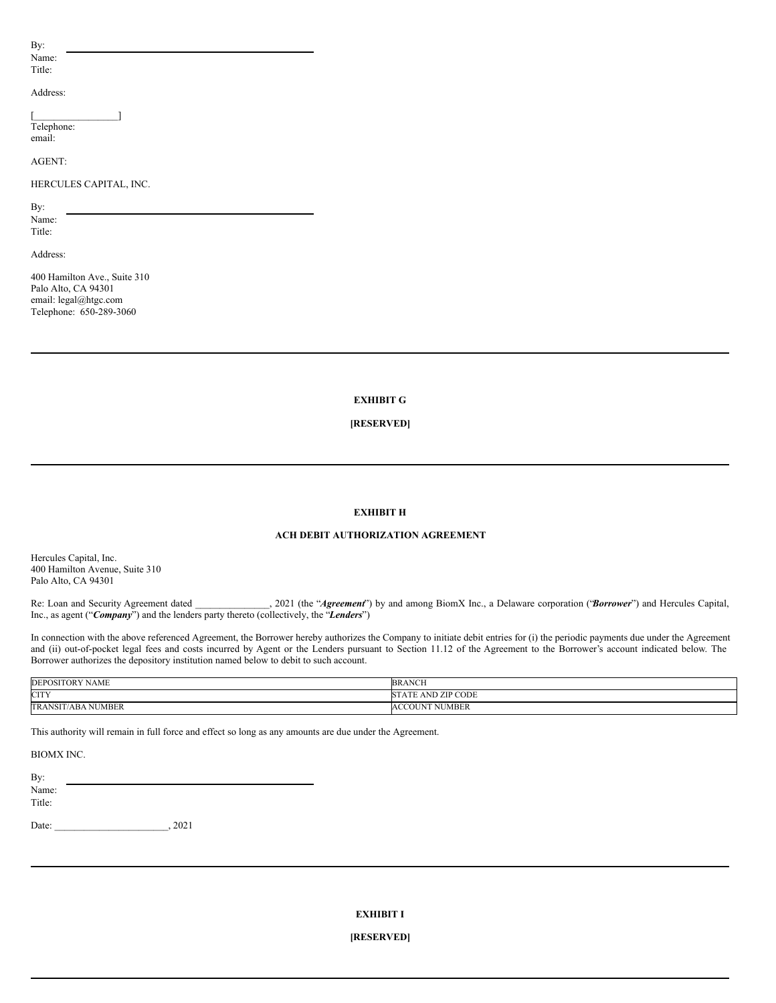By: Name:

Title:

Address:

 $[$   $]$ Telephone: email:

AGENT:

HERCULES CAPITAL, INC.

By: Name: Title:

Address:

400 Hamilton Ave., Suite 310 Palo Alto, CA 94301 email: legal@htgc.com Telephone: 650-289-3060

**EXHIBIT G**

**[RESERVED]**

# **EXHIBIT H**

# **ACH DEBIT AUTHORIZATION AGREEMENT**

Hercules Capital, Inc. 400 Hamilton Avenue, Suite 310 Palo Alto, CA 94301

Re: Loan and Security Agreement dated \_\_\_\_\_\_\_\_\_\_\_\_\_\_\_, 2021 (the "*Agreement*") by and among BiomX Inc., a Delaware corporation ("*Borrower*") and Hercules Capital, Inc., as agent ("*Company*") and the lenders party thereto (collectively, the "*Lenders*")

In connection with the above referenced Agreement, the Borrower hereby authorizes the Company to initiate debit entries for (i) the periodic payments due under the Agreement and (ii) out-of-pocket legal fees and costs incurred by Agent or the Lenders pursuant to Section 11.12 of the Agreement to the Borrower's account indicated below. The Borrower authorizes the depository institution named below to debit to such account.

| <b>DEPOS</b><br>TORY NAME      | <b>ANTONY</b><br>INL.                    |
|--------------------------------|------------------------------------------|
| <b>CITY</b>                    | <b>AND ZIP CODE</b>                      |
| NUMBER<br><b>TRANS</b><br>'ABA | <b>JMBER</b><br>$\mathbf{r}$<br>. .<br>w |

This authority will remain in full force and effect so long as any amounts are due under the Agreement.

## BIOMX INC.

By: Name: Title:

Date: \_\_\_\_\_\_\_\_\_\_\_\_\_\_\_\_\_\_\_\_\_\_\_, 2021

**EXHIBIT I**

# **[RESERVED]**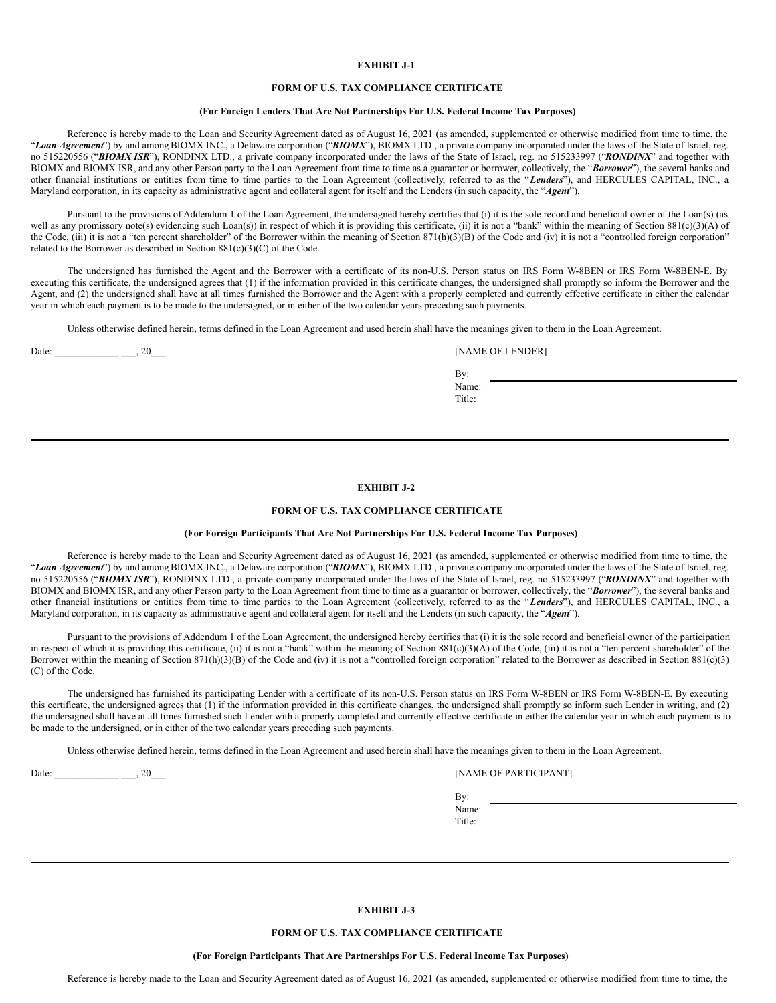#### **EXHIBIT J-1**

#### **FORM OF U.S. TAX COMPLIANCE CERTIFICATE**

#### **(For Foreign Lenders That Are Not Partnerships For U.S. Federal Income Tax Purposes)**

Reference is hereby made to the Loan and Security Agreement dated as of August 16, 2021 (as amended, supplemented or otherwise modified from time to time, the "*Loan Agreement*") by and amongBIOMX INC., a Delaware corporation ("*BIOMX*"), BIOMX LTD., a private company incorporated under the laws of the State of Israel, reg. no 515220556 ("*BIOMX ISR*"), RONDINX LTD., a private company incorporated under the laws of the State of Israel, reg. no 515233997 ("*RONDINX*" and together with BIOMX and BIOMX ISR, and any other Person party to the Loan Agreement from time to time as a guarantor or borrower, collectively, the "*Borrower*"), the several banks and other financial institutions or entities from time to time parties to the Loan Agreement (collectively, referred to as the "*Lenders*"), and HERCULES CAPITAL, INC., a Maryland corporation, in its capacity as administrative agent and collateral agent for itself and the Lenders (in such capacity, the "*Agent*").

Pursuant to the provisions of Addendum 1 of the Loan Agreement, the undersigned hereby certifies that (i) it is the sole record and beneficial owner of the Loan(s) (as well as any promissory note(s) evidencing such Loan(s)) in respect of which it is providing this certificate, (ii) it is not a "bank" within the meaning of Section 881(c)(3)(A) of the Code, (iii) it is not a "ten percent shareholder" of the Borrower within the meaning of Section 871(h)(3)(B) of the Code and (iv) it is not a "controlled foreign corporation" related to the Borrower as described in Section 881(c)(3)(C) of the Code.

The undersigned has furnished the Agent and the Borrower with a certificate of its non-U.S. Person status on IRS Form W-8BEN or IRS Form W-8BEN-E. By executing this certificate, the undersigned agrees that (1) if the information provided in this certificate changes, the undersigned shall promptly so inform the Borrower and the Agent, and (2) the undersigned shall have at all times furnished the Borrower and the Agent with a properly completed and currently effective certificate in either the calendar year in which each payment is to be made to the undersigned, or in either of the two calendar years preceding such payments.

Unless otherwise defined herein, terms defined in the Loan Agreement and used herein shall have the meanings given to them in the Loan Agreement.

Date: \_\_\_\_\_\_\_\_\_\_\_\_\_ \_\_\_, 20\_\_\_ [NAME OF LENDER]

By: Name: Title:

#### **EXHIBIT J-2**

# **FORM OF U.S. TAX COMPLIANCE CERTIFICATE**

#### **(For Foreign Participants That Are Not Partnerships For U.S. Federal Income Tax Purposes)**

Reference is hereby made to the Loan and Security Agreement dated as of August 16, 2021 (as amended, supplemented or otherwise modified from time to time, the "*Loan Agreement*") by and amongBIOMX INC., a Delaware corporation ("*BIOMX*"), BIOMX LTD., a private company incorporated under the laws of the State of Israel, reg. no 515220556 ("*BIOMX ISR*"), RONDINX LTD., a private company incorporated under the laws of the State of Israel, reg. no 515233997 ("*RONDINX*" and together with BIOMX and BIOMX ISR, and any other Person party to the Loan Agreement from time to time as a guarantor or borrower, collectively, the "*Borrower*"), the several banks and other financial institutions or entities from time to time parties to the Loan Agreement (collectively, referred to as the "*Lenders*"), and HERCULES CAPITAL, INC., a Maryland corporation, in its capacity as administrative agent and collateral agent for itself and the Lenders (in such capacity, the "*Agent*").

Pursuant to the provisions of Addendum 1 of the Loan Agreement, the undersigned hereby certifies that (i) it is the sole record and beneficial owner of the participation in respect of which it is providing this certificate, (ii) it is not a "bank" within the meaning of Section 881(c)(3)(A) of the Code, (iii) it is not a "ten percent shareholder" of the Borrower within the meaning of Section 871(h)(3)(B) of the Code and (iv) it is not a "controlled foreign corporation" related to the Borrower as described in Section 881(c)(3) (C) of the Code.

The undersigned has furnished its participating Lender with a certificate of its non-U.S. Person status on IRS Form W-8BEN or IRS Form W-8BEN-E. By executing this certificate, the undersigned agrees that (1) if the information provided in this certificate changes, the undersigned shall promptly so inform such Lender in writing, and (2) the undersigned shall have at all times furnished such Lender with a properly completed and currently effective certificate in either the calendar year in which each payment is to be made to the undersigned, or in either of the two calendar years preceding such payments.

Unless otherwise defined herein, terms defined in the Loan Agreement and used herein shall have the meanings given to them in the Loan Agreement.

Date: \_\_\_\_\_\_\_\_\_\_\_\_\_ \_\_\_, 20\_\_\_ [NAME OF PARTICIPANT]

By: Name: Title:

**EXHIBIT J-3**

# **FORM OF U.S. TAX COMPLIANCE CERTIFICATE**

#### **(For Foreign Participants That Are Partnerships For U.S. Federal Income Tax Purposes)**

Reference is hereby made to the Loan and Security Agreement dated as of August 16, 2021 (as amended, supplemented or otherwise modified from time to time, the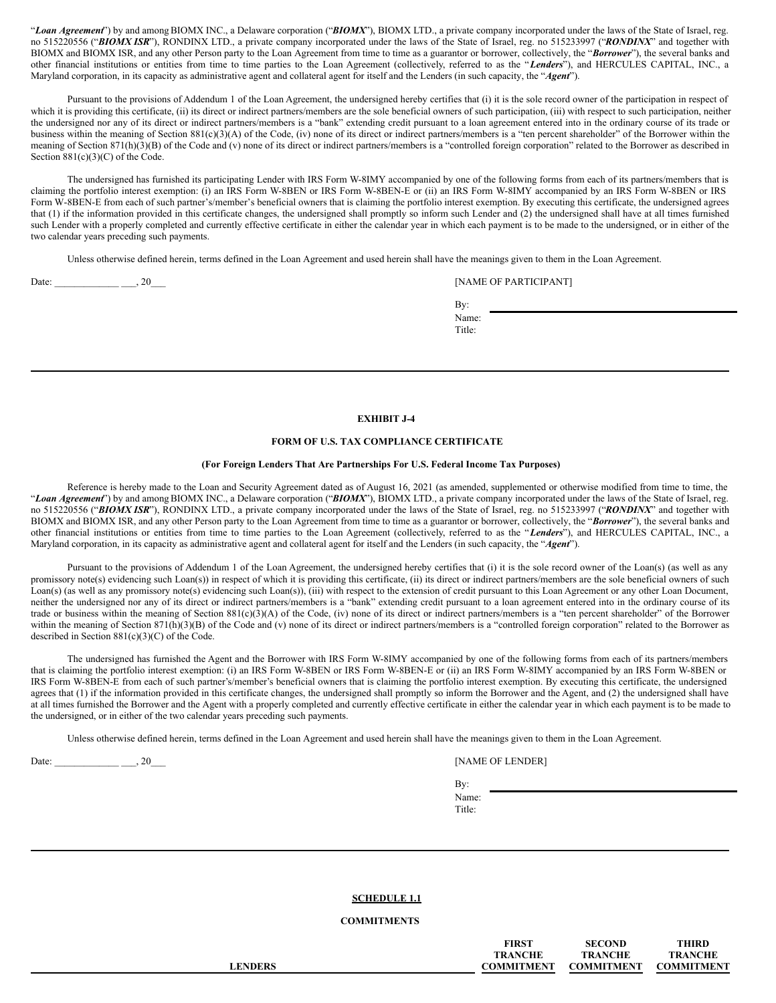"*Loan Agreement*") by and amongBIOMX INC., a Delaware corporation ("*BIOMX*"), BIOMX LTD., a private company incorporated under the laws of the State of Israel, reg. no 515220556 ("*BIOMX ISR*"), RONDINX LTD., a private company incorporated under the laws of the State of Israel, reg. no 515233997 ("*RONDINX*" and together with BIOMX and BIOMX ISR, and any other Person party to the Loan Agreement from time to time as a guarantor or borrower, collectively, the "*Borrower*"), the several banks and other financial institutions or entities from time to time parties to the Loan Agreement (collectively, referred to as the "*Lenders*"), and HERCULES CAPITAL, INC., a Maryland corporation, in its capacity as administrative agent and collateral agent for itself and the Lenders (in such capacity, the "*Agent*").

Pursuant to the provisions of Addendum 1 of the Loan Agreement, the undersigned hereby certifies that (i) it is the sole record owner of the participation in respect of which it is providing this certificate, (ii) its direct or indirect partners/members are the sole beneficial owners of such participation, (iii) with respect to such participation, neither the undersigned nor any of its direct or indirect partners/members is a "bank" extending credit pursuant to a loan agreement entered into in the ordinary course of its trade or business within the meaning of Section 881(c)(3)(A) of the Code, (iv) none of its direct or indirect partners/members is a "ten percent shareholder" of the Borrower within the meaning of Section 871(h)(3)(B) of the Code and (v) none of its direct or indirect partners/members is a "controlled foreign corporation" related to the Borrower as described in Section  $881(c)(3)(C)$  of the Code.

The undersigned has furnished its participating Lender with IRS Form W-8IMY accompanied by one of the following forms from each of its partners/members that is claiming the portfolio interest exemption: (i) an IRS Form W-8BEN or IRS Form W-8BEN-E or (ii) an IRS Form W-8IMY accompanied by an IRS Form W-8BEN or IRS Form W-8BEN-E from each of such partner's/member's beneficial owners that is claiming the portfolio interest exemption. By executing this certificate, the undersigned agrees that (1) if the information provided in this certificate changes, the undersigned shall promptly so inform such Lender and (2) the undersigned shall have at all times furnished such Lender with a properly completed and currently effective certificate in either the calendar year in which each payment is to be made to the undersigned, or in either of the two calendar years preceding such payments.

Unless otherwise defined herein, terms defined in the Loan Agreement and used herein shall have the meanings given to them in the Loan Agreement.

Date: \_\_\_\_\_\_\_\_\_\_\_\_\_ \_\_\_, 20\_\_\_ [NAME OF PARTICIPANT]

By: Name:

Title:

# **EXHIBIT J-4**

# **FORM OF U.S. TAX COMPLIANCE CERTIFICATE**

# **(For Foreign Lenders That Are Partnerships For U.S. Federal Income Tax Purposes)**

Reference is hereby made to the Loan and Security Agreement dated as of August 16, 2021 (as amended, supplemented or otherwise modified from time to time, the "*Loan Agreement*") by and amongBIOMX INC., a Delaware corporation ("*BIOMX*"), BIOMX LTD., a private company incorporated under the laws of the State of Israel, reg. no 515220556 ("*BIOMX ISR*"), RONDINX LTD., a private company incorporated under the laws of the State of Israel, reg. no 515233997 ("*RONDINX*" and together with BIOMX and BIOMX ISR, and any other Person party to the Loan Agreement from time to time as a guarantor or borrower, collectively, the "*Borrower*"), the several banks and other financial institutions or entities from time to time parties to the Loan Agreement (collectively, referred to as the "*Lenders*"), and HERCULES CAPITAL, INC., a Maryland corporation, in its capacity as administrative agent and collateral agent for itself and the Lenders (in such capacity, the "*Agent*").

Pursuant to the provisions of Addendum 1 of the Loan Agreement, the undersigned hereby certifies that (i) it is the sole record owner of the Loan(s) (as well as any promissory note(s) evidencing such Loan(s)) in respect of which it is providing this certificate, (ii) its direct or indirect partners/members are the sole beneficial owners of such Loan(s) (as well as any promissory note(s) evidencing such Loan(s)), (iii) with respect to the extension of credit pursuant to this Loan Agreement or any other Loan Document, neither the undersigned nor any of its direct or indirect partners/members is a "bank" extending credit pursuant to a loan agreement entered into in the ordinary course of its trade or business within the meaning of Section 881(c)(3)(A) of the Code, (iv) none of its direct or indirect partners/members is a "ten percent shareholder" of the Borrower within the meaning of Section 871(h)(3)(B) of the Code and (v) none of its direct or indirect partners/members is a "controlled foreign corporation" related to the Borrower as described in Section 881(c)(3)(C) of the Code.

The undersigned has furnished the Agent and the Borrower with IRS Form W-8IMY accompanied by one of the following forms from each of its partners/members that is claiming the portfolio interest exemption: (i) an IRS Form W-8BEN or IRS Form W-8BEN-E or (ii) an IRS Form W-8IMY accompanied by an IRS Form W-8BEN or IRS Form W-8BEN-E from each of such partner's/member's beneficial owners that is claiming the portfolio interest exemption. By executing this certificate, the undersigned agrees that (1) if the information provided in this certificate changes, the undersigned shall promptly so inform the Borrower and the Agent, and (2) the undersigned shall have at all times furnished the Borrower and the Agent with a properly completed and currently effective certificate in either the calendar year in which each payment is to be made to the undersigned, or in either of the two calendar years preceding such payments.

Unless otherwise defined herein, terms defined in the Loan Agreement and used herein shall have the meanings given to them in the Loan Agreement.

Date:  $\qquad \qquad .20$ 

By: Name:

Title:

# **SCHEDULE 1.1**

# **COMMITMENTS**

**FIRST TRANCHE COMMITMENT SECOND TRANCHE COMMITMENT THIRD TRANCHE COMMITMENT**

**LENDERS**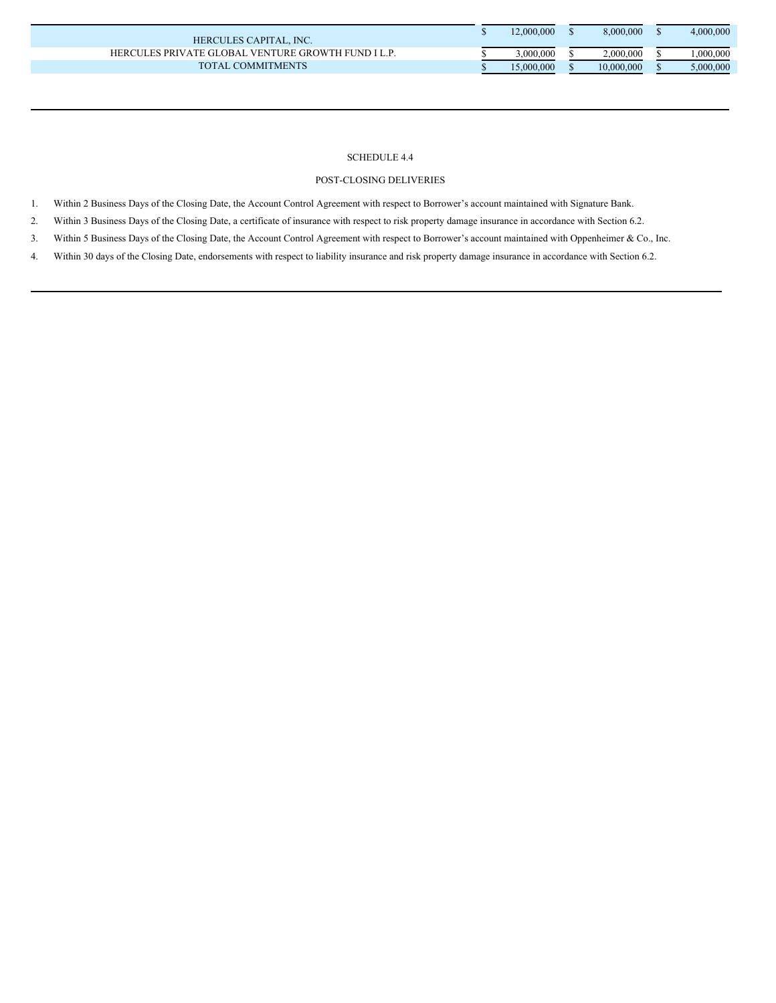| HERCULES CAPITAL, INC.                             | 2.000.000  | 8,000,000  | 4,000,000 |
|----------------------------------------------------|------------|------------|-----------|
| HERCULES PRIVATE GLOBAL VENTURE GROWTH FUND I L.P. | 0.00000    | 2.000.000  | .000.000  |
| <b>TOTAL COMMITMENTS</b>                           | 15.000.000 | 10.000.000 | ,000,000  |

# SCHEDULE 4.4

# POST-CLOSING DELIVERIES

- 1. Within 2 Business Days of the Closing Date, the Account Control Agreement with respect to Borrower's account maintained with Signature Bank.
- 2. Within 3 Business Days of the Closing Date, a certificate of insurance with respect to risk property damage insurance in accordance with Section 6.2.
- 3. Within 5 Business Days of the Closing Date, the Account Control Agreement with respect to Borrower's account maintained with Oppenheimer & Co., Inc.
- 4. Within 30 days of the Closing Date, endorsements with respect to liability insurance and risk property damage insurance in accordance with Section 6.2.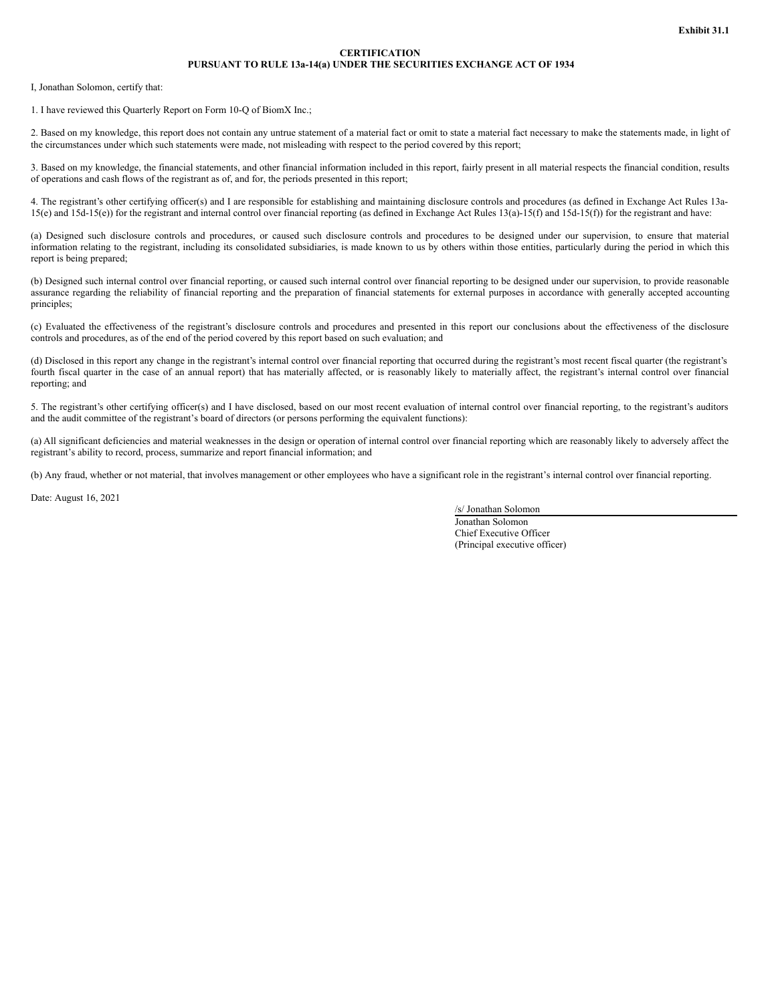# **CERTIFICATION PURSUANT TO RULE 13a-14(a) UNDER THE SECURITIES EXCHANGE ACT OF 1934**

<span id="page-53-0"></span>I, Jonathan Solomon, certify that:

1. I have reviewed this Quarterly Report on Form 10-Q of BiomX Inc.;

2. Based on my knowledge, this report does not contain any untrue statement of a material fact or omit to state a material fact necessary to make the statements made, in light of the circumstances under which such statements were made, not misleading with respect to the period covered by this report;

3. Based on my knowledge, the financial statements, and other financial information included in this report, fairly present in all material respects the financial condition, results of operations and cash flows of the registrant as of, and for, the periods presented in this report;

4. The registrant's other certifying officer(s) and I are responsible for establishing and maintaining disclosure controls and procedures (as defined in Exchange Act Rules 13a-15(e) and 15d-15(e)) for the registrant and internal control over financial reporting (as defined in Exchange Act Rules 13(a)-15(f) and 15d-15(f)) for the registrant and have:

(a) Designed such disclosure controls and procedures, or caused such disclosure controls and procedures to be designed under our supervision, to ensure that material information relating to the registrant, including its consolidated subsidiaries, is made known to us by others within those entities, particularly during the period in which this report is being prepared;

(b) Designed such internal control over financial reporting, or caused such internal control over financial reporting to be designed under our supervision, to provide reasonable assurance regarding the reliability of financial reporting and the preparation of financial statements for external purposes in accordance with generally accepted accounting principles;

(c) Evaluated the effectiveness of the registrant's disclosure controls and procedures and presented in this report our conclusions about the effectiveness of the disclosure controls and procedures, as of the end of the period covered by this report based on such evaluation; and

(d) Disclosed in this report any change in the registrant's internal control over financial reporting that occurred during the registrant's most recent fiscal quarter (the registrant's fourth fiscal quarter in the case of an annual report) that has materially affected, or is reasonably likely to materially affect, the registrant's internal control over financial reporting; and

5. The registrant's other certifying officer(s) and I have disclosed, based on our most recent evaluation of internal control over financial reporting, to the registrant's auditors and the audit committee of the registrant's board of directors (or persons performing the equivalent functions):

(a) All significant deficiencies and material weaknesses in the design or operation of internal control over financial reporting which are reasonably likely to adversely affect the registrant's ability to record, process, summarize and report financial information; and

(b) Any fraud, whether or not material, that involves management or other employees who have a significant role in the registrant's internal control over financial reporting.

Date: August 16, 2021

/s/ Jonathan Solomon

Jonathan Solomon Chief Executive Officer (Principal executive officer)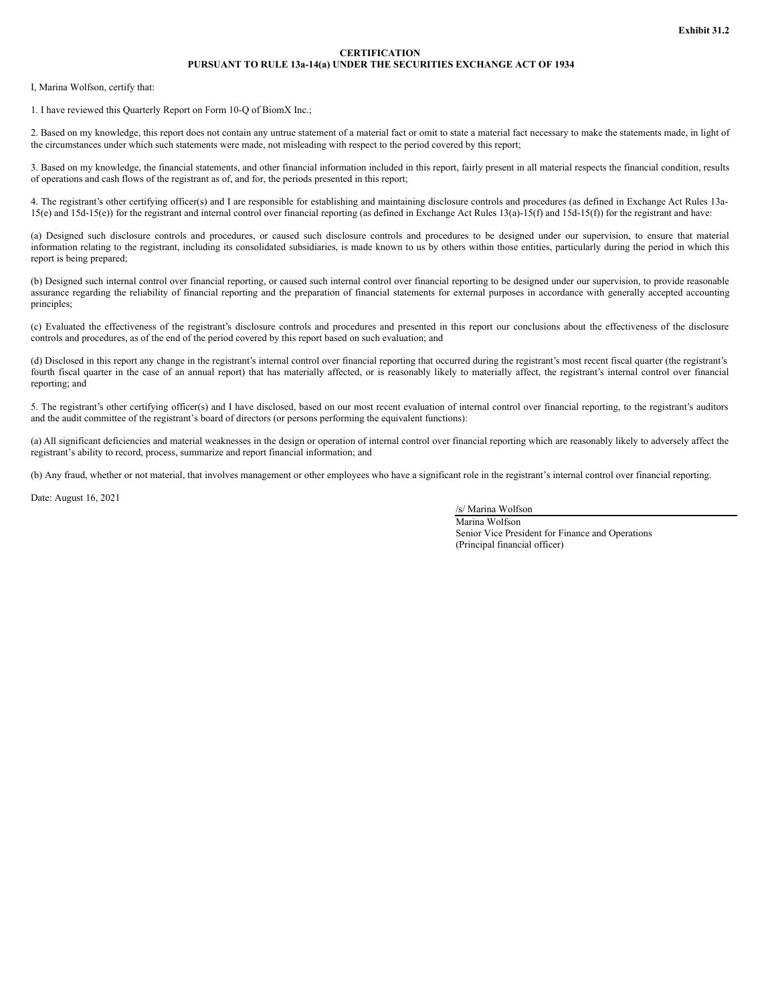# **CERTIFICATION PURSUANT TO RULE 13a-14(a) UNDER THE SECURITIES EXCHANGE ACT OF 1934**

<span id="page-54-0"></span>I, Marina Wolfson, certify that:

1. I have reviewed this Quarterly Report on Form 10-Q of BiomX Inc.;

2. Based on my knowledge, this report does not contain any untrue statement of a material fact or omit to state a material fact necessary to make the statements made, in light of the circumstances under which such statements were made, not misleading with respect to the period covered by this report;

3. Based on my knowledge, the financial statements, and other financial information included in this report, fairly present in all material respects the financial condition, results of operations and cash flows of the registrant as of, and for, the periods presented in this report;

4. The registrant's other certifying officer(s) and I are responsible for establishing and maintaining disclosure controls and procedures (as defined in Exchange Act Rules 13a-15(e) and 15d-15(e)) for the registrant and internal control over financial reporting (as defined in Exchange Act Rules 13(a)-15(f) and 15d-15(f)) for the registrant and have:

(a) Designed such disclosure controls and procedures, or caused such disclosure controls and procedures to be designed under our supervision, to ensure that material information relating to the registrant, including its consolidated subsidiaries, is made known to us by others within those entities, particularly during the period in which this report is being prepared;

(b) Designed such internal control over financial reporting, or caused such internal control over financial reporting to be designed under our supervision, to provide reasonable assurance regarding the reliability of financial reporting and the preparation of financial statements for external purposes in accordance with generally accepted accounting principles;

(c) Evaluated the effectiveness of the registrant's disclosure controls and procedures and presented in this report our conclusions about the effectiveness of the disclosure controls and procedures, as of the end of the period covered by this report based on such evaluation; and

(d) Disclosed in this report any change in the registrant's internal control over financial reporting that occurred during the registrant's most recent fiscal quarter (the registrant's fourth fiscal quarter in the case of an annual report) that has materially affected, or is reasonably likely to materially affect, the registrant's internal control over financial reporting; and

5. The registrant's other certifying officer(s) and I have disclosed, based on our most recent evaluation of internal control over financial reporting, to the registrant's auditors and the audit committee of the registrant's board of directors (or persons performing the equivalent functions):

(a) All significant deficiencies and material weaknesses in the design or operation of internal control over financial reporting which are reasonably likely to adversely affect the registrant's ability to record, process, summarize and report financial information; and

(b) Any fraud, whether or not material, that involves management or other employees who have a significant role in the registrant's internal control over financial reporting.

Date: August 16, 2021

/s/ Marina Wolfson

Marina Wolfson Senior Vice President for Finance and Operations (Principal financial officer)